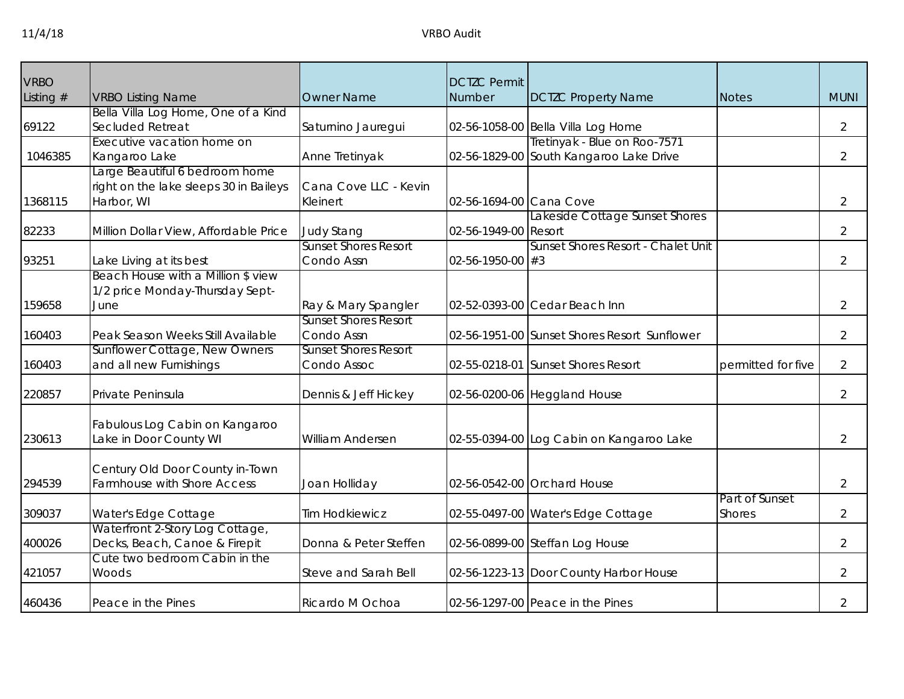| <b>VRBO</b><br>Listing $#$ | <b>VRBO Listing Name</b>                | <b>Owner Name</b>                                  | <b>DCTZC Permit</b><br>Number | <b>DCTZC Property Name</b>                   | <b>Notes</b>       | <b>MUNI</b>    |
|----------------------------|-----------------------------------------|----------------------------------------------------|-------------------------------|----------------------------------------------|--------------------|----------------|
|                            | Bella Villa Log Home, One of a Kind     |                                                    |                               |                                              |                    |                |
| 69122                      | Secluded Retreat                        | Saturnino Jauregui                                 |                               | 02-56-1058-00 Bella Villa Log Home           |                    | $\overline{2}$ |
|                            | Executive vacation home on              |                                                    |                               | Tretinyak - Blue on Roo-7571                 |                    |                |
| 1046385                    | Kangaroo Lake                           | Anne Tretinyak                                     |                               | 02-56-1829-00 South Kangaroo Lake Drive      |                    | $\overline{2}$ |
|                            | Large Beautiful 6 bedroom home          |                                                    |                               |                                              |                    |                |
|                            | right on the lake sleeps 30 in Baileys  | Cana Cove LLC - Kevin                              |                               |                                              |                    |                |
| 1368115                    | Harbor, WI                              | Kleinert                                           | 02-56-1694-00 Cana Cove       |                                              |                    | $\overline{2}$ |
|                            |                                         |                                                    |                               | Lakeside Cottage Sunset Shores               |                    |                |
| 82233                      | Million Dollar View, Affordable Price   | <b>Judy Stang</b>                                  | 02-56-1949-00 Resort          |                                              |                    | $\overline{2}$ |
|                            |                                         | Sunset Shores Resort                               |                               | Sunset Shores Resort - Chalet Unit           |                    |                |
| 93251                      | Lake Living at its best                 | Condo Assn                                         | $02 - 56 - 1950 - 00$ #3      |                                              |                    | $\overline{2}$ |
|                            | Beach House with a Million \$ view      |                                                    |                               |                                              |                    |                |
|                            | 1/2 price Monday-Thursday Sept-<br>June |                                                    |                               | 02-52-0393-00 Cedar Beach Inn                |                    |                |
| 159658                     |                                         | Ray & Mary Spangler<br><b>Sunset Shores Resort</b> |                               |                                              |                    | 2              |
| 160403                     | Peak Season Weeks Still Available       | Condo Assn                                         |                               | 02-56-1951-00 Sunset Shores Resort Sunflower |                    | $\overline{2}$ |
|                            | Sunflower Cottage, New Owners           | <b>Sunset Shores Resort</b>                        |                               |                                              |                    |                |
| 160403                     | and all new Furnishings                 | Condo Assoc                                        |                               | 02-55-0218-01 Sunset Shores Resort           | permitted for five | $\overline{2}$ |
|                            |                                         |                                                    |                               |                                              |                    |                |
| 220857                     | Private Peninsula                       | Dennis & Jeff Hickey                               |                               | 02-56-0200-06 Heggland House                 |                    | $\overline{2}$ |
|                            | Fabulous Log Cabin on Kangaroo          |                                                    |                               |                                              |                    |                |
| 230613                     | Lake in Door County WI                  | William Andersen                                   |                               | 02-55-0394-00 Log Cabin on Kangaroo Lake     |                    | 2              |
|                            | Century Old Door County in-Town         |                                                    |                               |                                              |                    |                |
| 294539                     | Farmhouse with Shore Access             | Joan Holliday                                      |                               | 02-56-0542-00 Orchard House                  |                    | $\overline{2}$ |
|                            |                                         |                                                    |                               |                                              | Part of Sunset     |                |
| 309037                     | Water's Edge Cottage                    | <b>Tim Hodkiewicz</b>                              |                               | 02-55-0497-00 Water's Edge Cottage           | <b>Shores</b>      | 2              |
|                            | Waterfront 2-Story Log Cottage,         |                                                    |                               |                                              |                    |                |
| 400026                     | Decks, Beach, Canoe & Firepit           | Donna & Peter Steffen                              |                               | 02-56-0899-00 Steffan Log House              |                    | 2              |
|                            | Cute two bedroom Cabin in the           |                                                    |                               |                                              |                    |                |
| 421057                     | Woods                                   | Steve and Sarah Bell                               |                               | 02-56-1223-13 Door County Harbor House       |                    | $\overline{2}$ |
| 460436                     | Peace in the Pines                      | Ricardo M Ochoa                                    |                               | 02-56-1297-00 Peace in the Pines             |                    | 2              |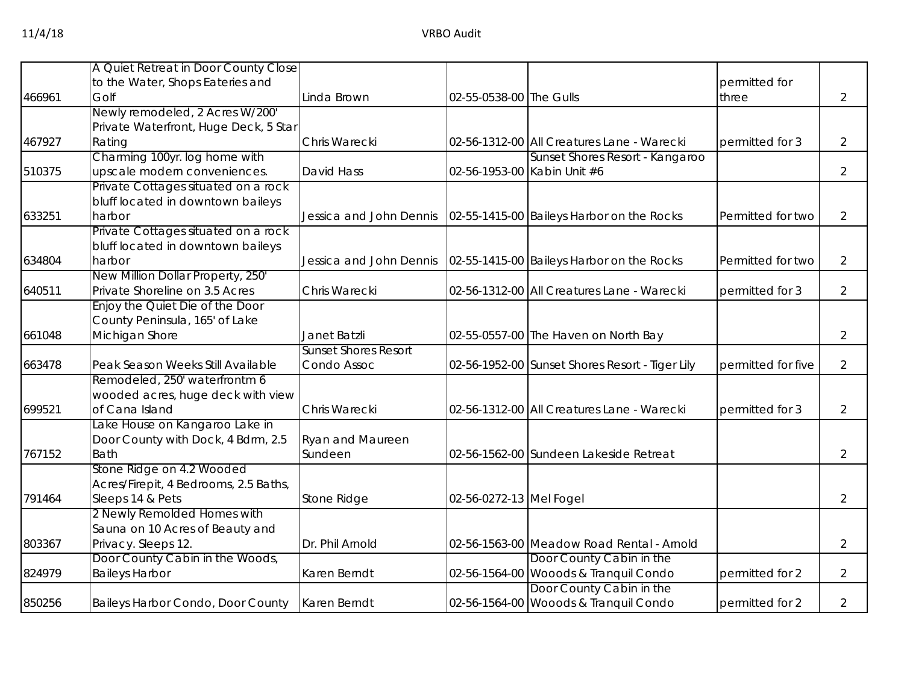|        | A Quiet Retreat in Door County Close                     |                             |                         |                                                                   |                    |                |
|--------|----------------------------------------------------------|-----------------------------|-------------------------|-------------------------------------------------------------------|--------------------|----------------|
|        | to the Water, Shops Eateries and                         |                             |                         |                                                                   | permitted for      |                |
| 466961 | Golf                                                     | Linda Brown                 | 02-55-0538-00 The Gulls |                                                                   | three              | $\overline{2}$ |
|        | Newly remodeled, 2 Acres W/200'                          |                             |                         |                                                                   |                    |                |
|        | Private Waterfront, Huge Deck, 5 Star                    |                             |                         |                                                                   |                    |                |
| 467927 | Rating                                                   | Chris Warecki               |                         | 02-56-1312-00 All Creatures Lane - Warecki                        | permitted for 3    | $\overline{2}$ |
|        | Charming 100yr. log home with                            |                             |                         | Sunset Shores Resort - Kangaroo                                   |                    |                |
| 510375 | upscale modern conveniences.                             | David Hass                  |                         | 02-56-1953-00 Kabin Unit #6                                       |                    | $\overline{2}$ |
|        | Private Cottages situated on a rock                      |                             |                         |                                                                   |                    |                |
|        | bluff located in downtown baileys                        |                             |                         |                                                                   |                    |                |
| 633251 | harbor                                                   | Jessica and John Dennis     |                         | 02-55-1415-00 Baileys Harbor on the Rocks                         | Permitted for two  | $\overline{2}$ |
|        | Private Cottages situated on a rock                      |                             |                         |                                                                   |                    |                |
|        | bluff located in downtown baileys                        |                             |                         |                                                                   |                    |                |
| 634804 | harbor                                                   | Jessica and John Dennis     |                         | 02-55-1415-00 Baileys Harbor on the Rocks                         | Permitted for two  | 2              |
|        | New Million Dollar Property, 250'                        |                             |                         |                                                                   |                    |                |
| 640511 | Private Shoreline on 3.5 Acres                           | Chris Warecki               |                         | 02-56-1312-00 All Creatures Lane - Warecki                        | permitted for 3    | $\overline{2}$ |
|        | Enjoy the Quiet Die of the Door                          |                             |                         |                                                                   |                    |                |
|        | County Peninsula, 165' of Lake                           |                             |                         |                                                                   |                    |                |
| 661048 | Michigan Shore                                           | Janet Batzli                |                         | 02-55-0557-00 The Haven on North Bay                              |                    | $\overline{2}$ |
|        |                                                          | <b>Sunset Shores Resort</b> |                         |                                                                   |                    |                |
| 663478 | Peak Season Weeks Still Available                        | Condo Assoc                 |                         | 02-56-1952-00 Sunset Shores Resort - Tiger Lily                   | permitted for five | $\overline{2}$ |
|        | Remodeled, 250' waterfrontm 6                            |                             |                         |                                                                   |                    |                |
|        | wooded acres, huge deck with view                        |                             |                         |                                                                   |                    |                |
| 699521 | of Cana Island                                           | Chris Warecki               |                         | 02-56-1312-00 All Creatures Lane - Warecki                        | permitted for 3    | $\overline{2}$ |
|        | Lake House on Kangaroo Lake in                           |                             |                         |                                                                   |                    |                |
|        | Door County with Dock, 4 Bdrm, 2.5                       | Ryan and Maureen            |                         |                                                                   |                    |                |
| 767152 | <b>Bath</b>                                              | Sundeen                     |                         | 02-56-1562-00 Sundeen Lakeside Retreat                            |                    | $\overline{2}$ |
|        | Stone Ridge on 4.2 Wooded                                |                             |                         |                                                                   |                    |                |
|        | Acres/Firepit, 4 Bedrooms, 2.5 Baths,                    |                             |                         |                                                                   |                    |                |
| 791464 | Sleeps 14 & Pets                                         | Stone Ridge                 | 02-56-0272-13 Mel Fogel |                                                                   |                    | $\overline{2}$ |
|        | 2 Newly Remolded Homes with                              |                             |                         |                                                                   |                    |                |
|        | Sauna on 10 Acres of Beauty and                          |                             |                         |                                                                   |                    |                |
| 803367 | Privacy. Sleeps 12.                                      | Dr. Phil Arnold             |                         | 02-56-1563-00 Meadow Road Rental - Arnold                         |                    | $\overline{2}$ |
| 824979 | Door County Cabin in the Woods,<br><b>Baileys Harbor</b> | Karen Berndt                |                         | Door County Cabin in the<br>02-56-1564-00 Wooods & Tranquil Condo | permitted for 2    | 2              |
|        |                                                          |                             |                         | Door County Cabin in the                                          |                    |                |
| 850256 | Baileys Harbor Condo, Door County                        | Karen Berndt                |                         | 02-56-1564-00 Wooods & Tranquil Condo                             | permitted for 2    | $\overline{2}$ |
|        |                                                          |                             |                         |                                                                   |                    |                |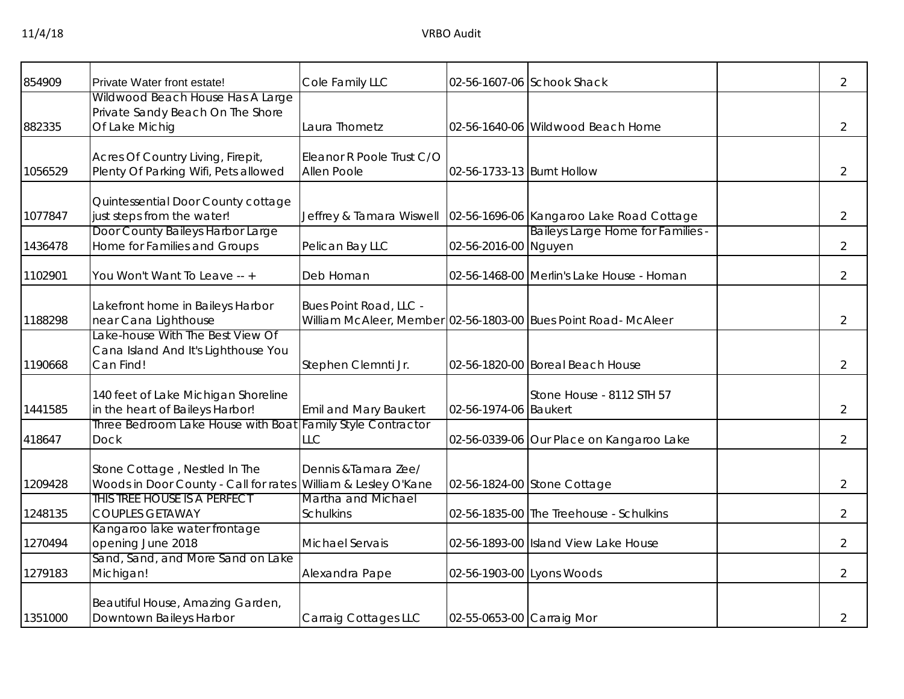| 854909  | Private Water front estate!                                                                    | Cole Family LLC                          |                            | 02-56-1607-06 Schook Shack                                            | $\overline{2}$ |
|---------|------------------------------------------------------------------------------------------------|------------------------------------------|----------------------------|-----------------------------------------------------------------------|----------------|
| 882335  | Wildwood Beach House Has A Large<br>Private Sandy Beach On The Shore<br>Of Lake Michig         | Laura Thometz                            |                            | 02-56-1640-06 Wildwood Beach Home                                     | $\overline{2}$ |
| 1056529 | Acres Of Country Living, Firepit,<br>Plenty Of Parking Wifi, Pets allowed                      | Eleanor R Poole Trust C/O<br>Allen Poole | 02-56-1733-13 Burnt Hollow |                                                                       | $\overline{2}$ |
| 1077847 | Quintessential Door County cottage<br>just steps from the water!                               |                                          |                            | Jeffrey & Tamara Wiswell   02-56-1696-06   Kangaroo Lake Road Cottage | $\overline{2}$ |
| 1436478 | Door County Baileys Harbor Large<br>Home for Families and Groups                               | Pelican Bay LLC                          | 02-56-2016-00 Nguyen       | Baileys Large Home for Families -                                     | $\overline{2}$ |
| 1102901 | You Won't Want To Leave -- +                                                                   | Deb Homan                                |                            | 02-56-1468-00 Merlin's Lake House - Homan                             | $\overline{2}$ |
| 1188298 | akefront home in Baileys Harbor<br>near Cana Lighthouse                                        | Bues Point Road, LLC -                   |                            | William McAleer, Member 02-56-1803-00 Bues Point Road- McAleer        | $\overline{2}$ |
| 1190668 | Lake-house With The Best View Of<br>Cana Island And It's Lighthouse You<br>Can Find!           | Stephen Clemnti Jr.                      |                            | 02-56-1820-00 Boreal Beach House                                      | $\overline{2}$ |
| 1441585 | 140 feet of Lake Michigan Shoreline<br>in the heart of Baileys Harbor!                         | Emil and Mary Baukert                    | 02-56-1974-06 Baukert      | Stone House - 8112 STH 57                                             | $\overline{2}$ |
| 418647  | Three Bedroom Lake House with Boat Family Style Contractor<br><b>Dock</b>                      | LLC                                      |                            | 02-56-0339-06 Our Place on Kangaroo Lake                              | $\overline{2}$ |
| 1209428 | Stone Cottage, Nestled In The<br>Woods in Door County - Call for rates William & Lesley O'Kane | Dennis & Tamara Zee/                     |                            | 02-56-1824-00 Stone Cottage                                           | $\overline{2}$ |
| 1248135 | This tree house is a perfect<br><b>COUPLES GETAWAY</b>                                         | Martha and Michael<br><b>Schulkins</b>   |                            | 02-56-1835-00 The Treehouse - Schulkins                               | $\overline{2}$ |
| 1270494 | Kangaroo lake water frontage<br>opening June 2018                                              | Michael Servais                          |                            | 02-56-1893-00 Island View Lake House                                  | $\overline{2}$ |
| 1279183 | Sand, Sand, and More Sand on Lake<br>Michigan!                                                 | Alexandra Pape                           | 02-56-1903-00 Lyons Woods  |                                                                       | $\overline{2}$ |
| 1351000 | Beautiful House, Amazing Garden,<br>Downtown Baileys Harbor                                    | Carraig Cottages LLC                     | 02-55-0653-00 Carraig Mor  |                                                                       | $\overline{2}$ |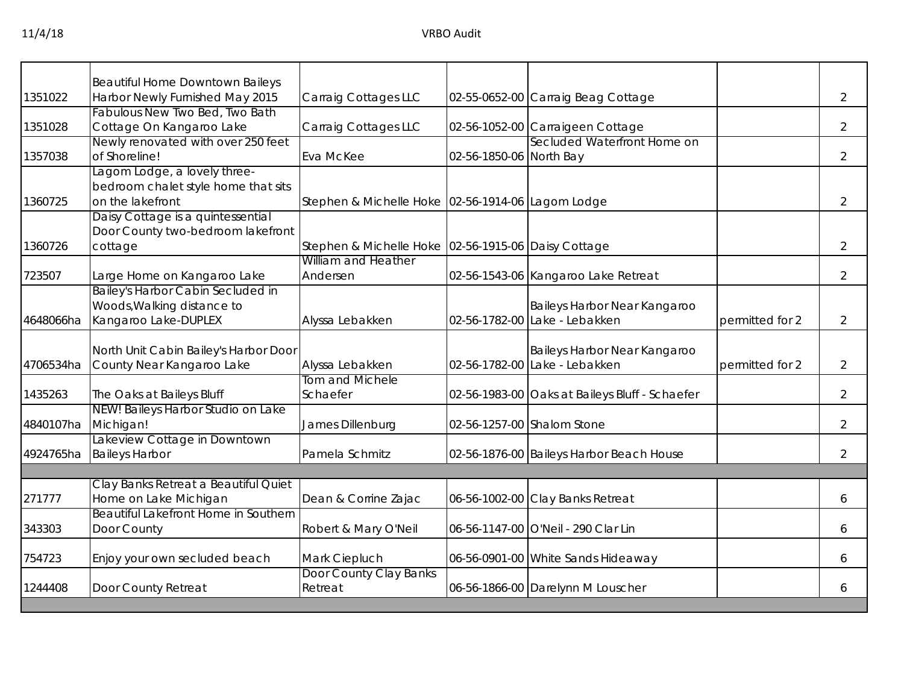|           | <b>Beautiful Home Downtown Baileys</b>                             |                                                     |                         |                                                               |                 |                |
|-----------|--------------------------------------------------------------------|-----------------------------------------------------|-------------------------|---------------------------------------------------------------|-----------------|----------------|
| 1351022   | Harbor Newly Furnished May 2015                                    | Carraig Cottages LLC                                |                         | 02-55-0652-00 Carraig Beag Cottage                            |                 | $\overline{2}$ |
|           | Fabulous New Two Bed, Two Bath                                     |                                                     |                         |                                                               |                 |                |
| 1351028   | Cottage On Kangaroo Lake                                           | Carraig Cottages LLC                                |                         | 02-56-1052-00 Carraigeen Cottage                              |                 | 2              |
|           | Newly renovated with over 250 feet                                 |                                                     |                         | Secluded Waterfront Home on                                   |                 |                |
| 1357038   | of Shoreline!                                                      | Eva McKee                                           | 02-56-1850-06 North Bay |                                                               |                 | 2              |
|           | Lagom Lodge, a lovely three-                                       |                                                     |                         |                                                               |                 |                |
|           | bedroom chalet style home that sits                                |                                                     |                         |                                                               |                 |                |
| 1360725   | on the lakefront                                                   | Stephen & Michelle Hoke 02-56-1914-06 Lagom Lodge   |                         |                                                               |                 | $\overline{2}$ |
|           | Daisy Cottage is a quintessential                                  |                                                     |                         |                                                               |                 |                |
|           | Door County two-bedroom lakefront                                  |                                                     |                         |                                                               |                 |                |
| 1360726   | cottage                                                            | Stephen & Michelle Hoke 02-56-1915-06 Daisy Cottage |                         |                                                               |                 | 2              |
|           |                                                                    | William and Heather                                 |                         |                                                               |                 |                |
| 723507    | Large Home on Kangaroo Lake                                        | Andersen                                            |                         | 02-56-1543-06 Kangaroo Lake Retreat                           |                 | $\overline{2}$ |
|           | Bailey's Harbor Cabin Secluded in                                  |                                                     |                         |                                                               |                 |                |
|           | Woods, Walking distance to                                         |                                                     |                         | Baileys Harbor Near Kangaroo                                  |                 |                |
| 4648066ha | Kangaroo Lake-DUPLEX                                               | Alyssa Lebakken                                     |                         | 02-56-1782-00 Lake - Lebakken                                 | permitted for 2 | $\overline{2}$ |
|           |                                                                    |                                                     |                         |                                                               |                 |                |
|           | North Unit Cabin Bailey's Harbor Door<br>County Near Kangaroo Lake |                                                     |                         | Baileys Harbor Near Kangaroo<br>02-56-1782-00 Lake - Lebakken | permitted for 2 |                |
| 4706534ha |                                                                    | Alyssa Lebakken<br>Tom and Michele                  |                         |                                                               |                 | $\overline{2}$ |
| 1435263   | The Oaks at Baileys Bluff                                          | Schaefer                                            |                         | 02-56-1983-00 Oaks at Baileys Bluff - Schaefer                |                 | $\overline{2}$ |
|           | NEW! Baileys Harbor Studio on Lake                                 |                                                     |                         |                                                               |                 |                |
| 4840107ha | Michigan!                                                          | James Dillenburg                                    |                         | 02-56-1257-00 Shalom Stone                                    |                 | $\overline{2}$ |
|           | Lakeview Cottage in Downtown                                       |                                                     |                         |                                                               |                 |                |
| 4924765ha | <b>Baileys Harbor</b>                                              | Pamela Schmitz                                      |                         | 02-56-1876-00 Baileys Harbor Beach House                      |                 | $\overline{2}$ |
|           |                                                                    |                                                     |                         |                                                               |                 |                |
|           | Clay Banks Retreat a Beautiful Quiet                               |                                                     |                         |                                                               |                 |                |
| 271777    | Home on Lake Michigan                                              | Dean & Corrine Zajac                                |                         | 06-56-1002-00 Clay Banks Retreat                              |                 | 6              |
|           | Beautiful Lakefront Home in Southern                               |                                                     |                         |                                                               |                 |                |
| 343303    | Door County                                                        | Robert & Mary O'Neil                                |                         | 06-56-1147-00 O'Neil - 290 Clar Lin                           |                 | 6              |
| 754723    | Enjoy your own secluded beach                                      | Mark Ciepluch                                       |                         | 06-56-0901-00 White Sands Hideaway                            |                 | 6              |
|           |                                                                    | Door County Clay Banks                              |                         |                                                               |                 |                |
| 1244408   | Door County Retreat                                                | Retreat                                             |                         | 06-56-1866-00 Darelynn M Louscher                             |                 | 6              |
|           |                                                                    |                                                     |                         |                                                               |                 |                |
|           |                                                                    |                                                     |                         |                                                               |                 |                |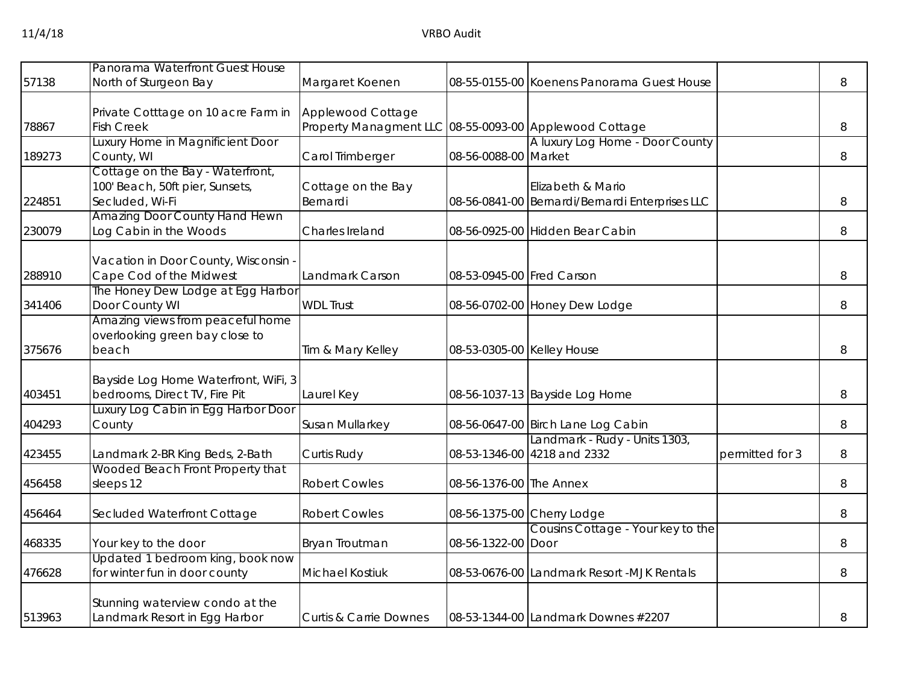| 57138  | Panorama Waterfront Guest House<br>North of Sturgeon Bay                               | Margaret Koenen                                                             |                            | 08-55-0155-00 Koenens Panorama Guest House                           |                 | 8 |
|--------|----------------------------------------------------------------------------------------|-----------------------------------------------------------------------------|----------------------------|----------------------------------------------------------------------|-----------------|---|
| 78867  | Private Cotttage on 10 acre Farm in<br><b>Fish Creek</b>                               | Applewood Cottage<br>Property Managment LLC 08-55-0093-00 Applewood Cottage |                            |                                                                      |                 | 8 |
| 189273 | Luxury Home in Magnificient Door<br>County, WI                                         | Carol Trimberger                                                            | 08-56-0088-00 Market       | A luxury Log Home - Door County                                      |                 | 8 |
| 224851 | Cottage on the Bay - Waterfront,<br>100' Beach, 50ft pier, Sunsets,<br>Secluded, Wi-Fi | Cottage on the Bay<br>Bernardi                                              |                            | Elizabeth & Mario<br>08-56-0841-00 Bernardi/Bernardi Enterprises LLC |                 | 8 |
| 230079 | <b>Amazing Door County Hand Hewn</b><br>Log Cabin in the Woods                         | Charles Ireland                                                             |                            | 08-56-0925-00 Hidden Bear Cabin                                      |                 | 8 |
| 288910 | Vacation in Door County, Wisconsin<br>Cape Cod of the Midwest                          | Landmark Carson                                                             | 08-53-0945-00 Fred Carson  |                                                                      |                 | 8 |
| 341406 | The Honey Dew Lodge at Egg Harbor<br>Door County WI                                    | <b>WDL Trust</b>                                                            |                            | 08-56-0702-00 Honey Dew Lodge                                        |                 | 8 |
| 375676 | Amazing views from peaceful home<br>overlooking green bay close to<br>beach            | Tim & Mary Kelley                                                           | 08-53-0305-00 Kelley House |                                                                      |                 | 8 |
| 403451 | Bayside Log Home Waterfront, WiFi, 3<br>bedrooms, Direct TV, Fire Pit                  | Laurel Key                                                                  |                            | 08-56-1037-13 Bayside Log Home                                       |                 | 8 |
| 404293 | Luxury Log Cabin in Egg Harbor Door<br>County                                          | Susan Mullarkey                                                             |                            | 08-56-0647-00 Birch Lane Log Cabin                                   |                 | 8 |
| 423455 | Landmark 2-BR King Beds, 2-Bath                                                        | Curtis Rudy                                                                 |                            | Landmark - Rudy - Units 1303,<br>08-53-1346-00 4218 and 2332         | permitted for 3 | 8 |
| 456458 | Wooded Beach Front Property that<br>sleeps 12                                          | <b>Robert Cowles</b>                                                        | 08-56-1376-00 The Annex    |                                                                      |                 | 8 |
| 456464 | Secluded Waterfront Cottage                                                            | <b>Robert Cowles</b>                                                        |                            | 08-56-1375-00 Cherry Lodge                                           |                 | 8 |
| 468335 | Your key to the door                                                                   | Bryan Troutman                                                              | 08-56-1322-00 Door         | Cousins Cottage - Your key to the                                    |                 | 8 |
| 476628 | Updated 1 bedroom king, book now<br>for winter fun in door county                      | <b>Michael Kostiuk</b>                                                      |                            | 08-53-0676-00 Landmark Resort -MJK Rentals                           |                 | 8 |
| 513963 | Stunning waterview condo at the<br>Landmark Resort in Egg Harbor                       | <b>Curtis &amp; Carrie Downes</b>                                           |                            | 08-53-1344-00 Landmark Downes #2207                                  |                 | 8 |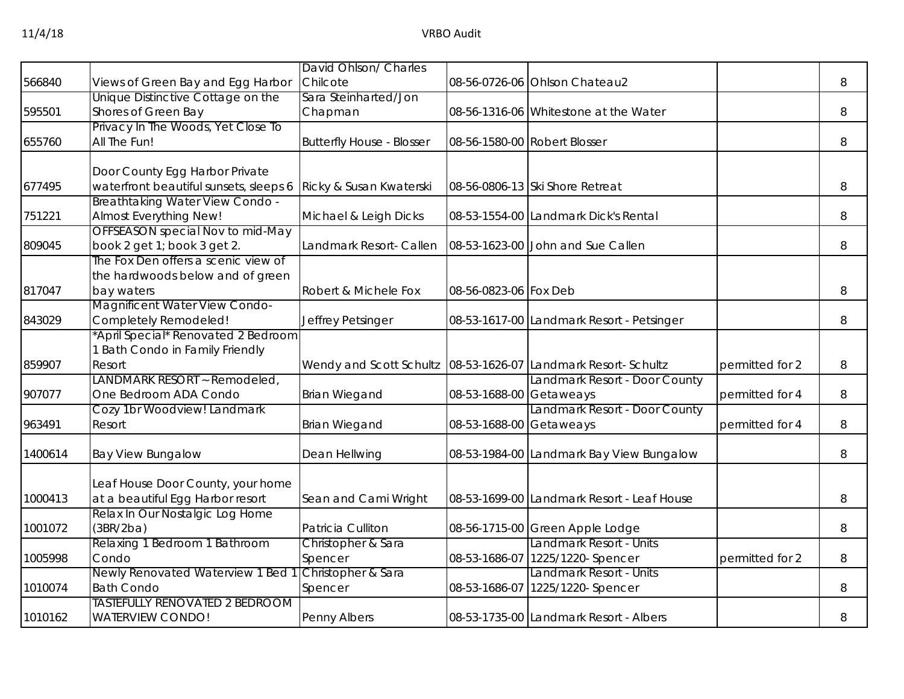|         |                                                           | David Ohlson/ Charles                                         |                         |                                                             |                 |   |
|---------|-----------------------------------------------------------|---------------------------------------------------------------|-------------------------|-------------------------------------------------------------|-----------------|---|
| 566840  | Views of Green Bay and Egg Harbor                         | Chilcote                                                      |                         | 08-56-0726-06 Ohlson Chateau2                               |                 | 8 |
|         | Unique Distinctive Cottage on the                         | Sara Steinharted/Jon                                          |                         |                                                             |                 |   |
| 595501  | Shores of Green Bay                                       | Chapman                                                       |                         | 08-56-1316-06 Whitestone at the Water                       |                 | 8 |
|         | Privacy In The Woods, Yet Close To                        |                                                               |                         |                                                             |                 |   |
| 655760  | All The Fun!                                              | <b>Butterfly House - Blosser</b>                              |                         | 08-56-1580-00 Robert Blosser                                |                 | 8 |
|         | Door County Egg Harbor Private                            |                                                               |                         |                                                             |                 |   |
| 677495  | waterfront beautiful sunsets, sleeps 6                    | Ricky & Susan Kwaterski                                       |                         | 08-56-0806-13 Ski Shore Retreat                             |                 | 8 |
| 751221  | Breathtaking Water View Condo -<br>Almost Everything New! | Michael & Leigh Dicks                                         |                         | 08-53-1554-00 Landmark Dick's Rental                        |                 | 8 |
|         | OFFSEASON special Nov to mid-May                          |                                                               |                         |                                                             |                 |   |
| 809045  | book 2 get 1; book 3 get 2.                               | Landmark Resort- Callen                                       |                         | 08-53-1623-00 John and Sue Callen                           |                 | 8 |
|         | The Fox Den offers a scenic view of                       |                                                               |                         |                                                             |                 |   |
| 817047  | the hardwoods below and of green<br>bay waters            | Robert & Michele Fox                                          | 08-56-0823-06 Fox Deb   |                                                             |                 | 8 |
|         | Magnificent Water View Condo-                             |                                                               |                         |                                                             |                 |   |
| 843029  | Completely Remodeled!                                     | Jeffrey Petsinger                                             |                         | 08-53-1617-00 Landmark Resort - Petsinger                   |                 | 8 |
|         | 'April Special* Renovated 2 Bedroom                       |                                                               |                         |                                                             |                 |   |
|         | 1 Bath Condo in Family Friendly                           |                                                               |                         |                                                             |                 |   |
| 859907  | Resort                                                    | Wendy and Scott Schultz 08-53-1626-07 Landmark Resort-Schultz |                         |                                                             | permitted for 2 | 8 |
|         | <b>ANDMARK RESORT ~ Remodeled,</b>                        |                                                               |                         | Landmark Resort - Door County                               |                 |   |
| 907077  | One Bedroom ADA Condo                                     | <b>Brian Wiegand</b>                                          | 08-53-1688-00 Getaweays |                                                             | permitted for 4 | 8 |
|         | Cozy 1br Woodview! Landmark                               |                                                               |                         | Landmark Resort - Door County                               |                 |   |
| 963491  | Resort                                                    | <b>Brian Wiegand</b>                                          | 08-53-1688-00 Getaweays |                                                             | permitted for 4 | 8 |
| 1400614 | <b>Bay View Bungalow</b>                                  | Dean Hellwing                                                 |                         | 08-53-1984-00 Landmark Bay View Bungalow                    |                 | 8 |
|         |                                                           |                                                               |                         |                                                             |                 |   |
|         | Leaf House Door County, your home                         |                                                               |                         |                                                             |                 |   |
| 1000413 | at a beautiful Egg Harbor resort                          | Sean and Cami Wright                                          |                         | 08-53-1699-00 Landmark Resort - Leaf House                  |                 | 8 |
|         | Relax In Our Nostalgic Log Home                           |                                                               |                         |                                                             |                 |   |
| 1001072 | (3BR/2ba)                                                 | Patricia Culliton                                             |                         | 08-56-1715-00 Green Apple Lodge                             |                 | 8 |
|         | Relaxing 1 Bedroom 1 Bathroom                             | Christopher & Sara                                            |                         | Landmark Resort - Units                                     |                 |   |
| 1005998 | Condo<br>Newly Renovated Waterview 1 Bed                  | Spencer<br>Christopher & Sara                                 |                         | 08-53-1686-07 1225/1220- Spencer<br>Landmark Resort - Units | permitted for 2 | 8 |
| 1010074 | <b>Bath Condo</b>                                         | Spencer                                                       |                         | 08-53-1686-07 1225/1220- Spencer                            |                 | 8 |
|         | <b>TASTEFULLY RENOVATED 2 BEDROOM</b>                     |                                                               |                         |                                                             |                 |   |
| 1010162 | <b>WATERVIEW CONDO!</b>                                   | Penny Albers                                                  |                         | 08-53-1735-00 Landmark Resort - Albers                      |                 | 8 |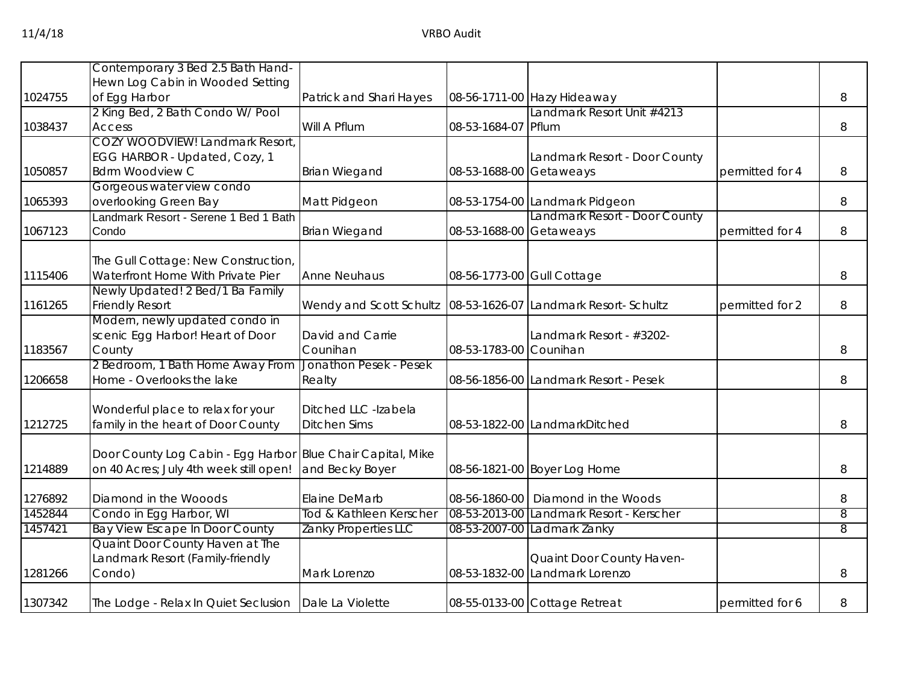|         | Contemporary 3 Bed 2.5 Bath Hand-      |                                 |                            |                                                                |                 |   |
|---------|----------------------------------------|---------------------------------|----------------------------|----------------------------------------------------------------|-----------------|---|
|         | Hewn Log Cabin in Wooded Setting       |                                 |                            |                                                                |                 |   |
| 1024755 | of Egg Harbor                          | Patrick and Shari Hayes         |                            | 08-56-1711-00 Hazy Hideaway                                    |                 | 8 |
|         | 2 King Bed, 2 Bath Condo W/ Pool       |                                 |                            | Landmark Resort Unit #4213                                     |                 |   |
| 1038437 | <b>Access</b>                          | Will A Pflum                    | 08-53-1684-07 Pflum        |                                                                |                 |   |
|         |                                        |                                 |                            |                                                                |                 | 8 |
|         | <b>COZY WOODVIEW! Landmark Resort</b>  |                                 |                            |                                                                |                 |   |
|         | EGG HARBOR - Updated, Cozy, 1          |                                 |                            | Landmark Resort - Door County                                  |                 |   |
| 1050857 | <b>Bdrm Woodview C</b>                 | <b>Brian Wiegand</b>            | 08-53-1688-00 Getaweays    |                                                                | permitted for 4 | 8 |
|         | Gorgeous water view condo              |                                 |                            |                                                                |                 |   |
| 1065393 | overlooking Green Bay                  | Matt Pidgeon                    |                            | 08-53-1754-00 Landmark Pidgeon                                 |                 | 8 |
|         | Landmark Resort - Serene 1 Bed 1 Bath  |                                 |                            | Landmark Resort - Door County                                  |                 |   |
| 1067123 | Condo                                  | <b>Brian Wiegand</b>            | 08-53-1688-00 Getaweays    |                                                                | permitted for 4 | 8 |
|         | The Gull Cottage: New Construction,    |                                 |                            |                                                                |                 |   |
|         |                                        | <b>Anne Neuhaus</b>             |                            |                                                                |                 |   |
| 1115406 | Waterfront Home With Private Pier      |                                 | 08-56-1773-00 Gull Cottage |                                                                |                 | 8 |
|         | Newly Updated! 2 Bed/1 Ba Family       |                                 |                            |                                                                |                 |   |
| 1161265 | <b>Friendly Resort</b>                 |                                 |                            | Wendy and Scott Schultz 08-53-1626-07 Landmark Resort- Schultz | permitted for 2 | 8 |
|         | Modern, newly updated condo in         |                                 |                            |                                                                |                 |   |
|         | scenic Egg Harbor! Heart of Door       | David and Carrie                |                            | Landmark Resort - #3202-                                       |                 |   |
| 1183567 | County                                 | Counihan                        | 08-53-1783-00 Counihan     |                                                                |                 | 8 |
|         | 2 Bedroom, 1 Bath Home Away From       | Jonathon Pesek - Pesek          |                            |                                                                |                 |   |
| 1206658 | Home - Overlooks the lake              | Realty                          |                            | 08-56-1856-00 Landmark Resort - Pesek                          |                 | 8 |
|         | Wonderful place to relax for your      | Ditched LLC -Izabela            |                            |                                                                |                 |   |
| 1212725 | family in the heart of Door County     | <b>Ditchen Sims</b>             |                            | 08-53-1822-00 LandmarkDitched                                  |                 | 8 |
|         |                                        |                                 |                            |                                                                |                 |   |
|         | Door County Log Cabin - Egg Harbor     | <b>Blue Chair Capital, Mike</b> |                            |                                                                |                 |   |
| 1214889 | on 40 Acres; July 4th week still open! | and Becky Boyer                 |                            | 08-56-1821-00 Boyer Log Home                                   |                 | 8 |
|         |                                        |                                 |                            |                                                                |                 |   |
| 1276892 | Diamond in the Wooods                  | Elaine DeMarb                   | 08-56-1860-00              | Diamond in the Woods                                           |                 | 8 |
| 1452844 | Condo in Egg Harbor, WI                | Tod & Kathleen Kerscher         |                            | 08-53-2013-00 Landmark Resort - Kerscher                       |                 | 8 |
| 1457421 | <b>Bay View Escape In Door County</b>  | Zanky Properties LLC            |                            | 08-53-2007-00 Ladmark Zanky                                    |                 | 8 |
|         | Quaint Door County Haven at The        |                                 |                            |                                                                |                 |   |
|         | andmark Resort (Family-friendly        |                                 |                            | Quaint Door County Haven-                                      |                 |   |
| 1281266 | Condo)                                 | Mark Lorenzo                    |                            | 08-53-1832-00 Landmark Lorenzo                                 |                 | 8 |
|         |                                        |                                 |                            |                                                                |                 |   |
| 1307342 | The Lodge - Relax In Quiet Seclusion   | Dale La Violette                |                            | 08-55-0133-00 Cottage Retreat                                  | permitted for 6 | 8 |
|         |                                        |                                 |                            |                                                                |                 |   |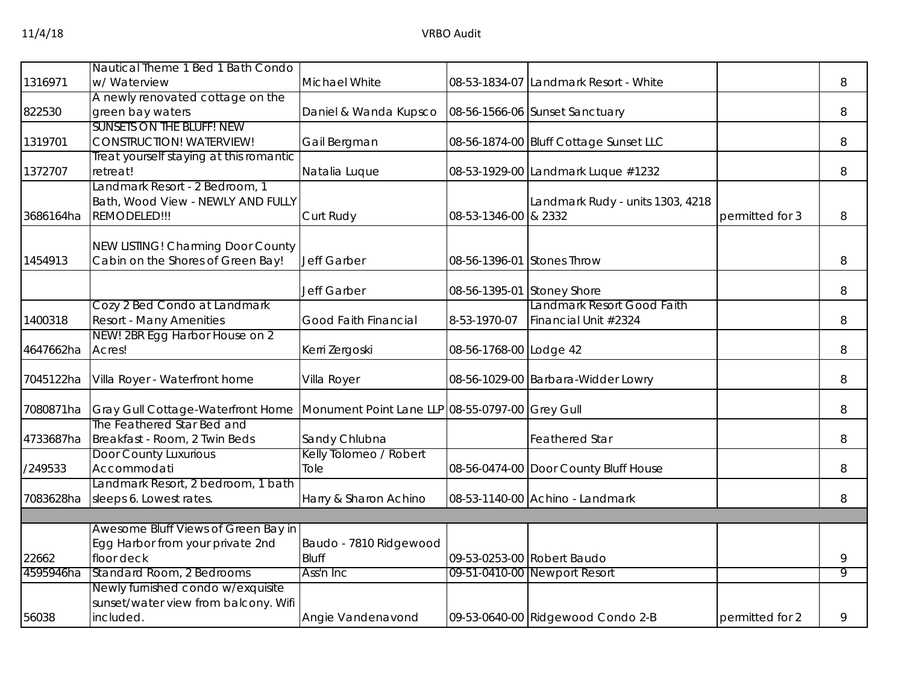|           | Nautical Theme 1 Bed 1 Bath Condo       |                                                 |                            |                                        |                 |   |
|-----------|-----------------------------------------|-------------------------------------------------|----------------------------|----------------------------------------|-----------------|---|
| 1316971   | w/ Waterview                            | Michael White                                   |                            | 08-53-1834-07 Landmark Resort - White  |                 | 8 |
|           | A newly renovated cottage on the        |                                                 |                            |                                        |                 |   |
| 822530    | green bay waters                        | Daniel & Wanda Kupsco                           |                            | 08-56-1566-06 Sunset Sanctuary         |                 | 8 |
|           | <b>SUNSETS ON THE BLUFF! NEW</b>        |                                                 |                            |                                        |                 |   |
| 1319701   | <b>CONSTRUCTION! WATERVIEW!</b>         | Gail Bergman                                    |                            | 08-56-1874-00 Bluff Cottage Sunset LLC |                 | 8 |
|           | Treat yourself staying at this romantic |                                                 |                            |                                        |                 |   |
| 1372707   | retreat!                                | Natalia Luque                                   |                            | 08-53-1929-00 Landmark Luque #1232     |                 | 8 |
|           | Landmark Resort - 2 Bedroom, 1          |                                                 |                            |                                        |                 |   |
|           | Bath, Wood View - NEWLY AND FULLY       |                                                 |                            | Landmark Rudy - units 1303, 4218       |                 |   |
| 3686164ha | REMODELED!!!                            | Curt Rudy                                       | 08-53-1346-00 & 2332       |                                        | permitted for 3 | 8 |
|           |                                         |                                                 |                            |                                        |                 |   |
|           | NEW LISTING! Charming Door County       |                                                 |                            |                                        |                 |   |
| 1454913   | Cabin on the Shores of Green Bay!       | <b>Jeff Garber</b>                              | 08-56-1396-01 Stones Throw |                                        |                 | 8 |
|           |                                         | Jeff Garber                                     | 08-56-1395-01              | <b>Stoney Shore</b>                    |                 | 8 |
|           | Cozy 2 Bed Condo at Landmark            |                                                 |                            | Landmark Resort Good Faith             |                 |   |
| 1400318   | <b>Resort - Many Amenities</b>          | <b>Good Faith Financial</b>                     | 8-53-1970-07               | Financial Unit #2324                   |                 | 8 |
|           | NEW! 2BR Egg Harbor House on 2          |                                                 |                            |                                        |                 |   |
| 4647662ha | Acres!                                  | Kerri Zergoski                                  | 08-56-1768-00 Lodge 42     |                                        |                 | 8 |
|           |                                         |                                                 |                            |                                        |                 |   |
| 7045122ha | Villa Royer - Waterfront home           | Villa Royer                                     |                            | 08-56-1029-00 Barbara-Widder Lowry     |                 | 8 |
|           |                                         |                                                 |                            |                                        |                 |   |
| 7080871ha | Gray Gull Cottage-Waterfront Home       | Monument Point Lane LLP 08-55-0797-00 Grey Gull |                            |                                        |                 | 8 |
|           | The Feathered Star Bed and              |                                                 |                            |                                        |                 |   |
| 4733687ha | Breakfast - Room, 2 Twin Beds           | Sandy Chlubna                                   |                            | <b>Feathered Star</b>                  |                 | 8 |
|           | <b>Door County Luxurious</b>            | Kelly Tolomeo / Robert                          |                            |                                        |                 |   |
| /249533   | Accommodati                             | Tole                                            |                            | 08-56-0474-00 Door County Bluff House  |                 | 8 |
|           | Landmark Resort, 2 bedroom, 1 bath      |                                                 |                            |                                        |                 |   |
| 7083628ha | sleeps 6. Lowest rates.                 | Harry & Sharon Achino                           |                            | 08-53-1140-00 Achino - Landmark        |                 | 8 |
|           |                                         |                                                 |                            |                                        |                 |   |
|           | Awesome Bluff Views of Green Bay in     |                                                 |                            |                                        |                 |   |
|           | Egg Harbor from your private 2nd        | Baudo - 7810 Ridgewood                          |                            |                                        |                 |   |
| 22662     | floor deck                              | <b>Bluff</b>                                    |                            | 09-53-0253-00 Robert Baudo             |                 | 9 |
| 4595946ha | Standard Room, 2 Bedrooms               | Ass'n Inc                                       |                            | 09-51-0410-00 Newport Resort           |                 | 9 |
|           | Newly furnished condo w/exquisite       |                                                 |                            |                                        |                 |   |
|           | sunset/water view from balcony. Wifi    |                                                 |                            |                                        |                 |   |
| 56038     | included.                               | Angie Vandenavond                               |                            | 09-53-0640-00 Ridgewood Condo 2-B      | permitted for 2 | 9 |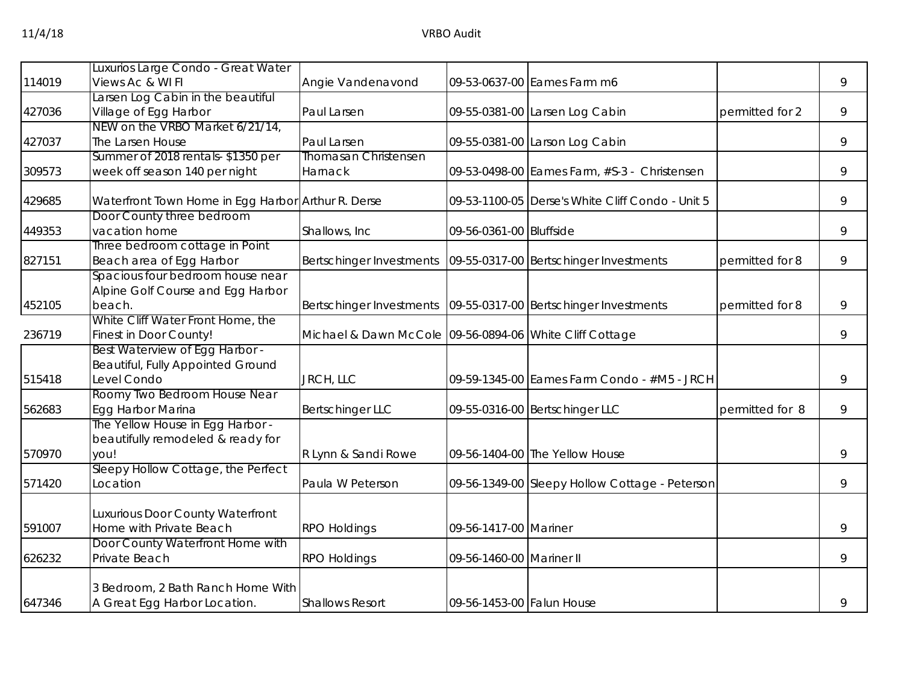|        | Luxurios Large Condo - Great Water                                |                                                                     |                           |                                                  |                 |   |
|--------|-------------------------------------------------------------------|---------------------------------------------------------------------|---------------------------|--------------------------------------------------|-----------------|---|
| 114019 | Views Ac & WI FI                                                  | Angie Vandenavond                                                   |                           | 09-53-0637-00 Eames Farm m6                      |                 | 9 |
|        | Larsen Log Cabin in the beautiful                                 |                                                                     |                           |                                                  |                 |   |
| 427036 | Village of Egg Harbor                                             | Paul Larsen                                                         |                           | 09-55-0381-00 Larsen Log Cabin                   | permitted for 2 | 9 |
|        | NEW on the VRBO Market 6/21/14,                                   |                                                                     |                           |                                                  |                 |   |
| 427037 | The Larsen House                                                  | Paul Larsen                                                         |                           | 09-55-0381-00 Larson Log Cabin                   |                 | 9 |
|        | Summer of 2018 rentals-\$1350 per                                 | <b>Thomasan Christensen</b>                                         |                           |                                                  |                 |   |
| 309573 | week off season 140 per night                                     | Harnack                                                             |                           | 09-53-0498-00 Eames Farm, #S-3 - Christensen     |                 | 9 |
| 429685 | Waterfront Town Home in Egg Harbor Arthur R. Derse                |                                                                     |                           | 09-53-1100-05 Derse's White Cliff Condo - Unit 5 |                 | 9 |
|        | Door County three bedroom                                         |                                                                     |                           |                                                  |                 |   |
| 449353 | vacation home                                                     | Shallows, Inc                                                       | 09-56-0361-00 Bluffside   |                                                  |                 | 9 |
|        | Three bedroom cottage in Point                                    |                                                                     |                           |                                                  |                 |   |
| 827151 | Beach area of Egg Harbor                                          | Bertschinger Investments                                            |                           | 09-55-0317-00 Bertschinger Investments           | permitted for 8 | 9 |
|        | Spacious four bedroom house near                                  |                                                                     |                           |                                                  |                 |   |
|        | Alpine Golf Course and Egg Harbor                                 |                                                                     |                           |                                                  |                 |   |
| 452105 | beach.                                                            | Bertschinger Investments   09-55-0317-00   Bertschinger Investments |                           |                                                  | permitted for 8 | 9 |
|        | White Cliff Water Front Home, the                                 |                                                                     |                           |                                                  |                 |   |
| 236719 | Finest in Door County!                                            | Michael & Dawn McCole 09-56-0894-06 White Cliff Cottage             |                           |                                                  |                 | 9 |
|        | Best Waterview of Egg Harbor -                                    |                                                                     |                           |                                                  |                 |   |
|        | Beautiful, Fully Appointed Ground                                 |                                                                     |                           |                                                  |                 |   |
| 515418 | Level Condo                                                       | JRCH, LLC                                                           |                           | 09-59-1345-00 Eames Farm Condo - #M5 - JRCH      |                 | 9 |
|        | Roomy Two Bedroom House Near                                      |                                                                     |                           |                                                  |                 |   |
| 562683 | Egg Harbor Marina                                                 | <b>Bertschinger LLC</b>                                             |                           | 09-55-0316-00 Bertschinger LLC                   | permitted for 8 | 9 |
|        | The Yellow House in Egg Harbor -                                  |                                                                     |                           |                                                  |                 |   |
|        | beautifully remodeled & ready for                                 |                                                                     |                           |                                                  |                 |   |
| 570970 | you!                                                              | R Lynn & Sandi Rowe                                                 |                           | 09-56-1404-00 The Yellow House                   |                 | 9 |
| 571420 | Sleepy Hollow Cottage, the Perfect<br>Location                    | Paula W Peterson                                                    |                           | 09-56-1349-00 Sleepy Hollow Cottage - Peterson   |                 | 9 |
|        |                                                                   |                                                                     |                           |                                                  |                 |   |
|        | Luxurious Door County Waterfront                                  |                                                                     |                           |                                                  |                 |   |
| 591007 | Home with Private Beach                                           | <b>RPO Holdings</b>                                                 | 09-56-1417-00 Mariner     |                                                  |                 | 9 |
|        | Door County Waterfront Home with                                  |                                                                     |                           |                                                  |                 |   |
| 626232 | Private Beach                                                     | <b>RPO Holdings</b>                                                 | 09-56-1460-00 Mariner II  |                                                  |                 | 9 |
|        |                                                                   |                                                                     |                           |                                                  |                 |   |
| 647346 | 3 Bedroom, 2 Bath Ranch Home With<br>A Great Egg Harbor Location. | <b>Shallows Resort</b>                                              | 09-56-1453-00 Falun House |                                                  |                 | 9 |
|        |                                                                   |                                                                     |                           |                                                  |                 |   |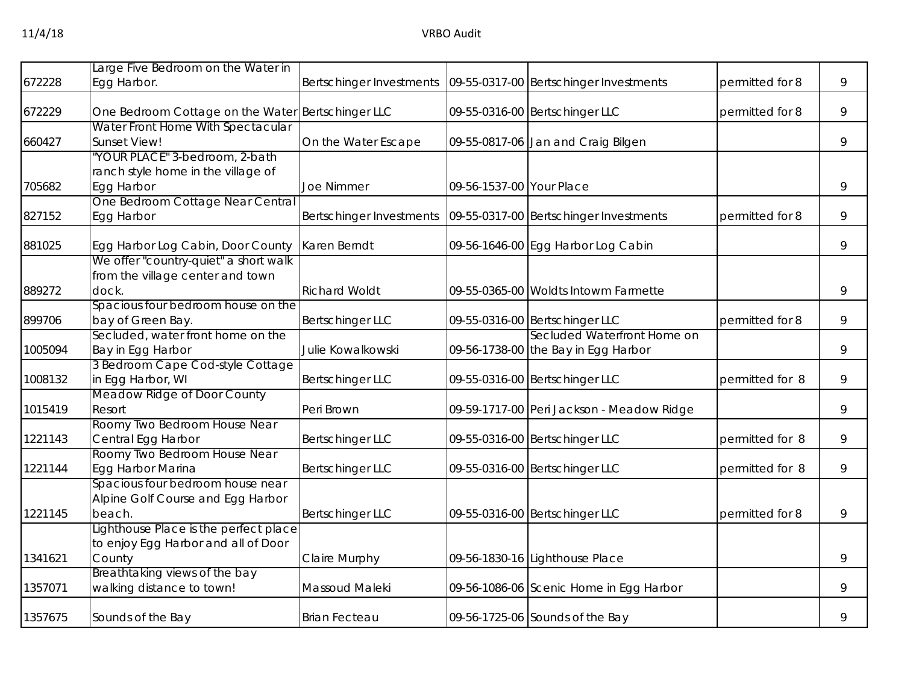|         | Large Five Bedroom on the Water in                                                     |                          |                          |                                                                    |                 |   |
|---------|----------------------------------------------------------------------------------------|--------------------------|--------------------------|--------------------------------------------------------------------|-----------------|---|
| 672228  | Egg Harbor.                                                                            | Bertschinger Investments |                          | 09-55-0317-00 Bertschinger Investments                             | permitted for 8 | 9 |
| 672229  | One Bedroom Cottage on the Water<br>Water Front Home With Spectacular                  | <b>Bertschinger LLC</b>  |                          | 09-55-0316-00 Bertschinger LLC                                     | permitted for 8 | 9 |
| 660427  | Sunset View!                                                                           | On the Water Escape      |                          | 09-55-0817-06 Jan and Craig Bilgen                                 |                 | 9 |
| 705682  | 'YOUR PLACE" 3-bedroom, 2-bath<br>ranch style home in the village of<br>Egg Harbor     | <b>Joe Nimmer</b>        | 09-56-1537-00 Your Place |                                                                    |                 | 9 |
| 827152  | One Bedroom Cottage Near Central<br>Egg Harbor                                         | Bertschinger Investments |                          | 09-55-0317-00 Bertschinger Investments                             | permitted for 8 | 9 |
| 881025  | Egg Harbor Log Cabin, Door County                                                      | Karen Berndt             |                          | 09-56-1646-00 Egg Harbor Log Cabin                                 |                 | 9 |
| 889272  | We offer "country-quiet" a short walk<br>from the village center and town<br>dock.     | <b>Richard Woldt</b>     |                          | 09-55-0365-00 Woldts Intowm Farmette                               |                 | 9 |
| 899706  | Spacious four bedroom house on the<br>bay of Green Bay.                                | <b>Bertschinger LLC</b>  |                          | 09-55-0316-00 Bertschinger LLC                                     | permitted for 8 | 9 |
| 1005094 | Secluded, water front home on the<br>Bay in Egg Harbor                                 | Julie Kowalkowski        |                          | Secluded Waterfront Home on<br>09-56-1738-00 the Bay in Egg Harbor |                 | 9 |
| 1008132 | 3 Bedroom Cape Cod-style Cottage<br>in Egg Harbor, WI                                  | <b>Bertschinger LLC</b>  |                          | 09-55-0316-00 Bertschinger LLC                                     | permitted for 8 | 9 |
| 1015419 | Meadow Ridge of Door County<br>Resort                                                  | Peri Brown               |                          | 09-59-1717-00 Peri Jackson - Meadow Ridge                          |                 | 9 |
| 1221143 | Roomy Two Bedroom House Near<br>Central Egg Harbor                                     | <b>Bertschinger LLC</b>  |                          | 09-55-0316-00 Bertschinger LLC                                     | permitted for 8 | 9 |
| 1221144 | Roomy Two Bedroom House Near<br>Egg Harbor Marina                                      | <b>Bertschinger LLC</b>  |                          | 09-55-0316-00 Bertschinger LLC                                     | permitted for 8 | 9 |
| 1221145 | Spacious four bedroom house near<br>Alpine Golf Course and Egg Harbor<br>beach.        | <b>Bertschinger LLC</b>  |                          | 09-55-0316-00 Bertschinger LLC                                     | permitted for 8 | 9 |
| 1341621 | Lighthouse Place is the perfect place<br>to enjoy Egg Harbor and all of Door<br>County | Claire Murphy            |                          | 09-56-1830-16 Lighthouse Place                                     |                 | 9 |
| 1357071 | Breathtaking views of the bay<br>walking distance to town!                             | Massoud Maleki           |                          | 09-56-1086-06 Scenic Home in Egg Harbor                            |                 | 9 |
| 1357675 | Sounds of the Bay                                                                      | <b>Brian Fecteau</b>     |                          | 09-56-1725-06 Sounds of the Bay                                    |                 | 9 |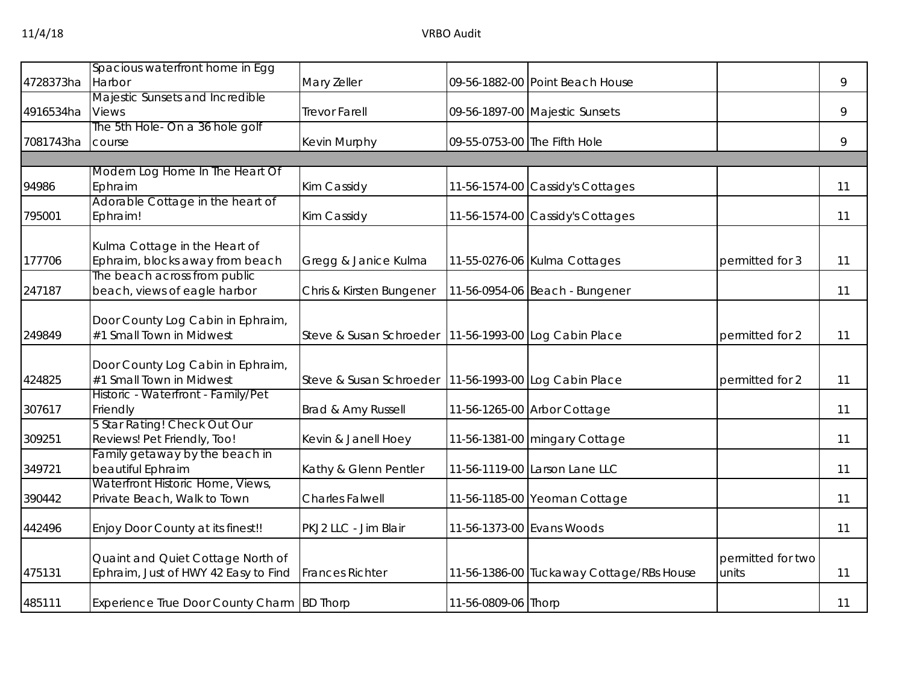|           | Spacious waterfront home in Egg                               |                                                         |                              |                                          |                   |    |
|-----------|---------------------------------------------------------------|---------------------------------------------------------|------------------------------|------------------------------------------|-------------------|----|
| 4728373ha | Harbor                                                        | Mary Zeller                                             |                              | 09-56-1882-00 Point Beach House          |                   | 9  |
|           | Majestic Sunsets and Incredible                               |                                                         |                              |                                          |                   |    |
| 4916534ha | <b>Views</b><br>The 5th Hole- On a 36 hole golf               | <b>Trevor Farell</b>                                    |                              | 09-56-1897-00 Majestic Sunsets           |                   | 9  |
| 7081743ha | course                                                        | Kevin Murphy                                            | 09-55-0753-00 The Fifth Hole |                                          |                   | 9  |
|           |                                                               |                                                         |                              |                                          |                   |    |
|           | Modern Log Home In The Heart Of                               |                                                         |                              |                                          |                   |    |
| 94986     | Ephraim                                                       | Kim Cassidy                                             |                              | 11-56-1574-00 Cassidy's Cottages         |                   | 11 |
|           | Adorable Cottage in the heart of                              |                                                         |                              |                                          |                   |    |
| 795001    | Ephraim!                                                      | Kim Cassidy                                             |                              | 11-56-1574-00 Cassidy's Cottages         |                   | 11 |
|           | Kulma Cottage in the Heart of                                 |                                                         |                              |                                          |                   |    |
| 177706    | Ephraim, blocks away from beach                               | Gregg & Janice Kulma                                    |                              | 11-55-0276-06 Kulma Cottages             | permitted for 3   | 11 |
|           | The beach across from public                                  |                                                         |                              |                                          |                   |    |
| 247187    | beach, views of eagle harbor                                  | Chris & Kirsten Bungener                                |                              | 11-56-0954-06 Beach - Bungener           |                   | 11 |
|           | Door County Log Cabin in Ephraim,                             |                                                         |                              |                                          |                   |    |
| 249849    | #1 Small Town in Midwest                                      | Steve & Susan Schroeder   11-56-1993-00 Log Cabin Place |                              |                                          | permitted for 2   | 11 |
|           |                                                               |                                                         |                              |                                          |                   |    |
|           | Door County Log Cabin in Ephraim,                             |                                                         |                              |                                          |                   |    |
| 424825    | #1 Small Town in Midwest                                      | Steve & Susan Schroeder   11-56-1993-00 Log Cabin Place |                              |                                          | permitted for 2   | 11 |
|           | Historic - Waterfront - Family/Pet                            |                                                         |                              |                                          |                   |    |
| 307617    | Friendly                                                      | Brad & Amy Russell                                      |                              | 11-56-1265-00 Arbor Cottage              |                   | 11 |
|           | 5 Star Rating! Check Out Our                                  |                                                         |                              |                                          |                   |    |
| 309251    | Reviews! Pet Friendly, Too!<br>Family getaway by the beach in | Kevin & Janell Hoey                                     |                              | 11-56-1381-00 mingary Cottage            |                   | 11 |
| 349721    | beautiful Ephraim                                             | Kathy & Glenn Pentler                                   |                              | 11-56-1119-00 Larson Lane LLC            |                   | 11 |
|           | Waterfront Historic Home, Views,                              |                                                         |                              |                                          |                   |    |
| 390442    | Private Beach, Walk to Town                                   | Charles Falwell                                         |                              | 11-56-1185-00 Yeoman Cottage             |                   | 11 |
|           |                                                               | PKJ2 LLC - Jim Blair                                    | 11-56-1373-00 Evans Woods    |                                          |                   | 11 |
| 442496    | Enjoy Door County at its finest!!                             |                                                         |                              |                                          |                   |    |
|           | Quaint and Quiet Cottage North of                             |                                                         |                              |                                          | permitted for two |    |
| 475131    | Ephraim, Just of HWY 42 Easy to Find                          | <b>Frances Richter</b>                                  |                              | 11-56-1386-00 Tuckaway Cottage/RBs House | units             | 11 |
|           |                                                               |                                                         |                              |                                          |                   |    |
| 485111    | Experience True Door County Charm BD Thorp                    |                                                         | 11-56-0809-06 Thorp          |                                          |                   | 11 |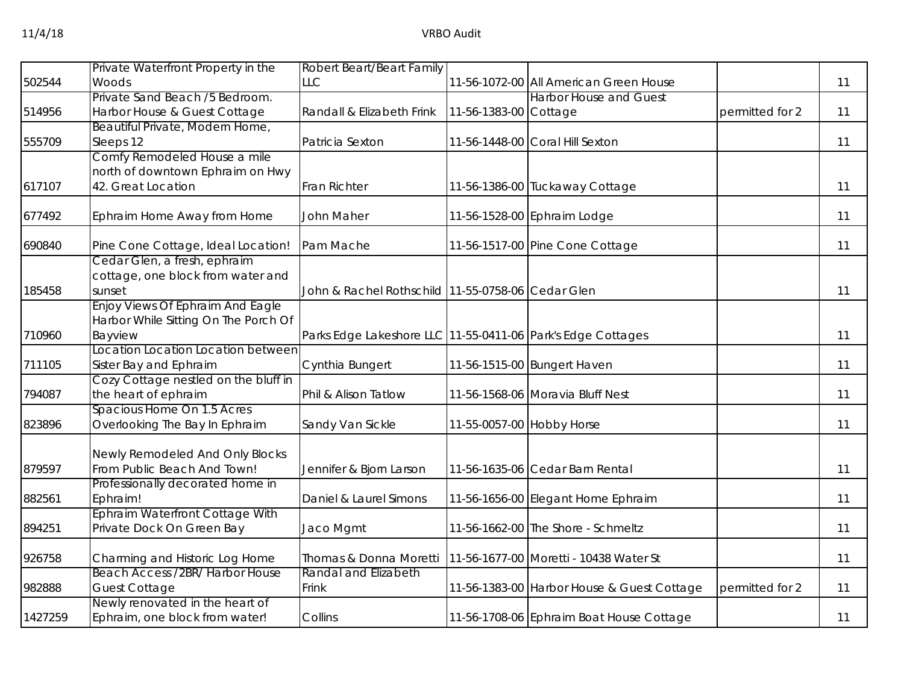|         | Private Waterfront Property in the                                | Robert Beart/Beart Family                                   |                       |                                            |                 |    |
|---------|-------------------------------------------------------------------|-------------------------------------------------------------|-----------------------|--------------------------------------------|-----------------|----|
| 502544  | Woods                                                             | <b>LLC</b>                                                  |                       | 11-56-1072-00 All American Green House     |                 | 11 |
|         | Private Sand Beach /5 Bedroom.                                    |                                                             |                       | <b>Harbor House and Guest</b>              |                 |    |
| 514956  | Harbor House & Guest Cottage                                      | Randall & Elizabeth Frink                                   | 11-56-1383-00 Cottage |                                            | permitted for 2 | 11 |
|         | Beautiful Private, Modern Home,                                   |                                                             |                       |                                            |                 |    |
| 555709  | Sleeps 12                                                         | Patricia Sexton                                             |                       | 11-56-1448-00 Coral Hill Sexton            |                 | 11 |
|         | Comfy Remodeled House a mile                                      |                                                             |                       |                                            |                 |    |
|         | north of downtown Ephraim on Hwy                                  |                                                             |                       |                                            |                 |    |
| 617107  | 42. Great Location                                                | Fran Richter                                                |                       | 11-56-1386-00 Tuckaway Cottage             |                 | 11 |
| 677492  | Ephraim Home Away from Home                                       | John Maher                                                  |                       | 11-56-1528-00 Ephraim Lodge                |                 | 11 |
| 690840  | Pine Cone Cottage, Ideal Location!                                | Pam Mache                                                   |                       | 11-56-1517-00 Pine Cone Cottage            |                 | 11 |
|         | Cedar Glen, a fresh, ephraim                                      |                                                             |                       |                                            |                 |    |
|         | cottage, one block from water and                                 |                                                             |                       |                                            |                 |    |
| 185458  | sunset                                                            | John & Rachel Rothschild 11-55-0758-06 Cedar Glen           |                       |                                            |                 | 11 |
|         | Enjoy Views Of Ephraim And Eagle                                  |                                                             |                       |                                            |                 |    |
|         | Harbor While Sitting On The Porch Of                              |                                                             |                       |                                            |                 |    |
| 710960  | Bayview                                                           | Parks Edge Lakeshore LLC 11-55-0411-06 Park's Edge Cottages |                       |                                            |                 | 11 |
| 711105  | Location Location Location between<br>Sister Bay and Ephraim      | Cynthia Bungert                                             |                       | 11-56-1515-00 Bungert Haven                |                 | 11 |
|         | Cozy Cottage nestled on the bluff in                              |                                                             |                       |                                            |                 |    |
| 794087  | the heart of ephraim                                              | Phil & Alison Tatlow                                        |                       | 11-56-1568-06 Moravia Bluff Nest           |                 | 11 |
|         | Spacious Home On 1.5 Acres                                        |                                                             |                       |                                            |                 |    |
| 823896  | Overlooking The Bay In Ephraim                                    | Sandy Van Sickle                                            |                       | 11-55-0057-00 Hobby Horse                  |                 | 11 |
|         |                                                                   |                                                             |                       |                                            |                 |    |
| 879597  | Newly Remodeled And Only Blocks<br>From Public Beach And Town!    |                                                             |                       | 11-56-1635-06 Cedar Barn Rental            |                 | 11 |
|         | Professionally decorated home in                                  | Jennifer & Bjorn Larson                                     |                       |                                            |                 |    |
| 882561  | Ephraim!                                                          | Daniel & Laurel Simons                                      |                       | 11-56-1656-00 Elegant Home Ephraim         |                 | 11 |
|         | <b>Ephraim Waterfront Cottage With</b>                            |                                                             |                       |                                            |                 |    |
| 894251  | Private Dock On Green Bay                                         | Jaco Mgmt                                                   |                       | 11-56-1662-00 The Shore - Schmeltz         |                 | 11 |
|         |                                                                   |                                                             |                       |                                            |                 |    |
| 926758  | Charming and Historic Log Home                                    | Thomas & Donna Moretti                                      |                       | 11-56-1677-00 Moretti - 10438 Water St     |                 | 11 |
|         | Beach Access /2BR/ Harbor House                                   | Randal and Elizabeth                                        |                       |                                            |                 |    |
| 982888  | <b>Guest Cottage</b>                                              | Frink                                                       |                       | 11-56-1383-00 Harbor House & Guest Cottage | permitted for 2 | 11 |
| 1427259 | Newly renovated in the heart of<br>Ephraim, one block from water! | Collins                                                     |                       |                                            |                 | 11 |
|         |                                                                   |                                                             |                       | 11-56-1708-06 Ephraim Boat House Cottage   |                 |    |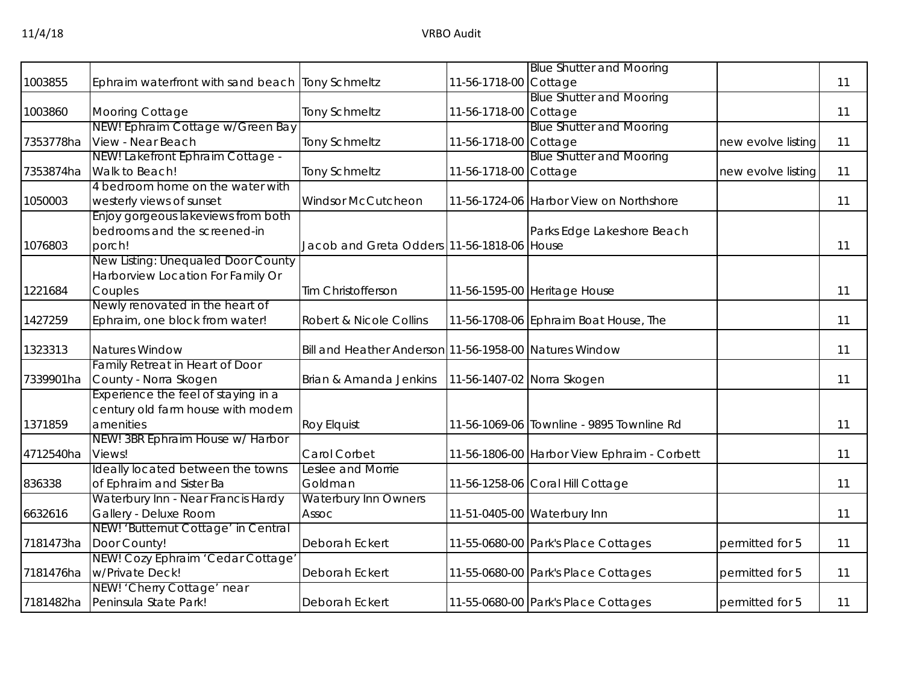|           |                                                  |                                                        |                       | <b>Blue Shutter and Mooring</b>             |                    |    |
|-----------|--------------------------------------------------|--------------------------------------------------------|-----------------------|---------------------------------------------|--------------------|----|
| 1003855   | Ephraim waterfront with sand beach Tony Schmeltz |                                                        | 11-56-1718-00 Cottage |                                             |                    | 11 |
|           |                                                  |                                                        |                       | <b>Blue Shutter and Mooring</b>             |                    |    |
| 1003860   | Mooring Cottage                                  | <b>Tony Schmeltz</b>                                   | 11-56-1718-00 Cottage |                                             |                    | 11 |
|           | NEW! Ephraim Cottage w/Green Bay                 |                                                        |                       | <b>Blue Shutter and Mooring</b>             |                    |    |
| 7353778ha | View - Near Beach                                | <b>Tony Schmeltz</b>                                   | 11-56-1718-00 Cottage |                                             | new evolve listing | 11 |
|           | NEW! Lakefront Ephraim Cottage -                 |                                                        |                       | <b>Blue Shutter and Mooring</b>             |                    |    |
| 7353874ha | Walk to Beach!                                   | <b>Tony Schmeltz</b>                                   | 11-56-1718-00 Cottage |                                             | new evolve listing | 11 |
|           | 4 bedroom home on the water with                 |                                                        |                       |                                             |                    |    |
| 1050003   | westerly views of sunset                         | <b>Windsor McCutcheon</b>                              |                       | 11-56-1724-06 Harbor View on Northshore     |                    | 11 |
|           | Enjoy gorgeous lakeviews from both               |                                                        |                       |                                             |                    |    |
|           | bedrooms and the screened-in                     |                                                        |                       | Parks Edge Lakeshore Beach                  |                    |    |
| 1076803   | porch!                                           | Jacob and Greta Odders 11-56-1818-06 House             |                       |                                             |                    | 11 |
|           | New Listing: Unequaled Door County               |                                                        |                       |                                             |                    |    |
|           | Harborview Location For Family Or                |                                                        |                       |                                             |                    |    |
| 1221684   | Couples                                          | Tim Christofferson                                     |                       | 11-56-1595-00 Heritage House                |                    | 11 |
|           | Newly renovated in the heart of                  |                                                        |                       |                                             |                    |    |
| 1427259   | Ephraim, one block from water!                   | Robert & Nicole Collins                                |                       | 11-56-1708-06 Ephraim Boat House, The       |                    | 11 |
| 1323313   | <b>Natures Window</b>                            | Bill and Heather Anderson 11-56-1958-00 Natures Window |                       |                                             |                    | 11 |
|           | Family Retreat in Heart of Door                  |                                                        |                       |                                             |                    |    |
| 7339901ha | County - Norra Skogen                            | Brian & Amanda Jenkins                                 |                       | 11-56-1407-02 Norra Skogen                  |                    | 11 |
|           | Experience the feel of staying in a              |                                                        |                       |                                             |                    |    |
|           | century old farm house with modern               |                                                        |                       |                                             |                    |    |
| 1371859   | amenities                                        | Roy Elquist                                            |                       | 11-56-1069-06 Townline - 9895 Townline Rd   |                    | 11 |
|           | NEW! 3BR Ephraim House w/ Harbor                 |                                                        |                       |                                             |                    |    |
| 4712540ha | Views!                                           | Carol Corbet                                           |                       | 11-56-1806-00 Harbor View Ephraim - Corbett |                    | 11 |
|           | Ideally located between the towns                | Leslee and Morrie                                      |                       |                                             |                    |    |
| 836338    | of Ephraim and Sister Ba                         | Goldman                                                |                       | 11-56-1258-06 Coral Hill Cottage            |                    | 11 |
|           | Waterbury Inn - Near Francis Hardy               | <b>Waterbury Inn Owners</b>                            |                       |                                             |                    |    |
| 6632616   | Gallery - Deluxe Room                            | <b>Assoc</b>                                           |                       | 11-51-0405-00 Waterbury Inn                 |                    | 11 |
|           | NEW! 'Butternut Cottage' in Central              |                                                        |                       |                                             |                    |    |
| 7181473ha | Door County!                                     | Deborah Eckert                                         |                       | 11-55-0680-00 Park's Place Cottages         | permitted for 5    | 11 |
|           | NEW! Cozy Ephraim 'Cedar Cottage'                |                                                        |                       |                                             |                    |    |
| 7181476ha | w/Private Deck!                                  | Deborah Eckert                                         |                       | 11-55-0680-00 Park's Place Cottages         | permitted for 5    | 11 |
|           | NEW! 'Cherry Cottage' near                       |                                                        |                       |                                             |                    |    |
|           | 7181482ha Peninsula State Park!                  | Deborah Eckert                                         |                       | 11-55-0680-00 Park's Place Cottages         | permitted for 5    | 11 |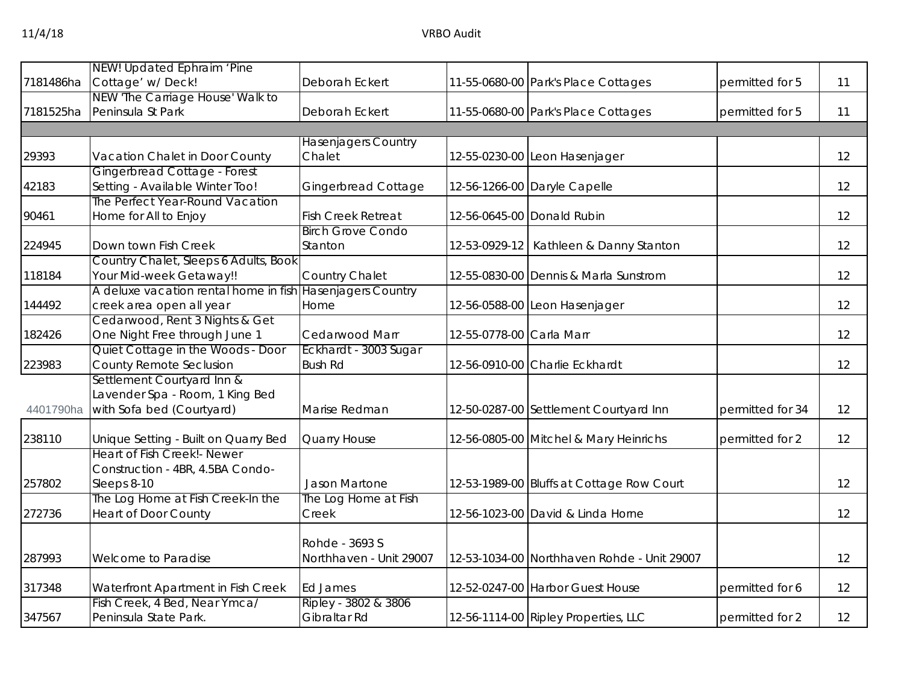| 7181486ha | NEW! Updated Ephraim 'Pine<br>Cottage' w/Deck!                     | Deborah Eckert                          |                          | 11-55-0680-00 Park's Place Cottages         | permitted for 5  | 11 |
|-----------|--------------------------------------------------------------------|-----------------------------------------|--------------------------|---------------------------------------------|------------------|----|
| 7181525ha | NEW 'The Carriage House' Walk to<br>Peninsula St Park              | Deborah Eckert                          |                          | 11-55-0680-00 Park's Place Cottages         | permitted for 5  | 11 |
|           |                                                                    |                                         |                          |                                             |                  |    |
|           |                                                                    | <b>Hasenjagers Country</b>              |                          |                                             |                  |    |
| 29393     | Vacation Chalet in Door County                                     | Chalet                                  |                          | 12-55-0230-00 Leon Hasenjager               |                  | 12 |
|           | Gingerbread Cottage - Forest                                       |                                         |                          |                                             |                  |    |
| 42183     | Setting - Available Winter Too!                                    | <b>Gingerbread Cottage</b>              |                          | 12-56-1266-00 Daryle Capelle                |                  | 12 |
|           | The Perfect Year-Round Vacation                                    |                                         |                          |                                             |                  |    |
| 90461     | Home for All to Enjoy                                              | <b>Fish Creek Retreat</b>               |                          | 12-56-0645-00 Donald Rubin                  |                  | 12 |
|           |                                                                    | <b>Birch Grove Condo</b>                |                          |                                             |                  |    |
| 224945    | Down town Fish Creek                                               | Stanton                                 |                          | 12-53-0929-12   Kathleen & Danny Stanton    |                  | 12 |
|           | Country Chalet, Sleeps 6 Adults, Book                              |                                         |                          |                                             |                  |    |
| 118184    | Your Mid-week Getaway!!                                            | Country Chalet                          |                          | 12-55-0830-00 Dennis & Marla Sunstrom       |                  | 12 |
|           | A deluxe vacation rental home in fish                              | <b>Hasenjagers Country</b>              |                          |                                             |                  |    |
| 144492    | creek area open all year                                           | Home                                    |                          | 12-56-0588-00 Leon Hasenjager               |                  | 12 |
|           | Cedarwood, Rent 3 Nights & Get                                     |                                         |                          |                                             |                  |    |
| 182426    | One Night Free through June 1<br>Quiet Cottage in the Woods - Door | Cedarwood Marr<br>Eckhardt - 3003 Sugar | 12-55-0778-00 Carla Marr |                                             |                  | 12 |
| 223983    | County Remote Seclusion                                            | <b>Bush Rd</b>                          |                          | 12-56-0910-00 Charlie Eckhardt              |                  | 12 |
|           | Settlement Courtyard Inn &                                         |                                         |                          |                                             |                  |    |
|           | Lavender Spa - Room, 1 King Bed                                    |                                         |                          |                                             |                  |    |
| 4401790ha | with Sofa bed (Courtyard)                                          | Marise Redman                           |                          | 12-50-0287-00 Settlement Courtyard Inn      | permitted for 34 | 12 |
|           |                                                                    |                                         |                          |                                             |                  |    |
| 238110    | Unique Setting - Built on Quarry Bed                               | Quarry House                            |                          | 12-56-0805-00 Mitchel & Mary Heinrichs      | permitted for 2  | 12 |
|           | Heart of Fish Creek!- Newer                                        |                                         |                          |                                             |                  |    |
|           | Construction - 4BR, 4.5BA Condo-                                   |                                         |                          |                                             |                  |    |
| 257802    | Sleeps 8-10                                                        | Jason Martone                           |                          | 12-53-1989-00 Bluffs at Cottage Row Court   |                  | 12 |
|           | The Log Home at Fish Creek-In the                                  | The Log Home at Fish                    |                          |                                             |                  |    |
| 272736    | <b>Heart of Door County</b>                                        | Creek                                   |                          | 12-56-1023-00 David & Linda Horne           |                  | 12 |
|           |                                                                    |                                         |                          |                                             |                  |    |
|           |                                                                    | Rohde - 3693 S                          |                          |                                             |                  |    |
| 287993    | Welcome to Paradise                                                | Northhaven - Unit 29007                 |                          | 12-53-1034-00 Northhaven Rohde - Unit 29007 |                  | 12 |
| 317348    | Waterfront Apartment in Fish Creek                                 | <b>Ed James</b>                         |                          | 12-52-0247-00 Harbor Guest House            | permitted for 6  | 12 |
|           | Fish Creek, 4 Bed, Near Ymca/                                      | Ripley - 3802 & 3806                    |                          |                                             |                  |    |
| 347567    | Peninsula State Park.                                              | Gibraltar Rd                            |                          | 12-56-1114-00 Ripley Properties, LLC        | permitted for 2  | 12 |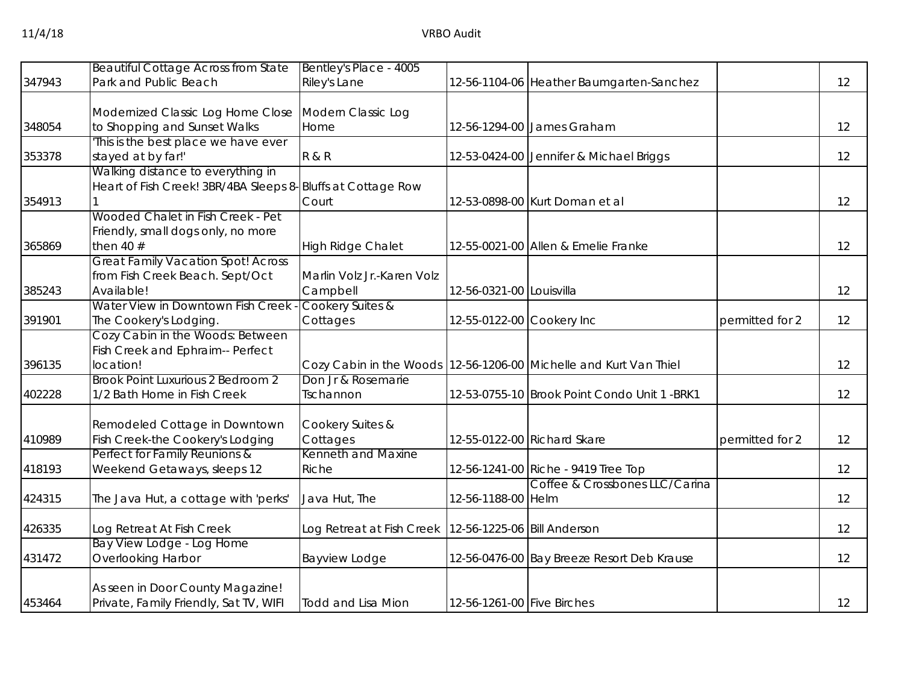| 347943 | <b>Beautiful Cottage Across from State</b><br>Park and Public Beach                              | Bentley's Place - 4005<br>Riley's Lane                    |                            | 12-56-1104-06 Heather Baumgarten-Sanchez                            |                 | 12 |
|--------|--------------------------------------------------------------------------------------------------|-----------------------------------------------------------|----------------------------|---------------------------------------------------------------------|-----------------|----|
|        |                                                                                                  |                                                           |                            |                                                                     |                 |    |
| 348054 | Modernized Classic Log Home Close<br>to Shopping and Sunset Walks                                | Modern Classic Log<br>Home                                |                            | 12-56-1294-00 James Graham                                          |                 | 12 |
| 353378 | This is the best place we have ever<br>stayed at by far!'                                        | <b>R &amp; R</b>                                          |                            | 12-53-0424-00 Jennifer & Michael Briggs                             |                 | 12 |
| 354913 | Walking distance to everything in<br>Heart of Fish Creek! 3BR/4BA Sleeps 8-Bluffs at Cottage Row | Court                                                     |                            | 12-53-0898-00 Kurt Doman et al                                      |                 | 12 |
| 365869 | Wooded Chalet in Fish Creek - Pet<br>Friendly, small dogs only, no more<br>then 40 $#$           | High Ridge Chalet                                         |                            | 12-55-0021-00 Allen & Emelie Franke                                 |                 | 12 |
| 385243 | <b>Great Family Vacation Spot! Across</b><br>from Fish Creek Beach. Sept/Oct<br>Available!       | Marlin Volz Jr.-Karen Volz<br>Campbell                    | 12-56-0321-00 Louisvilla   |                                                                     |                 | 12 |
| 391901 | Water View in Downtown Fish Creek<br>The Cookery's Lodging.                                      | Cookery Suites &<br>Cottages                              | 12-55-0122-00 Cookery Inc  |                                                                     | permitted for 2 | 12 |
| 396135 | Cozy Cabin in the Woods: Between<br>Fish Creek and Ephraim-- Perfect<br>location!                |                                                           |                            | Cozy Cabin in the Woods   12-56-1206-00 Michelle and Kurt Van Thiel |                 | 12 |
| 402228 | Brook Point Luxurious 2 Bedroom 2<br>1/2 Bath Home in Fish Creek                                 | Don Jr & Rosemarie<br>Tschannon                           |                            | 12-53-0755-10 Brook Point Condo Unit 1 -BRK1                        |                 | 12 |
| 410989 | Remodeled Cottage in Downtown<br>Fish Creek-the Cookery's Lodging                                | Cookery Suites &<br>Cottages                              |                            | 12-55-0122-00 Richard Skare                                         | permitted for 2 | 12 |
| 418193 | Perfect for Family Reunions &<br>Weekend Getaways, sleeps 12                                     | Kenneth and Maxine<br>Riche                               |                            | 12-56-1241-00 Riche - 9419 Tree Top                                 |                 | 12 |
| 424315 | The Java Hut, a cottage with 'perks'                                                             | Java Hut, The                                             | 12-56-1188-00 Helm         | Coffee & Crossbones LLC/Carina                                      |                 | 12 |
| 426335 | Log Retreat At Fish Creek                                                                        | Log Retreat at Fish Creek   12-56-1225-06   Bill Anderson |                            |                                                                     |                 | 12 |
| 431472 | Bay View Lodge - Log Home<br>Overlooking Harbor                                                  | Bayview Lodge                                             |                            | 12-56-0476-00 Bay Breeze Resort Deb Krause                          |                 | 12 |
| 453464 | As seen in Door County Magazine!<br>Private, Family Friendly, Sat TV, WIFI                       | <b>Todd and Lisa Mion</b>                                 | 12-56-1261-00 Five Birches |                                                                     |                 | 12 |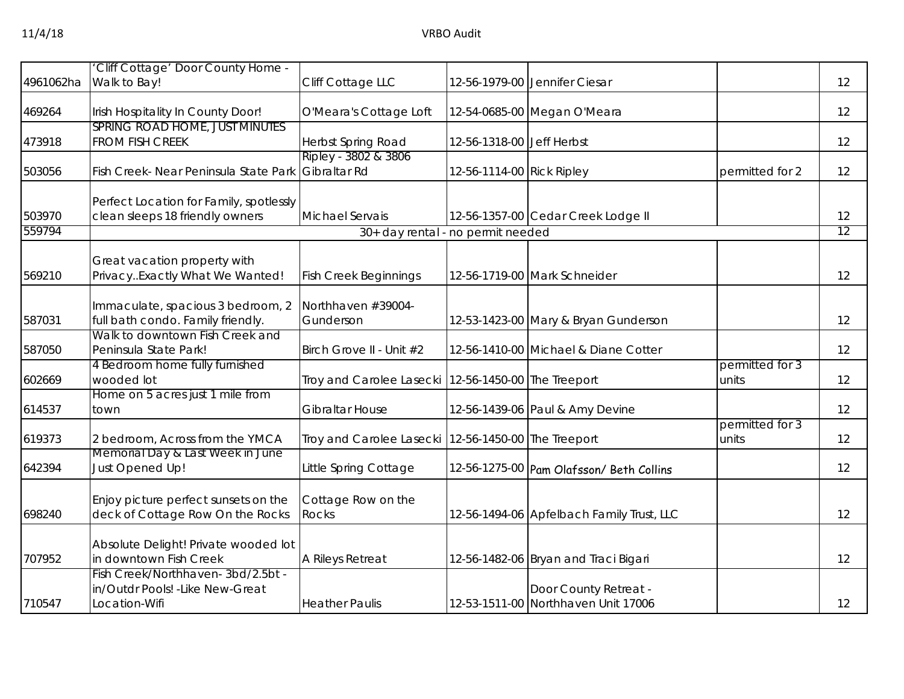|           | Cliff Cottage' Door County Home -                                                      |                                      |                            |                                                              |                          |    |
|-----------|----------------------------------------------------------------------------------------|--------------------------------------|----------------------------|--------------------------------------------------------------|--------------------------|----|
| 4961062ha | Walk to Bay!                                                                           | Cliff Cottage LLC                    |                            | 12-56-1979-00 Jennifer Ciesar                                |                          | 12 |
| 469264    | Irish Hospitality In County Door!                                                      | O'Meara's Cottage Loft               |                            | 12-54-0685-00 Megan O'Meara                                  |                          | 12 |
| 473918    | SPRING ROAD HOME, JUST MINUTES<br><b>FROM FISH CREEK</b>                               | Herbst Spring Road                   | 12-56-1318-00 Jeff Herbst  |                                                              |                          | 12 |
| 503056    | Fish Creek- Near Peninsula State Park                                                  | Ripley - 3802 & 3806<br>Gibraltar Rd | 12-56-1114-00 Rick Ripley  |                                                              | permitted for 2          | 12 |
| 503970    | Perfect Location for Family, spotlessly<br>clean sleeps 18 friendly owners             | <b>Michael Servais</b>               |                            | 12-56-1357-00 Cedar Creek Lodge II                           |                          | 12 |
| 559794    |                                                                                        | 30+ day rental - no permit needed    |                            |                                                              |                          | 12 |
| 569210    | Great vacation property with<br>PrivacyExactly What We Wanted!                         | <b>Fish Creek Beginnings</b>         |                            | 12-56-1719-00 Mark Schneider                                 |                          | 12 |
| 587031    | Immaculate, spacious 3 bedroom, 2<br>full bath condo. Family friendly.                 | Northhaven #39004-<br>Gunderson      |                            | 12-53-1423-00 Mary & Bryan Gunderson                         |                          | 12 |
| 587050    | Walk to downtown Fish Creek and<br>Peninsula State Park!                               | Birch Grove II - Unit #2             |                            | 12-56-1410-00 Michael & Diane Cotter                         |                          | 12 |
| 602669    | 4 Bedroom home fully furnished<br>wooded lot                                           | Troy and Carolee Lasecki             | 12-56-1450-00 The Treeport |                                                              | permitted for 3<br>units | 12 |
| 614537    | Home on 5 acres just 1 mile from<br>town                                               | <b>Gibraltar House</b>               |                            | 12-56-1439-06 Paul & Amy Devine                              |                          | 12 |
| 619373    | 2 bedroom, Across from the YMCA                                                        | Troy and Carolee Lasecki             | 12-56-1450-00 The Treeport |                                                              | permitted for 3<br>units | 12 |
| 642394    | Memorial Day & Last Week in June<br>Just Opened Up!                                    | Little Spring Cottage                |                            | 12-56-1275-00 Pam Olafsson/ Beth Collins                     |                          | 12 |
| 698240    | Enjoy picture perfect sunsets on the<br>deck of Cottage Row On the Rocks               | Cottage Row on the<br><b>Rocks</b>   |                            | 12-56-1494-06 Apfelbach Family Trust, LLC                    |                          | 12 |
| 707952    | Absolute Delight! Private wooded lot<br>in downtown Fish Creek                         | A Rileys Retreat                     |                            | 12-56-1482-06 Bryan and Traci Bigari                         |                          | 12 |
| 710547    | Fish Creek/Northhaven-3bd/2.5bt -<br>in/Outdr Pools! - Like New-Great<br>Location-Wifi | <b>Heather Paulis</b>                |                            | Door County Retreat -<br>12-53-1511-00 Northhaven Unit 17006 |                          | 12 |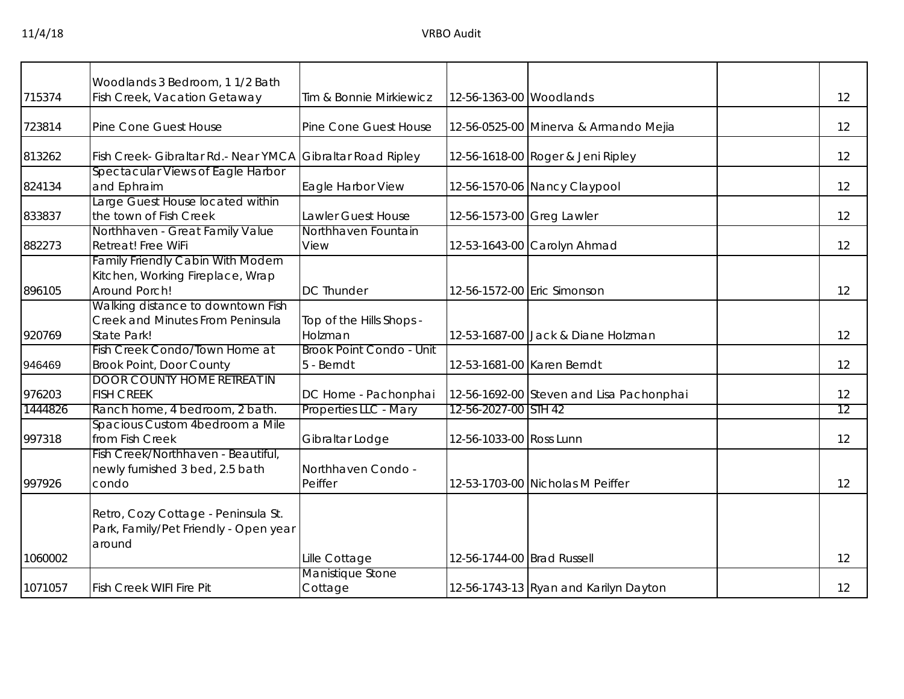|         | Woodlands 3 Bedroom, 1 1/2 Bath                                                               |                                               |                            |                                          |    |
|---------|-----------------------------------------------------------------------------------------------|-----------------------------------------------|----------------------------|------------------------------------------|----|
| 715374  | Fish Creek, Vacation Getaway                                                                  | Tim & Bonnie Mirkiewicz                       | 12-56-1363-00 Woodlands    |                                          | 12 |
| 723814  | Pine Cone Guest House                                                                         | Pine Cone Guest House                         |                            | 12-56-0525-00 Minerva & Armando Mejia    | 12 |
| 813262  | Fish Creek- Gibraltar Rd.- Near YMCA                                                          | Gibraltar Road Ripley                         |                            | 12-56-1618-00 Roger & Jeni Ripley        | 12 |
| 824134  | Spectacular Views of Eagle Harbor<br>and Ephraim                                              | Eagle Harbor View                             |                            | 12-56-1570-06 Nancy Claypool             | 12 |
| 833837  | Large Guest House located within<br>the town of Fish Creek                                    | Lawler Guest House                            | 12-56-1573-00 Greg Lawler  |                                          | 12 |
| 882273  | Northhaven - Great Family Value<br>Retreat! Free WiFi                                         | Northhaven Fountain<br>View                   |                            | 12-53-1643-00 Carolyn Ahmad              | 12 |
| 896105  | <b>Family Friendly Cabin With Modern</b><br>Kitchen, Working Fireplace, Wrap<br>Around Porch! | <b>DC Thunder</b>                             |                            | 12-56-1572-00 Eric Simonson              | 12 |
| 920769  | Walking distance to downtown Fish<br>Creek and Minutes From Peninsula<br>State Park!          | Top of the Hills Shops -<br>Holzman           |                            | 12-53-1687-00 Jack & Diane Holzman       | 12 |
| 946469  | Fish Creek Condo/Town Home at<br><b>Brook Point, Door County</b>                              | <b>Brook Point Condo - Unit</b><br>5 - Berndt |                            | 12-53-1681-00 Karen Berndt               | 12 |
| 976203  | <b>DOOR COUNTY HOME RETREAT IN</b><br><b>FISH CREEK</b>                                       | DC Home - Pachonphai                          |                            | 12-56-1692-00 Steven and Lisa Pachonphai | 12 |
| 1444826 | Ranch home, 4 bedroom, 2 bath.                                                                | Properties LLC - Mary                         | 12-56-2027-00 STH 42       |                                          | 12 |
| 997318  | Spacious Custom 4bedroom a Mile<br>from Fish Creek                                            | Gibraltar Lodge                               | 12-56-1033-00 Ross Lunn    |                                          | 12 |
| 997926  | Fish Creek/Northhaven - Beautiful,<br>newly furnished 3 bed, 2.5 bath<br>condo                | Northhaven Condo -<br>Peiffer                 |                            | 12-53-1703-00 Nicholas M Peiffer         | 12 |
|         | Retro, Cozy Cottage - Peninsula St.<br>Park, Family/Pet Friendly - Open year<br>around        |                                               |                            |                                          |    |
| 1060002 |                                                                                               | Lille Cottage                                 | 12-56-1744-00 Brad Russell |                                          | 12 |
| 1071057 | <b>Fish Creek WIFI Fire Pit</b>                                                               | Manistique Stone<br>Cottage                   |                            | 12-56-1743-13 Ryan and Karilyn Dayton    | 12 |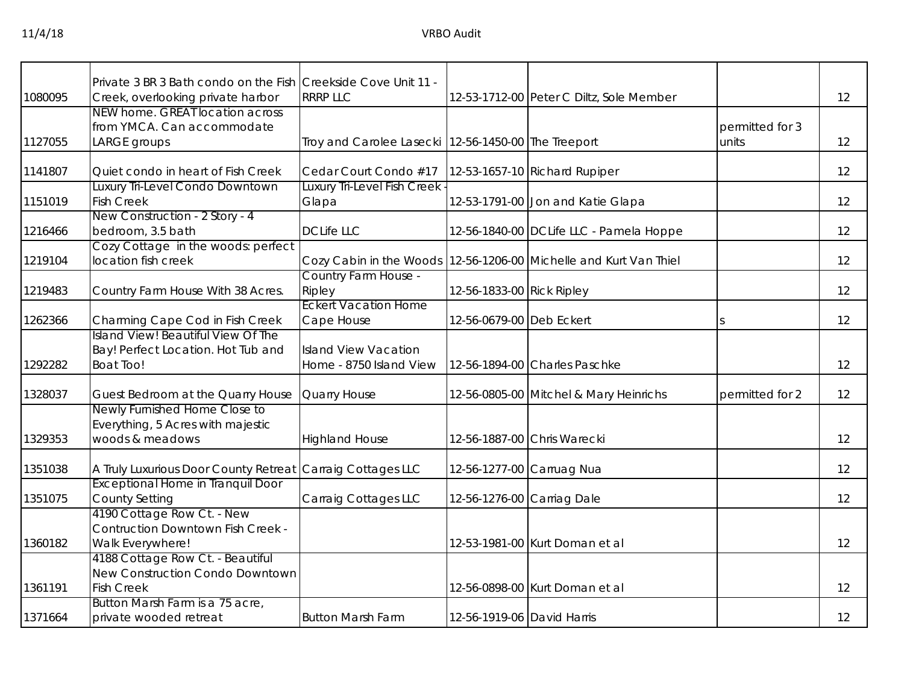|         | Private 3 BR 3 Bath condo on the Fish Creekside Cove Unit 11 - |                                                       |                            |                                                                   |                 |    |
|---------|----------------------------------------------------------------|-------------------------------------------------------|----------------------------|-------------------------------------------------------------------|-----------------|----|
| 1080095 | Creek, overlooking private harbor                              | <b>RRRP LLC</b>                                       |                            | 12-53-1712-00 Peter C Diltz, Sole Member                          |                 | 12 |
|         | NEW home. GREAT location across                                |                                                       |                            |                                                                   |                 |    |
|         | from YMCA. Can accommodate                                     |                                                       |                            |                                                                   | permitted for 3 |    |
| 1127055 | LARGE groups                                                   | Troy and Carolee Lasecki   12-56-1450-00 The Treeport |                            |                                                                   | units           | 12 |
|         |                                                                |                                                       |                            |                                                                   |                 |    |
| 1141807 | Quiet condo in heart of Fish Creek                             | Cedar Court Condo #17                                 |                            | 12-53-1657-10 Richard Rupiper                                     |                 | 12 |
|         | Luxury Tri-Level Condo Downtown                                | Luxury Tri-Level Fish Creek                           |                            |                                                                   |                 |    |
| 1151019 | <b>Fish Creek</b>                                              | Glapa                                                 |                            | 12-53-1791-00 Jon and Katie Glapa                                 |                 | 12 |
|         | New Construction - 2 Story - 4                                 |                                                       |                            |                                                                   |                 |    |
| 1216466 | bedroom, 3.5 bath                                              | <b>DCLife LLC</b>                                     |                            | 12-56-1840-00 DCLife LLC - Pamela Hoppe                           |                 | 12 |
|         | Cozy Cottage in the woods: perfect                             |                                                       |                            |                                                                   |                 |    |
| 1219104 | location fish creek                                            |                                                       |                            | Cozy Cabin in the Woods 12-56-1206-00 Michelle and Kurt Van Thiel |                 | 12 |
|         |                                                                | Country Farm House -                                  |                            |                                                                   |                 |    |
| 1219483 | Country Farm House With 38 Acres.                              | Ripley                                                | 12-56-1833-00 Rick Ripley  |                                                                   |                 | 12 |
|         |                                                                | <b>Eckert Vacation Home</b>                           |                            |                                                                   |                 |    |
| 1262366 | Charming Cape Cod in Fish Creek                                | Cape House                                            | 12-56-0679-00 Deb Eckert   |                                                                   |                 | 12 |
|         | Island View! Beautiful View Of The                             |                                                       |                            |                                                                   |                 |    |
|         | Bay! Perfect Location. Hot Tub and                             | <b>Island View Vacation</b>                           |                            |                                                                   |                 |    |
| 1292282 | <b>Boat Too!</b>                                               | Home - 8750 Island View                               |                            | 12-56-1894-00 Charles Paschke                                     |                 | 12 |
|         |                                                                |                                                       |                            |                                                                   |                 |    |
| 1328037 | Guest Bedroom at the Quarry House                              | Quarry House                                          |                            | 12-56-0805-00 Mitchel & Mary Heinrichs                            | permitted for 2 | 12 |
|         | Newly Furnished Home Close to                                  |                                                       |                            |                                                                   |                 |    |
|         | Everything, 5 Acres with majestic                              |                                                       |                            |                                                                   |                 |    |
| 1329353 | woods & meadows                                                | <b>Highland House</b>                                 |                            | 12-56-1887-00 Chris Warecki                                       |                 | 12 |
| 1351038 | A Truly Luxurious Door County Retreat                          | Carraig Cottages LLC                                  |                            | 12-56-1277-00 Carruag Nua                                         |                 | 12 |
|         | <b>Exceptional Home in Tranquil Door</b>                       |                                                       |                            |                                                                   |                 |    |
| 1351075 | <b>County Setting</b>                                          | Carraig Cottages LLC                                  | 12-56-1276-00 Carriag Dale |                                                                   |                 | 12 |
|         | 4190 Cottage Row Ct. - New                                     |                                                       |                            |                                                                   |                 |    |
|         | <b>Contruction Downtown Fish Creek -</b>                       |                                                       |                            |                                                                   |                 |    |
| 1360182 | Walk Everywhere!                                               |                                                       |                            | 12-53-1981-00 Kurt Doman et al                                    |                 | 12 |
|         | 4188 Cottage Row Ct. - Beautiful                               |                                                       |                            |                                                                   |                 |    |
|         | New Construction Condo Downtown                                |                                                       |                            |                                                                   |                 |    |
| 1361191 | <b>Fish Creek</b>                                              |                                                       |                            | 12-56-0898-00 Kurt Doman et al                                    |                 | 12 |
|         | Button Marsh Farm is a 75 acre,                                |                                                       |                            |                                                                   |                 |    |
| 1371664 | private wooded retreat                                         | <b>Button Marsh Farm</b>                              | 12-56-1919-06 David Harris |                                                                   |                 | 12 |
|         |                                                                |                                                       |                            |                                                                   |                 |    |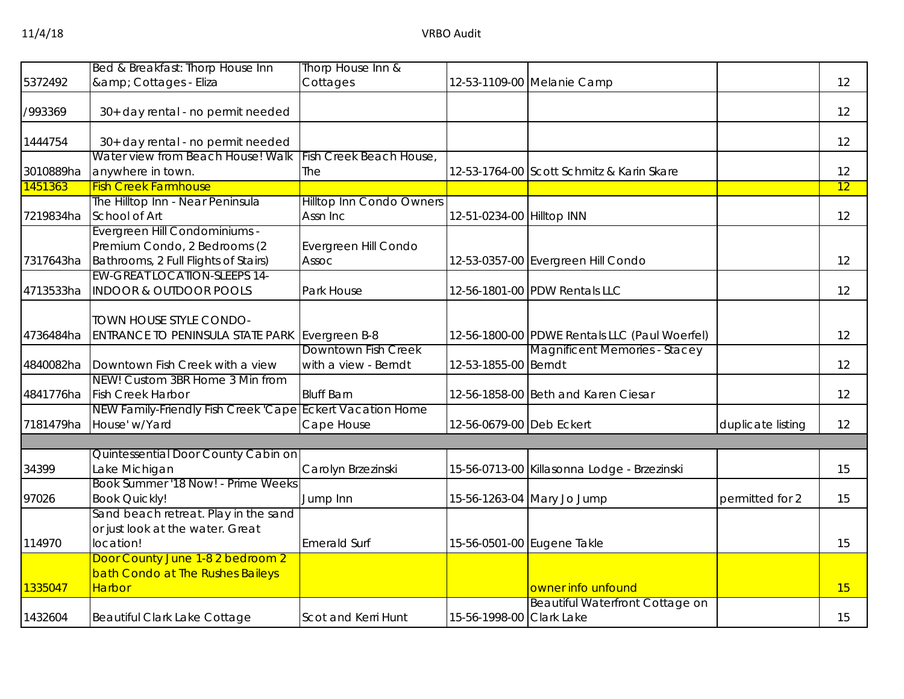|           | Bed & Breakfast: Thorp House Inn                                                      | Thorp House Inn &                           |                           |                                               |                   |    |
|-----------|---------------------------------------------------------------------------------------|---------------------------------------------|---------------------------|-----------------------------------------------|-------------------|----|
| 5372492   | & Cottages - Eliza                                                                    | Cottages                                    |                           | 12-53-1109-00 Melanie Camp                    |                   | 12 |
| /993369   | 30+ day rental - no permit needed                                                     |                                             |                           |                                               |                   | 12 |
| 1444754   | 30+ day rental - no permit needed                                                     |                                             |                           |                                               |                   | 12 |
|           | Water view from Beach House! Walk                                                     | Fish Creek Beach House,                     |                           |                                               |                   |    |
| 3010889ha | anywhere in town.                                                                     | The                                         |                           | 12-53-1764-00 Scott Schmitz & Karin Skare     |                   | 12 |
| 1451363   | <b>Fish Creek Farmhouse</b><br>The Hilltop Inn - Near Peninsula                       |                                             |                           |                                               |                   | 12 |
| 7219834ha | School of Art                                                                         | <b>Hilltop Inn Condo Owners</b><br>Assn Inc | 12-51-0234-00 Hilltop INN |                                               |                   | 12 |
|           | Evergreen Hill Condominiums -<br>Premium Condo, 2 Bedrooms (2                         | Evergreen Hill Condo                        |                           |                                               |                   |    |
| 7317643ha | Bathrooms, 2 Full Flights of Stairs)<br><b>EW-GREAT LOCATION-SLEEPS 14-</b>           | Assoc                                       |                           | 12-53-0357-00 Evergreen Hill Condo            |                   | 12 |
| 4713533ha | <b>INDOOR &amp; OUTDOOR POOLS</b>                                                     | Park House                                  |                           | 12-56-1801-00 PDW Rentals LLC                 |                   | 12 |
| 4736484ha | TOWN HOUSE STYLE CONDO-<br>ENTRANCE TO PENINSULA STATE PARK                           | Evergreen B-8                               |                           | 12-56-1800-00 PDWE Rentals LLC (Paul Woerfel) |                   | 12 |
| 4840082ha | Downtown Fish Creek with a view                                                       | Downtown Fish Creek<br>with a view - Berndt | 12-53-1855-00 Berndt      | <b>Magnificent Memories - Stacey</b>          |                   | 12 |
| 4841776ha | NEW! Custom 3BR Home 3 Min from<br><b>Fish Creek Harbor</b>                           | <b>Bluff Barn</b>                           |                           | 12-56-1858-00 Beth and Karen Ciesar           |                   | 12 |
| 7181479ha | NEW Family-Friendly Fish Creek 'Cape Eckert Vacation Home<br>House' w/Yard            | Cape House                                  | 12-56-0679-00 Deb Eckert  |                                               | duplicate listing | 12 |
|           |                                                                                       |                                             |                           |                                               |                   |    |
| 34399     | Quintessential Door County Cabin on<br>Lake Michigan                                  | Carolyn Brzezinski                          |                           | 15-56-0713-00 Killasonna Lodge - Brzezinski   |                   | 15 |
| 97026     | Book Summer '18 Now! - Prime Weeks<br><b>Book Quickly!</b>                            | Jump Inn                                    |                           | 15-56-1263-04 Mary Jo Jump                    | permitted for 2   | 15 |
| 114970    | Sand beach retreat. Play in the sand<br>or just look at the water. Great<br>location! | <b>Emerald Surf</b>                         |                           | 15-56-0501-00 Eugene Takle                    |                   | 15 |
| 1335047   | Door County June 1-8 2 bedroom 2<br>bath Condo at The Rushes Baileys<br><b>Harbor</b> |                                             |                           | owner info unfound                            |                   | 15 |
| 1432604   | Beautiful Clark Lake Cottage                                                          | Scot and Kerri Hunt                         | 15-56-1998-00 Clark Lake  | <b>Beautiful Waterfront Cottage on</b>        |                   | 15 |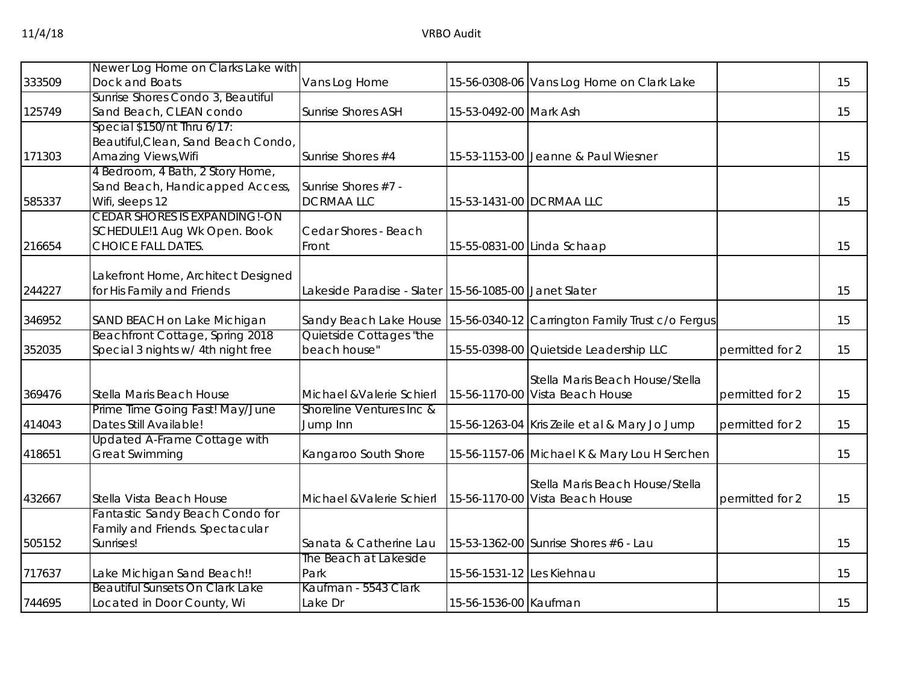|        | Newer Log Home on Clarks Lake with                                   |                                                       |                           |                                                                         |                 |    |
|--------|----------------------------------------------------------------------|-------------------------------------------------------|---------------------------|-------------------------------------------------------------------------|-----------------|----|
| 333509 | Dock and Boats                                                       | Vans Log Home                                         |                           | 15-56-0308-06 Vans Log Home on Clark Lake                               |                 | 15 |
|        | Sunrise Shores Condo 3, Beautiful                                    |                                                       |                           |                                                                         |                 |    |
| 125749 | Sand Beach, CLEAN condo                                              | <b>Sunrise Shores ASH</b>                             | 15-53-0492-00 Mark Ash    |                                                                         |                 | 15 |
|        | Special $$150/nt$ Thru $6/17$ :                                      |                                                       |                           |                                                                         |                 |    |
|        | Beautiful, Clean, Sand Beach Condo,                                  |                                                       |                           |                                                                         |                 |    |
| 171303 | Amazing Views, Wifi                                                  | Sunrise Shores #4                                     |                           | 15-53-1153-00 Jeanne & Paul Wiesner                                     |                 | 15 |
|        | 4 Bedroom, 4 Bath, 2 Story Home,                                     |                                                       |                           |                                                                         |                 |    |
|        | Sand Beach, Handicapped Access,                                      | Sunrise Shores #7 -                                   |                           |                                                                         |                 |    |
| 585337 | Wifi, sleeps 12                                                      | <b>DCRMAALLC</b>                                      |                           | 15-53-1431-00 DCRMAA LLC                                                |                 | 15 |
|        | <b>CEDAR SHORES IS EXPANDING!-ON</b>                                 |                                                       |                           |                                                                         |                 |    |
|        | SCHEDULE!1 Aug Wk Open. Book                                         | Cedar Shores - Beach                                  |                           |                                                                         |                 |    |
| 216654 | <b>CHOICE FALL DATES.</b>                                            | Front                                                 |                           | 15-55-0831-00 Linda Schaap                                              |                 | 15 |
|        |                                                                      |                                                       |                           |                                                                         |                 |    |
|        | Lakefront Home, Architect Designed                                   |                                                       |                           |                                                                         |                 |    |
| 244227 | for His Family and Friends                                           | Lakeside Paradise - Slater 15-56-1085-00 Janet Slater |                           |                                                                         |                 | 15 |
| 346952 | SAND BEACH on Lake Michigan                                          |                                                       |                           | Sandy Beach Lake House 15-56-0340-12 Carrington Family Trust c/o Fergus |                 | 15 |
|        | Beachfront Cottage, Spring 2018                                      | Quietside Cottages "the                               |                           |                                                                         |                 |    |
| 352035 | Special 3 nights w/ 4th night free                                   | beach house"                                          |                           | 15-55-0398-00 Quietside Leadership LLC                                  | permitted for 2 | 15 |
|        |                                                                      |                                                       |                           |                                                                         |                 |    |
|        |                                                                      |                                                       |                           | Stella Maris Beach House/Stella                                         |                 |    |
| 369476 | Stella Maris Beach House                                             | Michael & Valerie Schierl                             |                           | 15-56-1170-00 Vista Beach House                                         | permitted for 2 | 15 |
|        | Prime Time Going Fast! May/June                                      | Shoreline Ventures Inc &                              |                           |                                                                         |                 |    |
| 414043 | Dates Still Available!                                               | Jump Inn                                              |                           | 15-56-1263-04 Kris Zeile et al & Mary Jo Jump                           | permitted for 2 | 15 |
|        | <b>Updated A-Frame Cottage with</b>                                  |                                                       |                           |                                                                         |                 |    |
| 418651 | <b>Great Swimming</b>                                                | Kangaroo South Shore                                  |                           | 15-56-1157-06 Michael K & Mary Lou H Serchen                            |                 | 15 |
|        |                                                                      |                                                       |                           |                                                                         |                 |    |
|        |                                                                      |                                                       |                           | Stella Maris Beach House/Stella                                         |                 |    |
| 432667 | Stella Vista Beach House                                             | Michael & Valerie Schierl                             |                           | 15-56-1170-00 Vista Beach House                                         | permitted for 2 | 15 |
|        | Fantastic Sandy Beach Condo for                                      |                                                       |                           |                                                                         |                 |    |
|        | Family and Friends. Spectacular                                      |                                                       |                           |                                                                         |                 |    |
| 505152 | Sunrises!                                                            | Sanata & Catherine Lau                                |                           | 15-53-1362-00 Sunrise Shores #6 - Lau                                   |                 | 15 |
|        |                                                                      | The Beach at Lakeside                                 |                           |                                                                         |                 |    |
| 717637 | Lake Michigan Sand Beach!!<br><b>Beautiful Sunsets On Clark Lake</b> | Park<br>Kaufman - 5543 Clark                          | 15-56-1531-12 Les Kiehnau |                                                                         |                 | 15 |
| 744695 | Located in Door County, Wi                                           | Lake Dr                                               | 15-56-1536-00 Kaufman     |                                                                         |                 | 15 |
|        |                                                                      |                                                       |                           |                                                                         |                 |    |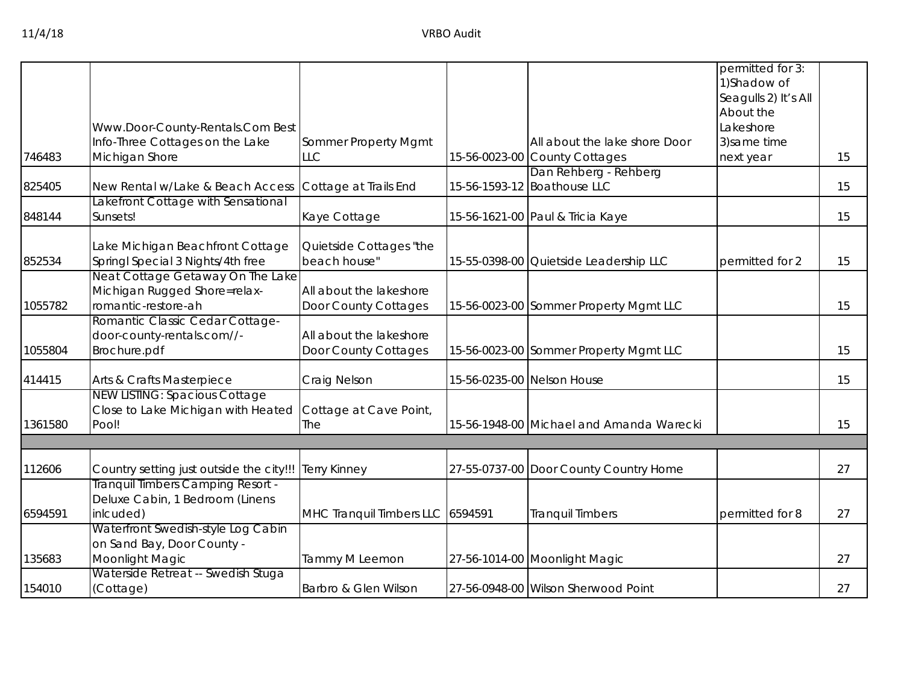|         |                                                     |                                  |                                                      | permitted for 3:<br>1) Shadow of |    |
|---------|-----------------------------------------------------|----------------------------------|------------------------------------------------------|----------------------------------|----|
|         |                                                     |                                  |                                                      | Seagulls 2) It's All             |    |
|         |                                                     |                                  |                                                      | About the                        |    |
|         | Www.Door-County-Rentals.Com Best                    |                                  |                                                      | Lakeshore                        |    |
|         | Info-Three Cottages on the Lake                     | Sommer Property Mgmt             | All about the lake shore Door                        | 3) same time                     |    |
| 746483  | Michigan Shore                                      | LLC                              | 15-56-0023-00 County Cottages                        | next year                        | 15 |
| 825405  | New Rental w/Lake & Beach Access                    | Cottage at Trails End            | Dan Rehberg - Rehberg<br>15-56-1593-12 Boathouse LLC |                                  | 15 |
| 848144  | Lakefront Cottage with Sensational<br>Sunsets!      | Kaye Cottage                     | 15-56-1621-00 Paul & Tricia Kaye                     |                                  | 15 |
|         | ake Michigan Beachfront Cottage                     | Quietside Cottages "the          |                                                      |                                  |    |
| 852534  | Springl Special 3 Nights/4th free                   | beach house"                     | 15-55-0398-00 Quietside Leadership LLC               | permitted for 2                  | 15 |
|         | Neat Cottage Getaway On The Lake                    |                                  |                                                      |                                  |    |
|         | Michigan Rugged Shore=relax-<br>romantic-restore-ah | All about the lakeshore          |                                                      |                                  |    |
| 1055782 | Romantic Classic Cedar Cottage-                     | Door County Cottages             | 15-56-0023-00 Sommer Property Mgmt LLC               |                                  | 15 |
|         | door-county-rentals.com//-                          | All about the lakeshore          |                                                      |                                  |    |
| 1055804 | Brochure.pdf                                        | Door County Cottages             | 15-56-0023-00 Sommer Property Mgmt LLC               |                                  | 15 |
| 414415  | Arts & Crafts Masterpiece                           | Craig Nelson                     | 15-56-0235-00 Nelson House                           |                                  | 15 |
|         | <b>NEW LISTING: Spacious Cottage</b>                |                                  |                                                      |                                  |    |
|         | Close to Lake Michigan with Heated                  | Cottage at Cave Point,           |                                                      |                                  |    |
| 1361580 | Pool!                                               | The                              | 15-56-1948-00 Michael and Amanda Warecki             |                                  | 15 |
|         |                                                     |                                  |                                                      |                                  |    |
| 112606  | Country setting just outside the city!!!            | <b>Terry Kinney</b>              | 27-55-0737-00 Door County Country Home               |                                  | 27 |
|         | Tranquil Timbers Camping Resort -                   |                                  |                                                      |                                  |    |
| 6594591 | Deluxe Cabin, 1 Bedroom (Linens<br>inlcuded)        |                                  | <b>Tranquil Timbers</b>                              | permitted for 8                  | 27 |
|         | Waterfront Swedish-style Log Cabin                  | MHC Tranquil Timbers LLC 6594591 |                                                      |                                  |    |
|         | on Sand Bay, Door County -                          |                                  |                                                      |                                  |    |
| 135683  | Moonlight Magic                                     | Tammy M Leemon                   | 27-56-1014-00 Moonlight Magic                        |                                  | 27 |
|         | Waterside Retreat -- Swedish Stuga                  |                                  |                                                      |                                  |    |
| 154010  | (Cottage)                                           | Barbro & Glen Wilson             | 27-56-0948-00 Wilson Sherwood Point                  |                                  | 27 |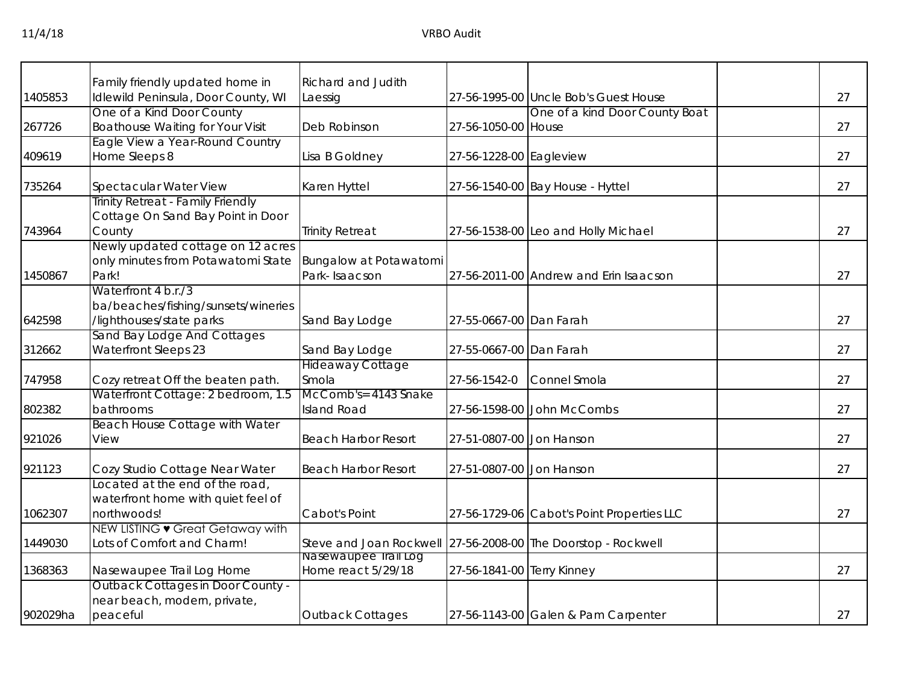|          | Family friendly updated home in                                       | Richard and Judith                                            |                            |                                            |    |
|----------|-----------------------------------------------------------------------|---------------------------------------------------------------|----------------------------|--------------------------------------------|----|
| 1405853  | Idlewild Peninsula, Door County, WI                                   | Laessig                                                       |                            | 27-56-1995-00 Uncle Bob's Guest House      | 27 |
|          | One of a Kind Door County                                             |                                                               |                            | One of a kind Door County Boat             |    |
| 267726   | Boathouse Waiting for Your Visit                                      | Deb Robinson                                                  | 27-56-1050-00 House        |                                            | 27 |
|          | Eagle View a Year-Round Country                                       |                                                               |                            |                                            |    |
| 409619   | Home Sleeps 8                                                         | Lisa B Goldney                                                | 27-56-1228-00 Eagleview    |                                            | 27 |
| 735264   | Spectacular Water View                                                | Karen Hyttel                                                  |                            | 27-56-1540-00 Bay House - Hyttel           | 27 |
|          | Trinity Retreat - Family Friendly                                     |                                                               |                            |                                            |    |
|          | Cottage On Sand Bay Point in Door                                     |                                                               |                            |                                            | 27 |
| 743964   | County<br>Newly updated cottage on 12 acres                           | <b>Trinity Retreat</b>                                        |                            | 27-56-1538-00 Leo and Holly Michael        |    |
|          | only minutes from Potawatomi State                                    | Bungalow at Potawatomi                                        |                            |                                            |    |
| 1450867  | Park!                                                                 | Park-Isaacson                                                 |                            | 27-56-2011-00 Andrew and Erin Isaacson     | 27 |
|          | Waterfront 4 b.r./3                                                   |                                                               |                            |                                            |    |
|          | ba/beaches/fishing/sunsets/wineries                                   |                                                               |                            |                                            |    |
| 642598   | /lighthouses/state parks                                              | Sand Bay Lodge                                                | 27-55-0667-00 Dan Farah    |                                            | 27 |
|          | Sand Bay Lodge And Cottages                                           |                                                               |                            |                                            |    |
| 312662   | Waterfront Sleeps 23                                                  | Sand Bay Lodge                                                | 27-55-0667-00 Dan Farah    |                                            | 27 |
|          |                                                                       | <b>Hideaway Cottage</b>                                       |                            |                                            |    |
| 747958   | Cozy retreat Off the beaten path.                                     | Smola                                                         | 27-56-1542-0               | Connel Smola                               | 27 |
|          | Waterfront Cottage: 2 bedroom, 1.5                                    | McComb's= 4143 Snake                                          |                            |                                            |    |
| 802382   | bathrooms                                                             | <b>Island Road</b>                                            |                            | 27-56-1598-00 John McCombs                 | 27 |
|          | Beach House Cottage with Water                                        |                                                               |                            |                                            |    |
| 921026   | View                                                                  | <b>Beach Harbor Resort</b>                                    | 27-51-0807-00 Jon Hanson   |                                            | 27 |
| 921123   | Cozy Studio Cottage Near Water                                        | <b>Beach Harbor Resort</b>                                    | 27-51-0807-00 Jon Hanson   |                                            | 27 |
|          | Located at the end of the road,                                       |                                                               |                            |                                            |    |
|          | waterfront home with quiet feel of                                    |                                                               |                            |                                            |    |
| 1062307  | northwoods!                                                           | Cabot's Point                                                 |                            | 27-56-1729-06 Cabot's Point Properties LLC | 27 |
|          | NEW LISTING • Great Getaway with                                      |                                                               |                            |                                            |    |
| 1449030  | Lots of Comfort and Charm!                                            | Steve and Joan Rockwell 27-56-2008-00 The Doorstop - Rockwell |                            |                                            |    |
| 1368363  |                                                                       | Nasewaupee Irail Log<br>Home react 5/29/18                    | 27-56-1841-00 Terry Kinney |                                            | 27 |
|          | Nasewaupee Trail Log Home<br><b>Outback Cottages in Door County -</b> |                                                               |                            |                                            |    |
|          | near beach, modern, private,                                          |                                                               |                            |                                            |    |
| 902029ha | peaceful                                                              | <b>Outback Cottages</b>                                       |                            | 27-56-1143-00 Galen & Pam Carpenter        | 27 |
|          |                                                                       |                                                               |                            |                                            |    |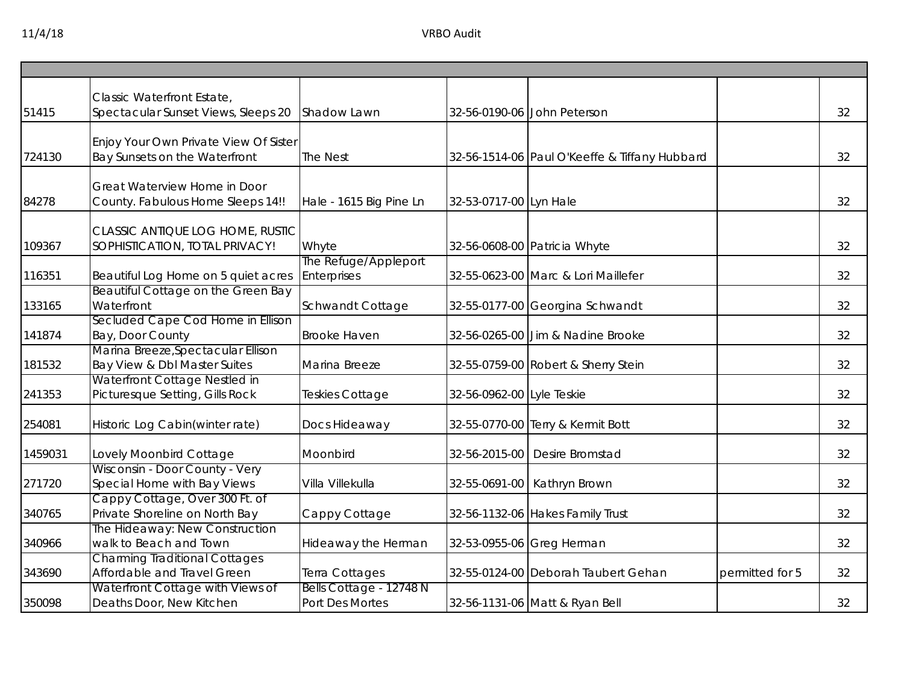| 51415   | Classic Waterfront Estate,<br>Spectacular Sunset Views, Sleeps 20      | Shadow Lawn                                |                           | 32-56-0190-06 John Peterson                   |                 | 32 |
|---------|------------------------------------------------------------------------|--------------------------------------------|---------------------------|-----------------------------------------------|-----------------|----|
| 724130  | Enjoy Your Own Private View Of Sister<br>Bay Sunsets on the Waterfront | <b>The Nest</b>                            |                           | 32-56-1514-06 Paul O'Keeffe & Tiffany Hubbard |                 | 32 |
| 84278   | Great Waterview Home in Door<br>County. Fabulous Home Sleeps 14!!      | Hale - 1615 Big Pine Ln                    | 32-53-0717-00 Lyn Hale    |                                               |                 | 32 |
| 109367  | CLASSIC ANTIQUE LOG HOME, RUSTIC<br>SOPHISTICATION, TOTAL PRIVACY!     | Whyte                                      |                           | 32-56-0608-00 Patricia Whyte                  |                 | 32 |
| 116351  | Beautiful Log Home on 5 quiet acres                                    | The Refuge/Appleport<br>Enterprises        |                           | 32-55-0623-00 Marc & Lori Maillefer           |                 | 32 |
| 133165  | Beautiful Cottage on the Green Bay<br>Waterfront                       | Schwandt Cottage                           |                           | 32-55-0177-00 Georgina Schwandt               |                 | 32 |
| 141874  | Secluded Cape Cod Home in Ellison<br>Bay, Door County                  | <b>Brooke Haven</b>                        |                           | 32-56-0265-00 Jim & Nadine Brooke             |                 | 32 |
| 181532  | Marina Breeze, Spectacular Ellison<br>Bay View & Dbl Master Suites     | Marina Breeze                              |                           | 32-55-0759-00 Robert & Sherry Stein           |                 | 32 |
| 241353  | Waterfront Cottage Nestled in<br>Picturesque Setting, Gills Rock       | Teskies Cottage                            | 32-56-0962-00 Lyle Teskie |                                               |                 | 32 |
| 254081  | Historic Log Cabin(winter rate)                                        | Docs Hideaway                              |                           | 32-55-0770-00 Terry & Kermit Bott             |                 | 32 |
| 1459031 | Lovely Moonbird Cottage                                                | Moonbird                                   |                           | 32-56-2015-00 Desire Bromstad                 |                 | 32 |
| 271720  | Wisconsin - Door County - Very<br>Special Home with Bay Views          | Villa Villekulla                           |                           | 32-55-0691-00 Kathryn Brown                   |                 | 32 |
| 340765  | Cappy Cottage, Over 300 Ft. of<br>Private Shoreline on North Bay       | Cappy Cottage                              |                           | 32-56-1132-06 Hakes Family Trust              |                 | 32 |
| 340966  | The Hideaway: New Construction<br>walk to Beach and Town               | Hideaway the Herman                        |                           | 32-53-0955-06 Greg Herman                     |                 | 32 |
| 343690  | <b>Charming Traditional Cottages</b><br>Affordable and Travel Green    | Terra Cottages                             |                           | 32-55-0124-00 Deborah Taubert Gehan           | permitted for 5 | 32 |
| 350098  | Waterfront Cottage with Views of<br>Deaths Door, New Kitchen           | Bells Cottage - 12748 N<br>Port Des Mortes |                           | 32-56-1131-06 Matt & Ryan Bell                |                 | 32 |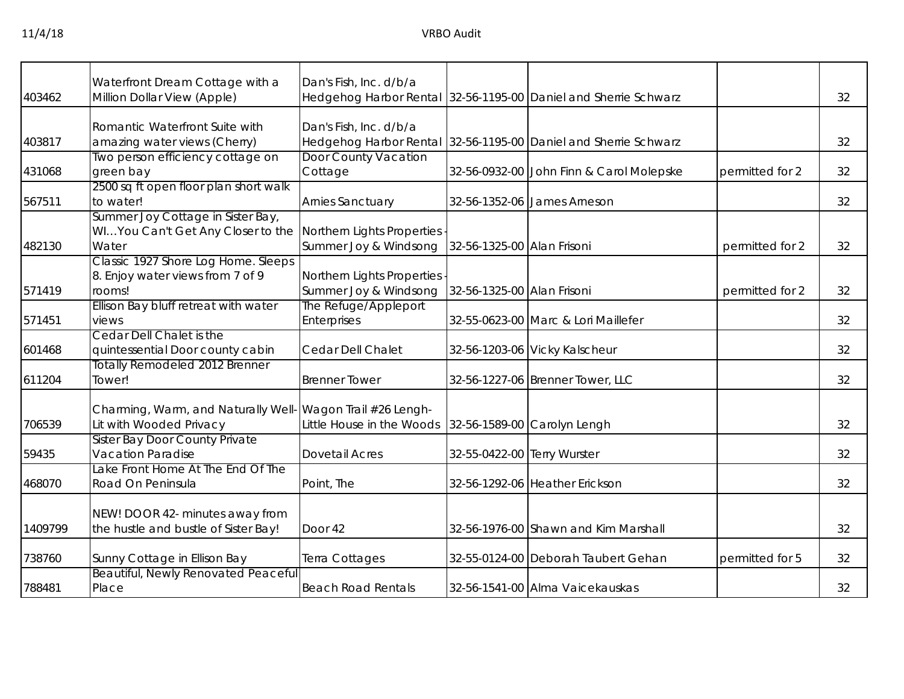|         | Waterfront Dream Cottage with a                              | Dan's Fish, Inc. d/b/a      |                             |                                                                 |                 |    |
|---------|--------------------------------------------------------------|-----------------------------|-----------------------------|-----------------------------------------------------------------|-----------------|----|
| 403462  | Million Dollar View (Apple)                                  |                             |                             | Hedgehog Harbor Rental 32-56-1195-00 Daniel and Sherrie Schwarz |                 | 32 |
|         |                                                              |                             |                             |                                                                 |                 |    |
|         | Romantic Waterfront Suite with                               | Dan's Fish, Inc. d/b/a      |                             |                                                                 |                 |    |
| 403817  | amazing water views (Cherry)                                 |                             |                             | Hedgehog Harbor Rental 32-56-1195-00 Daniel and Sherrie Schwarz |                 | 32 |
|         | Two person efficiency cottage on                             | <b>Door County Vacation</b> |                             |                                                                 |                 |    |
| 431068  | green bay                                                    | Cottage                     |                             | 32-56-0932-00 John Finn & Carol Molepske                        | permitted for 2 | 32 |
|         | 2500 sq ft open floor plan short walk                        |                             |                             |                                                                 |                 |    |
| 567511  | to water!                                                    | <b>Arnies Sanctuary</b>     |                             | 32-56-1352-06 James Arneson                                     |                 | 32 |
|         | Summer Joy Cottage in Sister Bay,                            |                             |                             |                                                                 |                 |    |
|         | WIYou Can't Get Any Closer to the Northern Lights Properties |                             |                             |                                                                 |                 |    |
| 482130  | Water                                                        | Summer Joy & Windsong       | 32-56-1325-00 Alan Frisoni  |                                                                 | permitted for 2 | 32 |
|         | Classic 1927 Shore Log Home. Sleeps                          |                             |                             |                                                                 |                 |    |
|         | 8. Enjoy water views from 7 of 9                             | Northern Lights Properties  |                             |                                                                 |                 |    |
| 571419  | rooms!                                                       | Summer Joy & Windsong       | 32-56-1325-00 Alan Frisoni  |                                                                 | permitted for 2 | 32 |
|         | Ellison Bay bluff retreat with water                         | The Refuge/Appleport        |                             |                                                                 |                 |    |
| 571451  | views                                                        | Enterprises                 |                             | 32-55-0623-00 Marc & Lori Maillefer                             |                 | 32 |
|         | Cedar Dell Chalet is the                                     |                             |                             |                                                                 |                 |    |
| 601468  | quintessential Door county cabin                             | Cedar Dell Chalet           |                             | 32-56-1203-06 Vicky Kalscheur                                   |                 | 32 |
|         | Totally Remodeled 2012 Brenner                               |                             |                             |                                                                 |                 |    |
| 611204  | Tower!                                                       | <b>Brenner Tower</b>        |                             | 32-56-1227-06 Brenner Tower, LLC                                |                 | 32 |
|         |                                                              |                             |                             |                                                                 |                 |    |
|         | Charming, Warm, and Naturally Well                           | Wagon Trail #26 Lengh-      |                             |                                                                 |                 |    |
| 706539  | Lit with Wooded Privacy                                      | Little House in the Woods   |                             | 32-56-1589-00 Carolyn Lengh                                     |                 | 32 |
|         | <b>Sister Bay Door County Private</b>                        |                             |                             |                                                                 |                 |    |
| 59435   | <b>Vacation Paradise</b>                                     | <b>Dovetail Acres</b>       | 32-55-0422-00 Terry Wurster |                                                                 |                 | 32 |
|         | Lake Front Home At The End Of The                            |                             |                             |                                                                 |                 |    |
| 468070  | Road On Peninsula                                            | Point, The                  |                             | 32-56-1292-06 Heather Erickson                                  |                 | 32 |
|         |                                                              |                             |                             |                                                                 |                 |    |
|         | NEW! DOOR 42- minutes away from                              |                             |                             |                                                                 |                 |    |
| 1409799 | the hustle and bustle of Sister Bay!                         | Door 42                     |                             | 32-56-1976-00 Shawn and Kim Marshall                            |                 | 32 |
|         |                                                              |                             |                             |                                                                 |                 |    |
| 738760  | Sunny Cottage in Ellison Bay                                 | Terra Cottages              |                             | 32-55-0124-00 Deborah Taubert Gehan                             | permitted for 5 | 32 |
|         | <b>Beautiful, Newly Renovated Peaceful</b>                   |                             |                             |                                                                 |                 |    |
| 788481  | Place                                                        | <b>Beach Road Rentals</b>   |                             | 32-56-1541-00 Alma Vaicekauskas                                 |                 | 32 |
|         |                                                              |                             |                             |                                                                 |                 |    |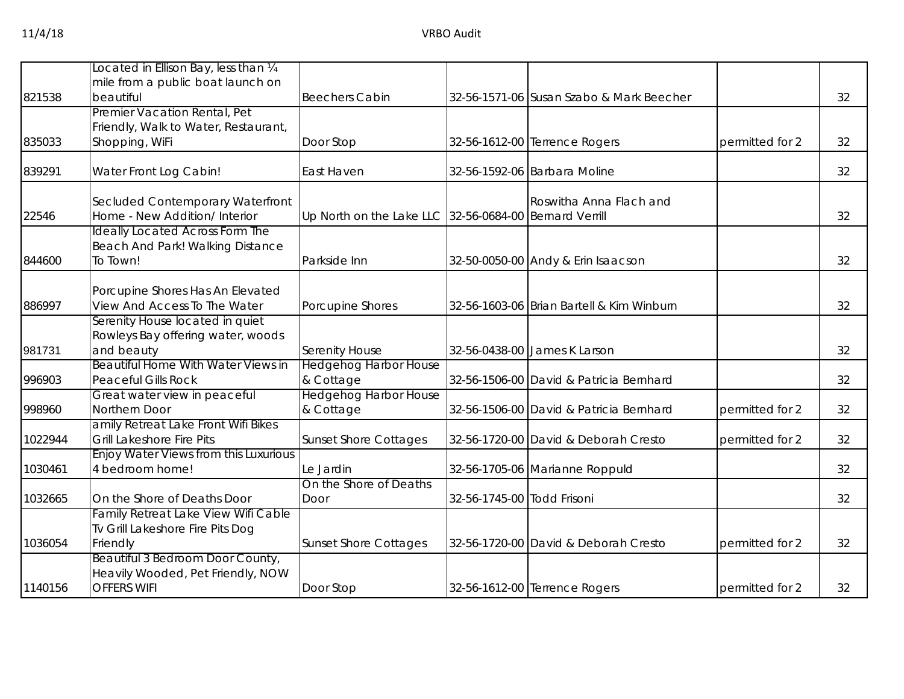|         | ocated in Ellison Bay, less than 1/4   |                                                        |                            |                                           |                 |    |
|---------|----------------------------------------|--------------------------------------------------------|----------------------------|-------------------------------------------|-----------------|----|
|         | mile from a public boat launch on      |                                                        |                            |                                           |                 |    |
| 821538  | beautiful                              | <b>Beechers Cabin</b>                                  |                            |                                           |                 | 32 |
|         |                                        |                                                        |                            | 32-56-1571-06 Susan Szabo & Mark Beecher  |                 |    |
|         | Premier Vacation Rental, Pet           |                                                        |                            |                                           |                 |    |
|         | Friendly, Walk to Water, Restaurant,   |                                                        |                            |                                           |                 |    |
| 835033  | Shopping, WiFi                         | Door Stop                                              |                            | 32-56-1612-00 Terrence Rogers             | permitted for 2 | 32 |
| 839291  | Water Front Log Cabin!                 | East Haven                                             |                            | 32-56-1592-06 Barbara Moline              |                 | 32 |
|         |                                        |                                                        |                            |                                           |                 |    |
|         | Secluded Contemporary Waterfront       |                                                        |                            | Roswitha Anna Flach and                   |                 |    |
| 22546   | Home - New Addition/ Interior          | Up North on the Lake LLC 32-56-0684-00 Bernard Verrill |                            |                                           |                 | 32 |
|         | <b>Ideally Located Across Form The</b> |                                                        |                            |                                           |                 |    |
|         | Beach And Park! Walking Distance       |                                                        |                            |                                           |                 |    |
| 844600  | To Town!                               | Parkside Inn                                           |                            | 32-50-0050-00 Andy & Erin Isaacson        |                 | 32 |
|         |                                        |                                                        |                            |                                           |                 |    |
|         | Porcupine Shores Has An Elevated       |                                                        |                            |                                           |                 |    |
| 886997  | View And Access To The Water           | Porcupine Shores                                       |                            | 32-56-1603-06 Brian Bartell & Kim Winburn |                 | 32 |
|         | Serenity House located in quiet        |                                                        |                            |                                           |                 |    |
|         | Rowleys Bay offering water, woods      |                                                        |                            |                                           |                 |    |
| 981731  | and beauty                             | <b>Serenity House</b>                                  |                            | 32-56-0438-00 James K Larson              |                 | 32 |
|         | Beautiful Home With Water Views in     | <b>Hedgehog Harbor House</b>                           |                            |                                           |                 |    |
| 996903  | <b>Peaceful Gills Rock</b>             | & Cottage                                              |                            | 32-56-1506-00 David & Patricia Bernhard   |                 | 32 |
|         | Great water view in peaceful           | <b>Hedgehog Harbor House</b>                           |                            |                                           |                 |    |
| 998960  | Northern Door                          | & Cottage                                              |                            | 32-56-1506-00 David & Patricia Bernhard   | permitted for 2 | 32 |
|         | amily Retreat Lake Front Wifi Bikes    |                                                        |                            |                                           |                 |    |
| 1022944 | <b>Grill Lakeshore Fire Pits</b>       | <b>Sunset Shore Cottages</b>                           |                            | 32-56-1720-00 David & Deborah Cresto      | permitted for 2 | 32 |
|         | Enjoy Water Views from this Luxurious  |                                                        |                            |                                           |                 |    |
| 1030461 | 4 bedroom home!                        | Le Jardin                                              |                            | 32-56-1705-06 Marianne Roppuld            |                 | 32 |
|         |                                        | On the Shore of Deaths                                 |                            |                                           |                 |    |
| 1032665 | On the Shore of Deaths Door            | Door                                                   | 32-56-1745-00 Todd Frisoni |                                           |                 | 32 |
|         | Family Retreat Lake View Wifi Cable    |                                                        |                            |                                           |                 |    |
|         | Tv Grill Lakeshore Fire Pits Dog       |                                                        |                            |                                           |                 |    |
| 1036054 | Friendly                               | <b>Sunset Shore Cottages</b>                           |                            | 32-56-1720-00 David & Deborah Cresto      | permitted for 2 | 32 |
|         | Beautiful 3 Bedroom Door County,       |                                                        |                            |                                           |                 |    |
|         | Heavily Wooded, Pet Friendly, NOW      |                                                        |                            |                                           |                 |    |
| 1140156 | <b>OFFERS WIFI</b>                     | Door Stop                                              |                            | 32-56-1612-00 Terrence Rogers             | permitted for 2 | 32 |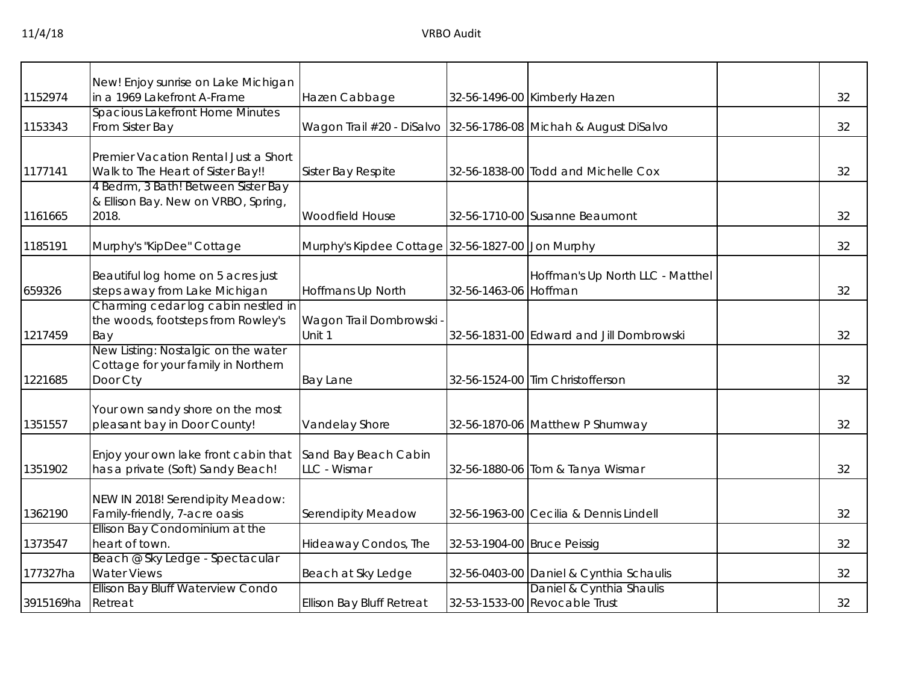|           | New! Enjoy sunrise on Lake Michigan                                       |                                                                 |                             |                                          |    |
|-----------|---------------------------------------------------------------------------|-----------------------------------------------------------------|-----------------------------|------------------------------------------|----|
| 1152974   | in a 1969 Lakefront A-Frame                                               | Hazen Cabbage                                                   |                             | 32-56-1496-00 Kimberly Hazen             | 32 |
| 1153343   | <b>Spacious Lakefront Home Minutes</b><br>From Sister Bay                 | Wagon Trail #20 - DiSalvo 32-56-1786-08 Michah & August DiSalvo |                             |                                          | 32 |
|           |                                                                           |                                                                 |                             |                                          |    |
| 1177141   | Premier Vacation Rental Just a Short<br>Walk to The Heart of Sister Bay!! | Sister Bay Respite                                              |                             | 32-56-1838-00 Todd and Michelle Cox      | 32 |
|           | 4 Bedrm, 3 Bath! Between Sister Bay                                       |                                                                 |                             |                                          |    |
|           | & Ellison Bay. New on VRBO, Spring,                                       |                                                                 |                             |                                          |    |
| 1161665   | 2018.                                                                     | <b>Woodfield House</b>                                          |                             | 32-56-1710-00 Susanne Beaumont           | 32 |
|           |                                                                           |                                                                 |                             |                                          |    |
| 1185191   | Murphy's "KipDee" Cottage                                                 | Murphy's Kipdee Cottage 32-56-1827-00 Jon Murphy                |                             |                                          | 32 |
|           |                                                                           |                                                                 |                             |                                          |    |
|           | Beautiful log home on 5 acres just                                        |                                                                 |                             | Hoffman's Up North LLC - Matthel         |    |
| 659326    | steps away from Lake Michigan                                             | Hoffmans Up North                                               | 32-56-1463-06 Hoffman       |                                          | 32 |
|           | Charming cedar log cabin nestled in                                       |                                                                 |                             |                                          |    |
|           | the woods, footsteps from Rowley's                                        | Wagon Trail Dombrowski -                                        |                             |                                          |    |
| 1217459   | Bay                                                                       | Unit 1                                                          |                             | 32-56-1831-00 Edward and Jill Dombrowski | 32 |
|           | New Listing: Nostalgic on the water                                       |                                                                 |                             |                                          |    |
|           | Cottage for your family in Northern                                       |                                                                 |                             |                                          |    |
| 1221685   | Door Cty                                                                  | <b>Bay Lane</b>                                                 |                             | 32-56-1524-00 Tim Christofferson         | 32 |
|           |                                                                           |                                                                 |                             |                                          |    |
|           | Your own sandy shore on the most                                          |                                                                 |                             |                                          |    |
| 1351557   | pleasant bay in Door County!                                              | Vandelay Shore                                                  |                             | 32-56-1870-06 Matthew P Shumway          | 32 |
|           |                                                                           |                                                                 |                             |                                          |    |
|           | Enjoy your own lake front cabin that                                      | Sand Bay Beach Cabin                                            |                             |                                          |    |
| 1351902   | has a private (Soft) Sandy Beach!                                         | LLC - Wismar                                                    |                             | 32-56-1880-06 Tom & Tanya Wismar         | 32 |
|           |                                                                           |                                                                 |                             |                                          |    |
|           | NEW IN 2018! Serendipity Meadow:                                          |                                                                 |                             |                                          |    |
| 1362190   | Family-friendly, 7-acre oasis                                             | Serendipity Meadow                                              |                             | 32-56-1963-00 Cecilia & Dennis Lindell   | 32 |
|           | Ellison Bay Condominium at the                                            |                                                                 |                             |                                          |    |
| 1373547   | heart of town.                                                            | Hideaway Condos, The                                            | 32-53-1904-00 Bruce Peissig |                                          | 32 |
|           | Beach @ Sky Ledge - Spectacular                                           |                                                                 |                             |                                          |    |
| 177327ha  | <b>Water Views</b>                                                        | Beach at Sky Ledge                                              |                             | 32-56-0403-00 Daniel & Cynthia Schaulis  | 32 |
|           | Ellison Bay Bluff Waterview Condo                                         |                                                                 |                             | Daniel & Cynthia Shaulis                 |    |
| 3915169ha | Retreat                                                                   | <b>Ellison Bay Bluff Retreat</b>                                |                             | 32-53-1533-00 Revocable Trust            | 32 |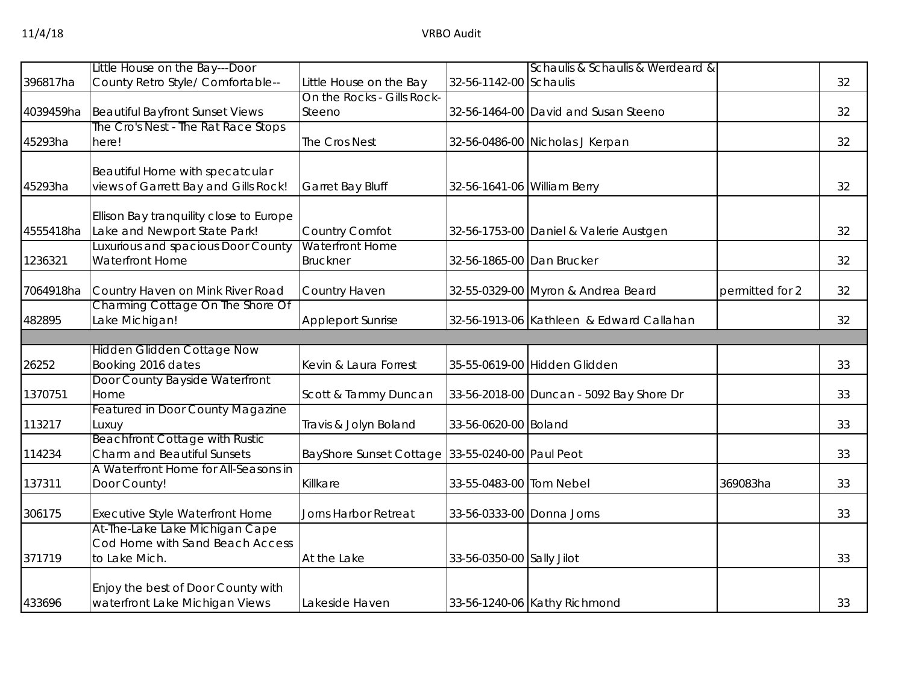|           | Little House on the Bay---Door                 |                                                 |                             | Schaulis & Schaulis & Werdeard &         |                 |    |
|-----------|------------------------------------------------|-------------------------------------------------|-----------------------------|------------------------------------------|-----------------|----|
| 396817ha  | County Retro Style/ Comfortable--              | Little House on the Bay                         | 32-56-1142-00 Schaulis      |                                          |                 | 32 |
|           |                                                | On the Rocks - Gills Rock-                      |                             |                                          |                 |    |
| 4039459ha | <b>Beautiful Bayfront Sunset Views</b>         | Steeno                                          |                             | 32-56-1464-00 David and Susan Steeno     |                 | 32 |
|           | The Cro's Nest - The Rat Race Stops            |                                                 |                             |                                          |                 |    |
| 45293ha   | here!                                          | The Cros Nest                                   |                             | 32-56-0486-00 Nicholas J Kerpan          |                 | 32 |
|           |                                                |                                                 |                             |                                          |                 |    |
|           | Beautiful Home with specatcular                |                                                 |                             |                                          |                 |    |
| 45293ha   | views of Garrett Bay and Gills Rock!           | Garret Bay Bluff                                | 32-56-1641-06 William Berry |                                          |                 | 32 |
|           | Ellison Bay tranquility close to Europe        |                                                 |                             |                                          |                 |    |
| 4555418ha | Lake and Newport State Park!                   | Country Comfot                                  |                             | 32-56-1753-00 Daniel & Valerie Austgen   |                 | 32 |
|           | Luxurious and spacious Door County             | Waterfront Home                                 |                             |                                          |                 |    |
| 1236321   | Waterfront Home                                | <b>Bruckner</b>                                 | 32-56-1865-00 Dan Brucker   |                                          |                 | 32 |
|           |                                                |                                                 |                             |                                          |                 |    |
| 7064918ha | Country Haven on Mink River Road               | Country Haven                                   |                             | 32-55-0329-00 Myron & Andrea Beard       | permitted for 2 | 32 |
|           | Charming Cottage On The Shore Of               |                                                 |                             |                                          |                 |    |
| 482895    | Lake Michigan!                                 | <b>Appleport Sunrise</b>                        |                             | 32-56-1913-06 Kathleen & Edward Callahan |                 | 32 |
|           |                                                |                                                 |                             |                                          |                 |    |
|           | <b>Hidden Glidden Cottage Now</b>              |                                                 |                             |                                          |                 |    |
| 26252     | Booking 2016 dates                             | Kevin & Laura Forrest                           |                             | 35-55-0619-00 Hidden Glidden             |                 | 33 |
|           | Door County Bayside Waterfront                 |                                                 |                             |                                          |                 |    |
| 1370751   | Home                                           | Scott & Tammy Duncan                            |                             | 33-56-2018-00 Duncan - 5092 Bay Shore Dr |                 | 33 |
|           | Featured in Door County Magazine               |                                                 |                             |                                          |                 | 33 |
| 113217    | Luxuy<br><b>Beachfront Cottage with Rustic</b> | Travis & Jolyn Boland                           | 33-56-0620-00 Boland        |                                          |                 |    |
| 114234    | <b>Charm and Beautiful Sunsets</b>             | BayShore Sunset Cottage 33-55-0240-00 Paul Peot |                             |                                          |                 | 33 |
|           | A Waterfront Home for All-Seasons in           |                                                 |                             |                                          |                 |    |
| 137311    | Door County!                                   | Killkare                                        | 33-55-0483-00 Tom Nebel     |                                          | 369083ha        | 33 |
|           |                                                |                                                 |                             |                                          |                 |    |
| 306175    | Executive Style Waterfront Home                | Jorns Harbor Retreat                            | 33-56-0333-00 Donna Jorns   |                                          |                 | 33 |
|           | At-The-Lake Lake Michigan Cape                 |                                                 |                             |                                          |                 |    |
|           | Cod Home with Sand Beach Access                |                                                 |                             |                                          |                 |    |
| 371719    | to Lake Mich.                                  | At the Lake                                     | 33-56-0350-00 Sally Jilot   |                                          |                 | 33 |
|           |                                                |                                                 |                             |                                          |                 |    |
|           | Enjoy the best of Door County with             |                                                 |                             |                                          |                 |    |
| 433696    | waterfront Lake Michigan Views                 | Lakeside Haven                                  |                             | 33-56-1240-06 Kathy Richmond             |                 | 33 |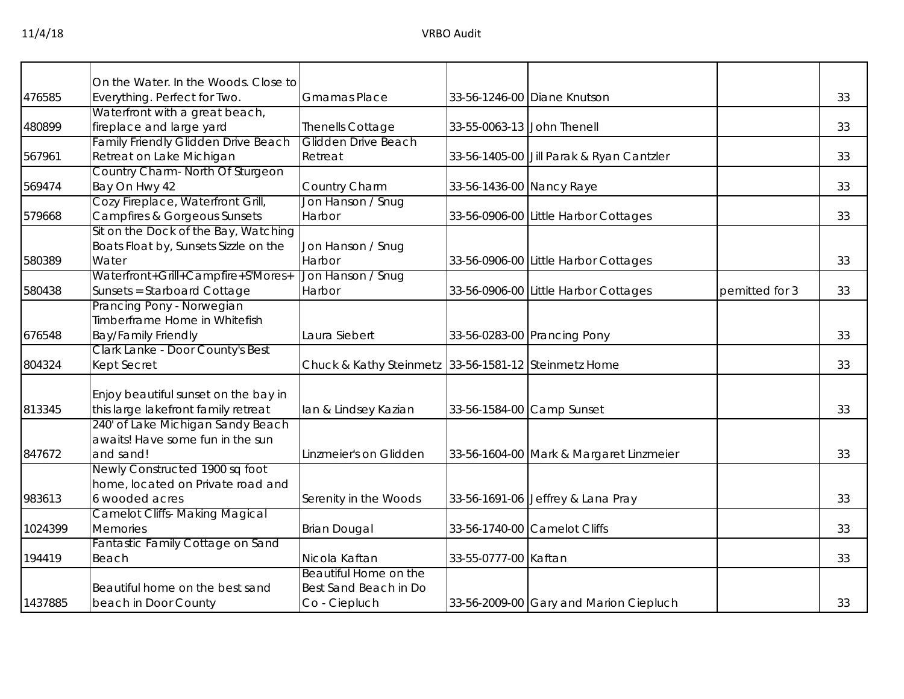|         | On the Water. In the Woods. Close to       |                                                      |                            |                                          |                |    |
|---------|--------------------------------------------|------------------------------------------------------|----------------------------|------------------------------------------|----------------|----|
| 476585  | Everything. Perfect for Two.               | <b>Gmamas Place</b>                                  |                            | 33-56-1246-00 Diane Knutson              |                | 33 |
|         | Waterfront with a great beach,             |                                                      |                            |                                          |                |    |
| 480899  | fireplace and large yard                   | Thenells Cottage                                     | 33-55-0063-13 John Thenell |                                          |                | 33 |
|         | <b>Family Friendly Glidden Drive Beach</b> | Glidden Drive Beach                                  |                            |                                          |                |    |
| 567961  | Retreat on Lake Michigan                   | Retreat                                              |                            | 33-56-1405-00 Jill Parak & Ryan Cantzler |                | 33 |
|         | Country Charm- North Of Sturgeon           |                                                      |                            |                                          |                |    |
| 569474  | Bay On Hwy 42                              | Country Charm                                        | 33-56-1436-00 Nancy Raye   |                                          |                | 33 |
|         | Cozy Fireplace, Waterfront Grill,          | Jon Hanson / Snug                                    |                            |                                          |                |    |
| 579668  | Campfires & Gorgeous Sunsets               | Harbor                                               |                            | 33-56-0906-00 Little Harbor Cottages     |                | 33 |
|         | Sit on the Dock of the Bay, Watching       |                                                      |                            |                                          |                |    |
|         | Boats Float by, Sunsets Sizzle on the      | Jon Hanson / Snug                                    |                            |                                          |                |    |
| 580389  | Water                                      | Harbor                                               |                            | 33-56-0906-00 Little Harbor Cottages     |                | 33 |
|         | Waterfront+Grill+Campfire+S'Mores+         | Jon Hanson / Snug                                    |                            |                                          |                |    |
| 580438  | Sunsets = Starboard Cottage                | Harbor                                               |                            | 33-56-0906-00 Little Harbor Cottages     | pemitted for 3 | 33 |
|         | Prancing Pony - Norwegian                  |                                                      |                            |                                          |                |    |
|         | Timberframe Home in Whitefish              |                                                      |                            |                                          |                |    |
| 676548  | <b>Bay/Family Friendly</b>                 | Laura Siebert                                        |                            | 33-56-0283-00 Prancing Pony              |                | 33 |
|         | Clark Lanke - Door County's Best           |                                                      |                            |                                          |                |    |
| 804324  | Kept Secret                                | Chuck & Kathy Steinmetz 33-56-1581-12 Steinmetz Home |                            |                                          |                | 33 |
|         |                                            |                                                      |                            |                                          |                |    |
|         | Enjoy beautiful sunset on the bay in       |                                                      |                            |                                          |                |    |
| 813345  | this large lakefront family retreat        | lan & Lindsey Kazian                                 |                            | 33-56-1584-00 Camp Sunset                |                | 33 |
|         | 240' of Lake Michigan Sandy Beach          |                                                      |                            |                                          |                |    |
|         | awaits! Have some fun in the sun           |                                                      |                            |                                          |                |    |
| 847672  | and sand!                                  | Linzmeier's on Glidden                               |                            | 33-56-1604-00 Mark & Margaret Linzmeier  |                | 33 |
|         | Newly Constructed 1900 sq foot             |                                                      |                            |                                          |                |    |
|         | home, located on Private road and          |                                                      |                            |                                          |                |    |
| 983613  | 6 wooded acres                             | Serenity in the Woods                                |                            | 33-56-1691-06 Jeffrey & Lana Pray        |                | 33 |
|         | <b>Camelot Cliffs- Making Magical</b>      |                                                      |                            |                                          |                |    |
| 1024399 | Memories                                   | <b>Brian Dougal</b>                                  |                            | 33-56-1740-00 Camelot Cliffs             |                | 33 |
|         | Fantastic Family Cottage on Sand           |                                                      |                            |                                          |                |    |
| 194419  | Beach                                      | Nicola Kaftan                                        | 33-55-0777-00 Kaftan       |                                          |                | 33 |
|         |                                            | Beautiful Home on the                                |                            |                                          |                |    |
|         | Beautiful home on the best sand            | Best Sand Beach in Do                                |                            |                                          |                |    |
| 1437885 | beach in Door County                       | Co - Ciepluch                                        |                            | 33-56-2009-00 Gary and Marion Ciepluch   |                | 33 |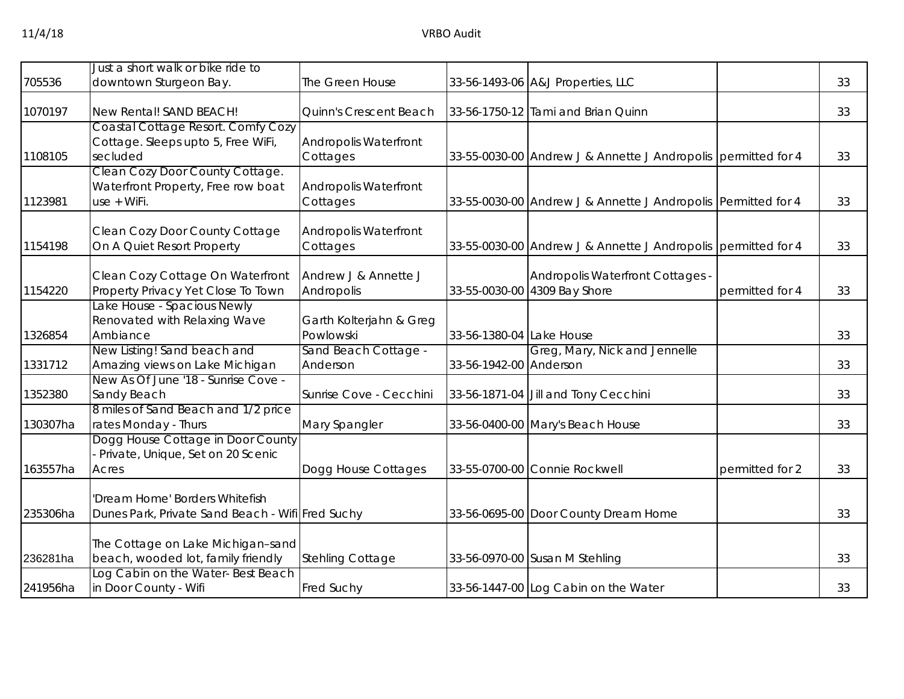| 705536   | Just a short walk or bike ride to<br>downtown Sturgeon Bay.                          | The Green House                      |                          | 33-56-1493-06 A&J Properties, LLC                                |                 | 33 |
|----------|--------------------------------------------------------------------------------------|--------------------------------------|--------------------------|------------------------------------------------------------------|-----------------|----|
| 1070197  | New Rental! SAND BEACH!                                                              | Quinn's Crescent Beach               |                          | 33-56-1750-12 Tami and Brian Quinn                               |                 | 33 |
| 1108105  | Coastal Cottage Resort. Comfy Cozy<br>Cottage. Sleeps upto 5, Free WiFi,<br>secluded | Andropolis Waterfront<br>Cottages    |                          | 33-55-0030-00 Andrew J & Annette J Andropolis permitted for 4    |                 | 33 |
| 1123981  | Clean Cozy Door County Cottage.<br>Waterfront Property, Free row boat<br>use + WiFi. | Andropolis Waterfront<br>Cottages    |                          | 33-55-0030-00 Andrew J & Annette J Andropolis Permitted for 4    |                 | 33 |
| 1154198  | Clean Cozy Door County Cottage<br>On A Quiet Resort Property                         | Andropolis Waterfront<br>Cottages    |                          | 33-55-0030-00 Andrew J & Annette J Andropolis permitted for 4    |                 | 33 |
| 1154220  | Clean Cozy Cottage On Waterfront<br>Property Privacy Yet Close To Town               | Andrew J & Annette J<br>Andropolis   |                          | Andropolis Waterfront Cottages -<br>33-55-0030-00 4309 Bay Shore | permitted for 4 | 33 |
| 1326854  | Lake House - Spacious Newly<br>Renovated with Relaxing Wave<br>Ambiance              | Garth Kolterjahn & Greg<br>Powlowski | 33-56-1380-04 Lake House |                                                                  |                 | 33 |
| 1331712  | New Listing! Sand beach and<br>Amazing views on Lake Michigan                        | Sand Beach Cottage -<br>Anderson     | 33-56-1942-00 Anderson   | Greg, Mary, Nick and Jennelle                                    |                 | 33 |
| 1352380  | New As Of June '18 - Sunrise Cove -<br>Sandy Beach                                   | Sunrise Cove - Cecchini              |                          | 33-56-1871-04 Jill and Tony Cecchini                             |                 | 33 |
| 130307ha | 8 miles of Sand Beach and 1/2 price<br>rates Monday - Thurs                          | Mary Spangler                        |                          | 33-56-0400-00 Mary's Beach House                                 |                 | 33 |
| 163557ha | Dogg House Cottage in Door County<br>Private, Unique, Set on 20 Scenic<br>Acres      | Dogg House Cottages                  |                          | 33-55-0700-00 Connie Rockwell                                    | permitted for 2 | 33 |
| 235306ha | 'Dream Home' Borders Whitefish<br>Dunes Park, Private Sand Beach - Wifi Fred Suchy   |                                      |                          | 33-56-0695-00 Door County Dream Home                             |                 | 33 |
| 236281ha | The Cottage on Lake Michigan-sand<br>beach, wooded lot, family friendly              | <b>Stehling Cottage</b>              |                          | 33-56-0970-00 Susan M Stehling                                   |                 | 33 |
| 241956ha | Log Cabin on the Water-Best Beach<br>in Door County - Wifi                           | <b>Fred Suchy</b>                    |                          | 33-56-1447-00 Log Cabin on the Water                             |                 | 33 |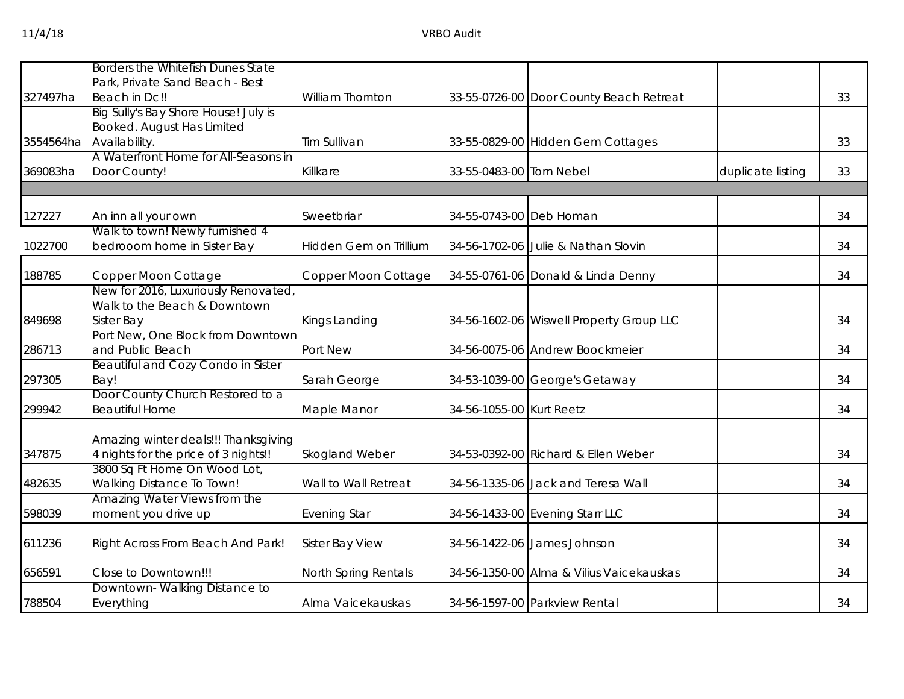|           | Borders the Whitefish Dunes State        |                        |                          |                                          |                   |    |
|-----------|------------------------------------------|------------------------|--------------------------|------------------------------------------|-------------------|----|
|           | Park, Private Sand Beach - Best          |                        |                          |                                          |                   |    |
| 327497ha  | Beach in Dc!!                            | William Thornton       |                          | 33-55-0726-00 Door County Beach Retreat  |                   | 33 |
|           | Big Sully's Bay Shore House! July is     |                        |                          |                                          |                   |    |
|           | Booked. August Has Limited               |                        |                          |                                          |                   |    |
| 3554564ha | Availability.                            | Tim Sullivan           |                          | 33-55-0829-00 Hidden Gem Cottages        |                   | 33 |
|           | A Waterfront Home for All-Seasons in     |                        |                          |                                          |                   |    |
| 369083ha  | Door County!                             | Killkare               | 33-55-0483-00 Tom Nebel  |                                          | duplicate listing | 33 |
|           |                                          |                        |                          |                                          |                   |    |
| 127227    | An inn all your own                      | Sweetbriar             | 34-55-0743-00 Deb Homan  |                                          |                   | 34 |
|           | Walk to town! Newly furnished 4          |                        |                          |                                          |                   |    |
| 1022700   | bedrooom home in Sister Bay              | Hidden Gem on Trillium |                          | 34-56-1702-06 Julie & Nathan Slovin      |                   | 34 |
| 188785    | Copper Moon Cottage                      | Copper Moon Cottage    |                          | 34-55-0761-06 Donald & Linda Denny       |                   | 34 |
|           | New for 2016, Luxuriously Renovated,     |                        |                          |                                          |                   |    |
|           | Walk to the Beach & Downtown             |                        |                          |                                          |                   |    |
| 849698    | <b>Sister Bay</b>                        | Kings Landing          |                          | 34-56-1602-06 Wiswell Property Group LLC |                   | 34 |
|           | Port New, One Block from Downtown        |                        |                          |                                          |                   |    |
| 286713    | and Public Beach                         | Port New               |                          | 34-56-0075-06 Andrew Boockmeier          |                   | 34 |
|           | Beautiful and Cozy Condo in Sister       |                        |                          |                                          |                   |    |
| 297305    | Bay!<br>Door County Church Restored to a | Sarah George           |                          | 34-53-1039-00 George's Getaway           |                   | 34 |
| 299942    | <b>Beautiful Home</b>                    | Maple Manor            | 34-56-1055-00 Kurt Reetz |                                          |                   | 34 |
|           |                                          |                        |                          |                                          |                   |    |
|           | Amazing winter deals!!! Thanksgiving     |                        |                          |                                          |                   |    |
| 347875    | 4 nights for the price of 3 nights!!     | Skogland Weber         |                          | 34-53-0392-00 Richard & Ellen Weber      |                   | 34 |
|           | 3800 Sq Ft Home On Wood Lot,             |                        |                          |                                          |                   |    |
| 482635    | Walking Distance To Town!                | Wall to Wall Retreat   |                          | 34-56-1335-06 Jack and Teresa Wall       |                   | 34 |
|           | Amazing Water Views from the             |                        |                          |                                          |                   |    |
| 598039    | moment you drive up                      | <b>Evening Star</b>    |                          | 34-56-1433-00 Evening Starr LLC          |                   | 34 |
| 611236    | Right Across From Beach And Park!        | Sister Bay View        |                          | 34-56-1422-06 James Johnson              |                   | 34 |
| 656591    | Close to Downtown!!!                     | North Spring Rentals   |                          | 34-56-1350-00 Alma & Vilius Vaicekauskas |                   | 34 |
|           | Downtown-Walking Distance to             |                        |                          |                                          |                   |    |
| 788504    | Everything                               | Alma Vaicekauskas      |                          | 34-56-1597-00 Parkview Rental            |                   | 34 |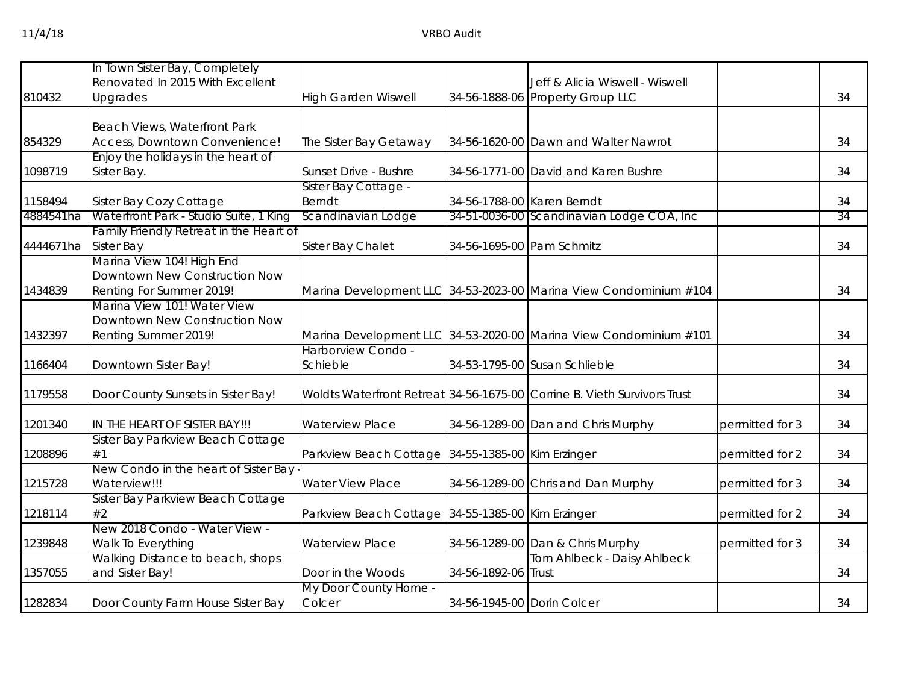|           | In Town Sister Bay, Completely                      |                                                     |                            |                                                                          |                 |    |
|-----------|-----------------------------------------------------|-----------------------------------------------------|----------------------------|--------------------------------------------------------------------------|-----------------|----|
|           | Renovated In 2015 With Excellent                    |                                                     |                            | Jeff & Alicia Wiswell - Wiswell                                          |                 |    |
| 810432    | Upgrades                                            | <b>High Garden Wiswell</b>                          |                            | 34-56-1888-06 Property Group LLC                                         |                 | 34 |
|           | Beach Views, Waterfront Park                        |                                                     |                            |                                                                          |                 |    |
| 854329    | Access, Downtown Convenience!                       | The Sister Bay Getaway                              |                            | 34-56-1620-00 Dawn and Walter Nawrot                                     |                 | 34 |
|           | Enjoy the holidays in the heart of                  |                                                     |                            |                                                                          |                 |    |
| 1098719   | Sister Bay.                                         | Sunset Drive - Bushre                               |                            | 34-56-1771-00 David and Karen Bushre                                     |                 | 34 |
|           |                                                     | Sister Bay Cottage -                                |                            |                                                                          |                 |    |
| 1158494   | Sister Bay Cozy Cottage                             | <b>Berndt</b>                                       | 34-56-1788-00 Karen Berndt |                                                                          |                 | 34 |
| 4884541ha | Waterfront Park - Studio Suite, 1 King              | Scandinavian Lodge                                  |                            | 34-51-0036-00 Scandinavian Lodge COA, Inc                                |                 | 34 |
|           | Family Friendly Retreat in the Heart of             |                                                     |                            |                                                                          |                 |    |
| 4444671ha | <b>Sister Bay</b>                                   | Sister Bay Chalet                                   | 34-56-1695-00 Pam Schmitz  |                                                                          |                 | 34 |
|           | Marina View 104! High End                           |                                                     |                            |                                                                          |                 |    |
|           | Downtown New Construction Now                       |                                                     |                            |                                                                          |                 |    |
| 1434839   | Renting For Summer 2019!                            |                                                     |                            | Marina Development LLC 34-53-2023-00 Marina View Condominium #104        |                 | 34 |
|           | Marina View 101! Water View                         |                                                     |                            |                                                                          |                 |    |
| 1432397   | Downtown New Construction Now                       |                                                     |                            |                                                                          |                 |    |
|           | Renting Summer 2019!                                | Harborview Condo -                                  |                            | Marina Development LLC 34-53-2020-00 Marina View Condominium #101        |                 | 34 |
| 1166404   | Downtown Sister Bay!                                | Schieble                                            |                            | 34-53-1795-00 Susan Schlieble                                            |                 | 34 |
|           |                                                     |                                                     |                            |                                                                          |                 |    |
| 1179558   | Door County Sunsets in Sister Bay!                  |                                                     |                            | Woldts Waterfront Retreat 34-56-1675-00 Corrine B. Vieth Survivors Trust |                 | 34 |
| 1201340   | IN THE HEART OF SISTER BAY!!!                       | <b>Waterview Place</b>                              |                            | 34-56-1289-00 Dan and Chris Murphy                                       | permitted for 3 | 34 |
|           | Sister Bay Parkview Beach Cottage                   |                                                     |                            |                                                                          |                 |    |
| 1208896   | #1                                                  | Parkview Beach Cottage 34-55-1385-00 Kim Erzinger   |                            |                                                                          | permitted for 2 | 34 |
|           | New Condo in the heart of Sister Bay                |                                                     |                            |                                                                          |                 |    |
| 1215728   | Waterview!!!                                        | <b>Water View Place</b>                             |                            | 34-56-1289-00 Chris and Dan Murphy                                       | permitted for 3 | 34 |
|           | Sister Bay Parkview Beach Cottage                   |                                                     |                            |                                                                          |                 |    |
| 1218114   | #2                                                  | Parkview Beach Cottage   34-55-1385-00 Kim Erzinger |                            |                                                                          | permitted for 2 | 34 |
| 1239848   | New 2018 Condo - Water View -<br>Walk To Everything | <b>Waterview Place</b>                              |                            | 34-56-1289-00 Dan & Chris Murphy                                         | permitted for 3 | 34 |
|           | Walking Distance to beach, shops                    |                                                     |                            | Tom Ahlbeck - Daisy Ahlbeck                                              |                 |    |
| 1357055   | and Sister Bay!                                     | Door in the Woods                                   | 34-56-1892-06 Trust        |                                                                          |                 | 34 |
|           |                                                     | My Door County Home -                               |                            |                                                                          |                 |    |
| 1282834   | Door County Farm House Sister Bay                   | Colcer                                              | 34-56-1945-00 Dorin Colcer |                                                                          |                 | 34 |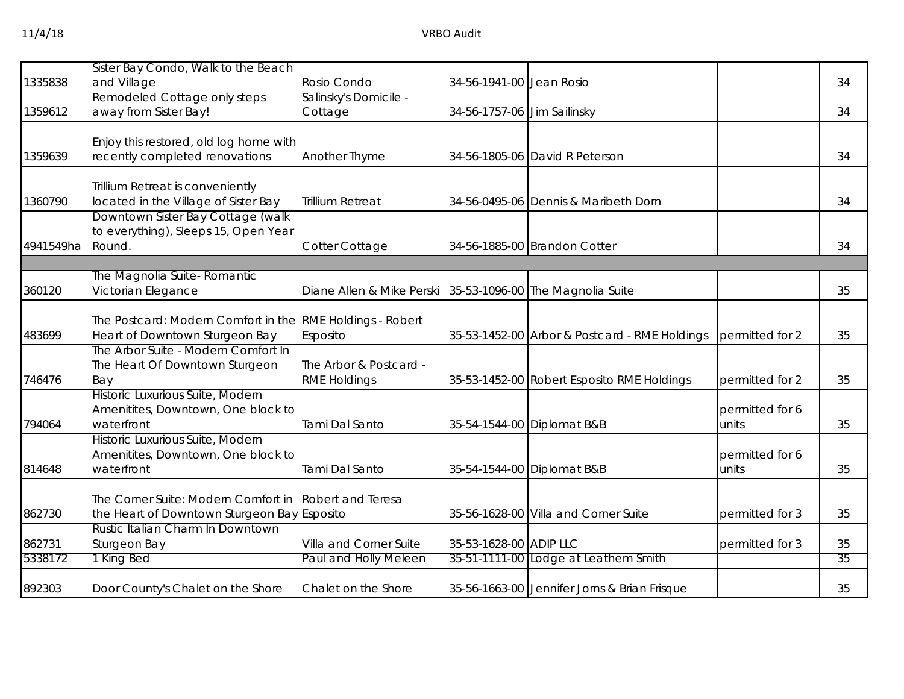|           | Sister Bay Condo, Walk to the Beach                       |                           |                             |                                               |                 |    |
|-----------|-----------------------------------------------------------|---------------------------|-----------------------------|-----------------------------------------------|-----------------|----|
| 1335838   | and Village                                               | Rosio Condo               | 34-56-1941-00 Jean Rosio    |                                               |                 | 34 |
|           | Remodeled Cottage only steps                              | Salinsky's Domicile -     |                             |                                               |                 |    |
| 1359612   | away from Sister Bay!                                     | Cottage                   | 34-56-1757-06 Jim Sailinsky |                                               |                 | 34 |
|           | Enjoy this restored, old log home with                    |                           |                             |                                               |                 |    |
| 1359639   | recently completed renovations                            | Another Thyme             |                             | 34-56-1805-06 David R Peterson                |                 | 34 |
|           | Trillium Retreat is conveniently                          |                           |                             |                                               |                 |    |
| 1360790   | located in the Village of Sister Bay                      | <b>Trillium Retreat</b>   |                             | 34-56-0495-06 Dennis & Maribeth Dorn          |                 | 34 |
|           | Downtown Sister Bay Cottage (walk                         |                           |                             |                                               |                 |    |
| 4941549ha | to everything), Sleeps 15, Open Year<br>Round.            | Cotter Cottage            |                             | 34-56-1885-00 Brandon Cotter                  |                 | 34 |
|           |                                                           |                           |                             |                                               |                 |    |
|           | The Magnolia Suite-Romantic                               |                           |                             |                                               |                 |    |
| 360120    | Victorian Elegance                                        | Diane Allen & Mike Perski |                             | 35-53-1096-00 The Magnolia Suite              |                 | 35 |
|           | The Postcard: Modern Comfort in the RME Holdings - Robert |                           |                             |                                               |                 |    |
| 483699    | Heart of Downtown Sturgeon Bay                            | Esposito                  |                             | 35-53-1452-00 Arbor & Postcard - RME Holdings | permitted for 2 | 35 |
|           | The Arbor Suite - Modern Comfort In                       |                           |                             |                                               |                 |    |
|           | The Heart Of Downtown Sturgeon                            | The Arbor & Postcard -    |                             |                                               |                 |    |
| 746476    | Bay<br>Historic Luxurious Suite, Modern                   | <b>RME Holdings</b>       |                             | 35-53-1452-00 Robert Esposito RME Holdings    | permitted for 2 | 35 |
|           | Amenitites, Downtown, One block to                        |                           |                             |                                               | permitted for 6 |    |
| 794064    | waterfront                                                | Tami Dal Santo            |                             | 35-54-1544-00 Diplomat B&B                    | units           | 35 |
|           | Historic Luxurious Suite, Modern                          |                           |                             |                                               |                 |    |
|           | Amenitites, Downtown, One block to                        |                           |                             |                                               | permitted for 6 |    |
| 814648    | waterfront                                                | Tami Dal Santo            |                             | 35-54-1544-00 Diplomat B&B                    | units           | 35 |
|           | The Corner Suite: Modern Comfort in                       | <b>Robert and Teresa</b>  |                             |                                               |                 |    |
| 862730    | the Heart of Downtown Sturgeon Bay Esposito               |                           |                             | 35-56-1628-00 Villa and Corner Suite          | permitted for 3 | 35 |
|           | Rustic Italian Charm In Downtown                          |                           |                             |                                               |                 |    |
| 862731    | Sturgeon Bay                                              | Villa and Corner Suite    | 35-53-1628-00 ADIP LLC      |                                               | permitted for 3 | 35 |
| 5338172   | 1 King Bed                                                | Paul and Holly Meleen     |                             | 35-51-1111-00 Lodge at Leathem Smith          |                 | 35 |
| 892303    | Door County's Chalet on the Shore                         | Chalet on the Shore       |                             | 35-56-1663-00 Jennifer Jorns & Brian Frisque  |                 | 35 |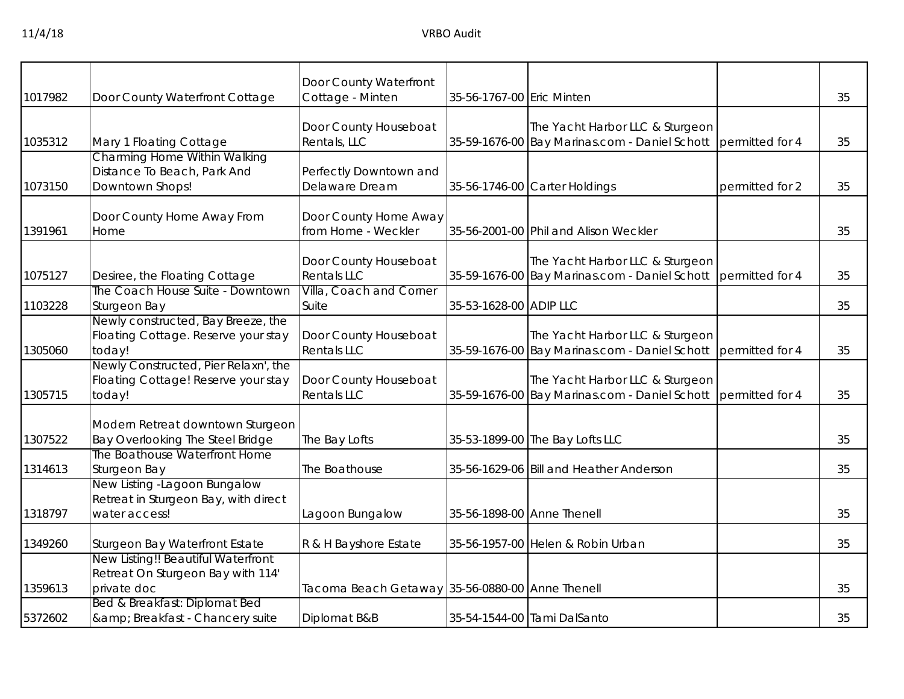| 1017982 | Door County Waterfront Cottage                                                         | Door County Waterfront<br>Cottage - Minten      | 35-56-1767-00 Eric Minten  |                                                                                  |                 | 35 |
|---------|----------------------------------------------------------------------------------------|-------------------------------------------------|----------------------------|----------------------------------------------------------------------------------|-----------------|----|
| 1035312 | Mary 1 Floating Cottage                                                                | Door County Houseboat<br>Rentals, LLC           |                            | The Yacht Harbor LLC & Sturgeon<br>35-59-1676-00 Bay Marinas.com - Daniel Schott | permitted for 4 | 35 |
| 1073150 | <b>Charming Home Within Walking</b><br>Distance To Beach, Park And<br>Downtown Shops!  | Perfectly Downtown and<br>Delaware Dream        |                            | 35-56-1746-00 Carter Holdings                                                    | permitted for 2 | 35 |
| 1391961 | Door County Home Away From<br>Home                                                     | Door County Home Away<br>from Home - Weckler    |                            | 35-56-2001-00 Phil and Alison Weckler                                            |                 | 35 |
| 1075127 | Desiree, the Floating Cottage                                                          | Door County Houseboat<br>Rentals LLC            |                            | The Yacht Harbor LLC & Sturgeon<br>35-59-1676-00 Bay Marinas.com - Daniel Schott | permitted for 4 | 35 |
| 1103228 | The Coach House Suite - Downtown<br>Sturgeon Bay                                       | Villa, Coach and Corner<br>Suite                | 35-53-1628-00 ADIP LLC     |                                                                                  |                 | 35 |
| 1305060 | Newly constructed, Bay Breeze, the<br>Floating Cottage. Reserve your stay<br>today!    | Door County Houseboat<br><b>Rentals LLC</b>     |                            | The Yacht Harbor LLC & Sturgeon<br>35-59-1676-00 Bay Marinas.com - Daniel Schott | permitted for 4 | 35 |
| 1305715 | Newly Constructed, Pier Relaxn', the<br>Floating Cottage! Reserve your stay<br>today!  | Door County Houseboat<br><b>Rentals LLC</b>     |                            | The Yacht Harbor LLC & Sturgeon<br>35-59-1676-00 Bay Marinas.com - Daniel Schott | permitted for 4 | 35 |
| 1307522 | Modern Retreat downtown Sturgeon<br>Bay Overlooking The Steel Bridge                   | The Bay Lofts                                   |                            | 35-53-1899-00 The Bay Lofts LLC                                                  |                 | 35 |
| 1314613 | The Boathouse Waterfront Home<br>Sturgeon Bay                                          | The Boathouse                                   |                            | 35-56-1629-06 Bill and Heather Anderson                                          |                 | 35 |
| 1318797 | New Listing -Lagoon Bungalow<br>Retreat in Sturgeon Bay, with direct<br>water access!  | Lagoon Bungalow                                 | 35-56-1898-00 Anne Thenell |                                                                                  |                 | 35 |
| 1349260 | Sturgeon Bay Waterfront Estate                                                         | R & H Bayshore Estate                           |                            | 35-56-1957-00 Helen & Robin Urban                                                |                 | 35 |
| 1359613 | New Listing!! Beautiful Waterfront<br>Retreat On Sturgeon Bay with 114'<br>private doc | Tacoma Beach Getaway 35-56-0880-00 Anne Thenell |                            |                                                                                  |                 | 35 |
| 5372602 | Bed & Breakfast: Diplomat Bed<br>& Breakfast - Chancery suite                          | Diplomat B&B                                    |                            | 35-54-1544-00 Tami DalSanto                                                      |                 | 35 |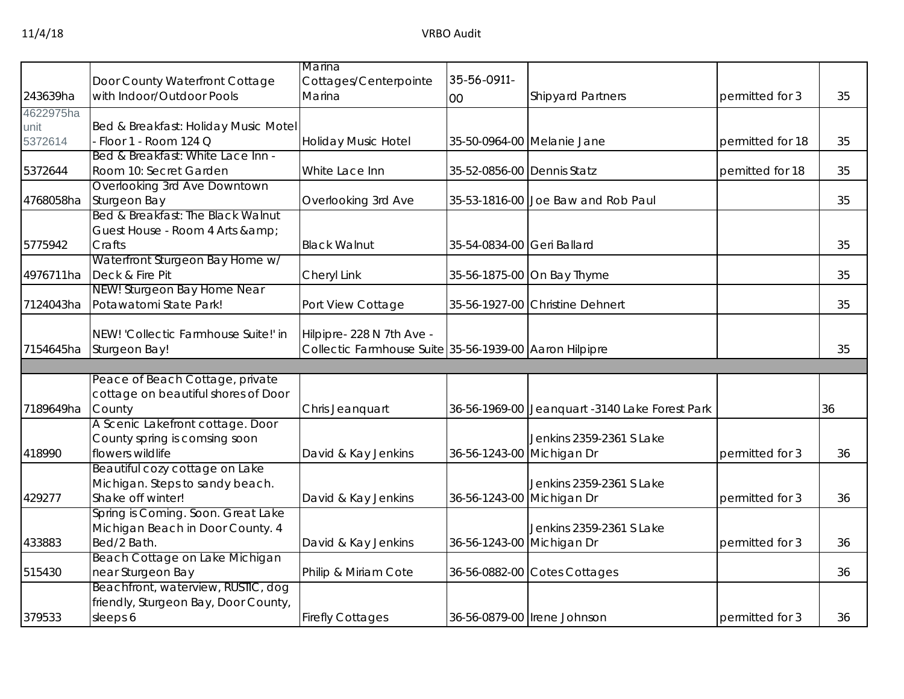|           |                                      | Marina                                                 |                            |                                                |                  |    |
|-----------|--------------------------------------|--------------------------------------------------------|----------------------------|------------------------------------------------|------------------|----|
|           | Door County Waterfront Cottage       | Cottages/Centerpointe                                  | 35-56-0911-                |                                                |                  |    |
| 243639ha  | with Indoor/Outdoor Pools            | Marina                                                 |                            | <b>Shipyard Partners</b>                       | permitted for 3  | 35 |
|           |                                      |                                                        | 00                         |                                                |                  |    |
| 4622975ha |                                      |                                                        |                            |                                                |                  |    |
| unit      | Bed & Breakfast: Holiday Music Motel |                                                        |                            |                                                |                  |    |
| 5372614   | - Floor 1 - Room 124 Q               | <b>Holiday Music Hotel</b>                             |                            | 35-50-0964-00 Melanie Jane                     | permitted for 18 | 35 |
|           | Bed & Breakfast: White Lace Inn -    |                                                        |                            |                                                |                  |    |
| 5372644   | Room 10: Secret Garden               | White Lace Inn                                         | 35-52-0856-00 Dennis Statz |                                                | pemitted for 18  | 35 |
|           | Overlooking 3rd Ave Downtown         |                                                        |                            |                                                |                  |    |
| 4768058ha | Sturgeon Bay                         | Overlooking 3rd Ave                                    |                            | 35-53-1816-00 Joe Baw and Rob Paul             |                  | 35 |
|           | Bed & Breakfast: The Black Walnut    |                                                        |                            |                                                |                  |    |
|           | Guest House - Room 4 Arts & amp;     |                                                        |                            |                                                |                  |    |
| 5775942   | Crafts                               | <b>Black Walnut</b>                                    | 35-54-0834-00 Geri Ballard |                                                |                  | 35 |
|           | Waterfront Sturgeon Bay Home w/      |                                                        |                            |                                                |                  |    |
| 4976711ha | Deck & Fire Pit                      | Cheryl Link                                            |                            | 35-56-1875-00 On Bay Thyme                     |                  | 35 |
|           | NEW! Sturgeon Bay Home Near          |                                                        |                            |                                                |                  |    |
| 7124043ha | Potawatomi State Park!               | Port View Cottage                                      |                            | 35-56-1927-00 Christine Dehnert                |                  | 35 |
|           | NEW! 'Collectic Farmhouse Suite!' in | Hilpipre- 228 N 7th Ave -                              |                            |                                                |                  |    |
| 7154645ha | Sturgeon Bay!                        | Collectic Farmhouse Suite 35-56-1939-00 Aaron Hilpipre |                            |                                                |                  | 35 |
|           |                                      |                                                        |                            |                                                |                  |    |
|           | Peace of Beach Cottage, private      |                                                        |                            |                                                |                  |    |
|           | cottage on beautiful shores of Door  |                                                        |                            |                                                |                  |    |
| 7189649ha | County                               | Chris Jeanquart                                        |                            | 36-56-1969-00 Jeanquart -3140 Lake Forest Park |                  | 36 |
|           | A Scenic Lakefront cottage. Door     |                                                        |                            |                                                |                  |    |
|           | County spring is comsing soon        |                                                        |                            | Jenkins 2359-2361 S Lake                       |                  |    |
| 418990    | flowers wildlife                     | David & Kay Jenkins                                    | 36-56-1243-00 Michigan Dr  |                                                | permitted for 3  | 36 |
|           | Beautiful cozy cottage on Lake       |                                                        |                            |                                                |                  |    |
|           | Michigan. Steps to sandy beach.      |                                                        |                            | Jenkins 2359-2361 S Lake                       |                  |    |
| 429277    | Shake off winter!                    | David & Kay Jenkins                                    | 36-56-1243-00 Michigan Dr  |                                                | permitted for 3  | 36 |
|           | Spring is Coming. Soon. Great Lake   |                                                        |                            |                                                |                  |    |
|           | Michigan Beach in Door County. 4     |                                                        |                            | Jenkins 2359-2361 S Lake                       |                  |    |
| 433883    | Bed/2 Bath.                          | David & Kay Jenkins                                    | 36-56-1243-00 Michigan Dr  |                                                | permitted for 3  | 36 |
|           | Beach Cottage on Lake Michigan       |                                                        |                            |                                                |                  |    |
| 515430    | near Sturgeon Bay                    | Philip & Miriam Cote                                   |                            | 36-56-0882-00 Cotes Cottages                   |                  | 36 |
|           | Beachfront, waterview, RUSTIC, dog   |                                                        |                            |                                                |                  |    |
|           | friendly, Sturgeon Bay, Door County, |                                                        |                            |                                                |                  |    |
| 379533    | sleeps 6                             | <b>Firefly Cottages</b>                                |                            | 36-56-0879-00 Irene Johnson                    | permitted for 3  | 36 |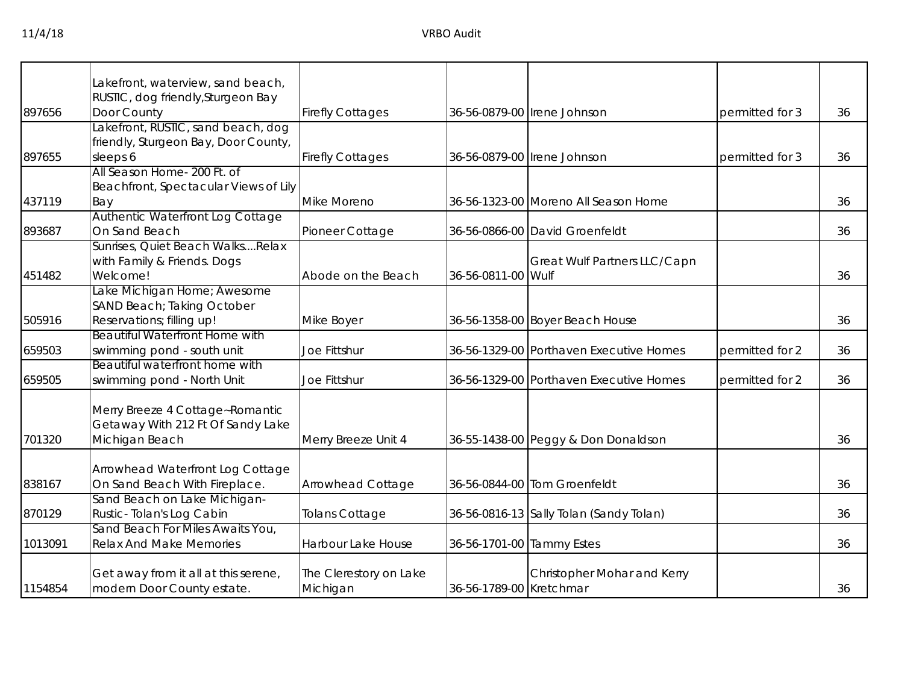|         | akefront, waterview, sand beach,                                   |                          |                           |                                         |                 |    |
|---------|--------------------------------------------------------------------|--------------------------|---------------------------|-----------------------------------------|-----------------|----|
|         | RUSTIC, dog friendly, Sturgeon Bay                                 |                          |                           |                                         |                 |    |
| 897656  | Door County                                                        | <b>Firefly Cottages</b>  |                           | 36-56-0879-00 Irene Johnson             | permitted for 3 | 36 |
|         | Lakefront, RUSTIC, sand beach, dog                                 |                          |                           |                                         |                 |    |
|         | friendly, Sturgeon Bay, Door County,                               |                          |                           |                                         |                 |    |
| 897655  | sleeps 6                                                           | <b>Firefly Cottages</b>  |                           | 36-56-0879-00   Irene Johnson           | permitted for 3 | 36 |
|         | All Season Home- 200 Ft. of                                        |                          |                           |                                         |                 |    |
|         | Beachfront, Spectacular Views of Lily                              |                          |                           |                                         |                 |    |
| 437119  | Bay                                                                | Mike Moreno              |                           | 36-56-1323-00 Moreno All Season Home    |                 | 36 |
|         | Authentic Waterfront Log Cottage                                   |                          |                           |                                         |                 |    |
| 893687  | On Sand Beach                                                      | Pioneer Cottage          |                           | 36-56-0866-00 David Groenfeldt          |                 | 36 |
|         | Sunrises, Quiet Beach WalksRelax                                   |                          |                           |                                         |                 |    |
|         | with Family & Friends. Dogs                                        |                          |                           | Great Wulf Partners LLC/Capn            |                 |    |
| 451482  | Welcome!                                                           | Abode on the Beach       | 36-56-0811-00 Wulf        |                                         |                 | 36 |
|         | Lake Michigan Home; Awesome                                        |                          |                           |                                         |                 |    |
|         | SAND Beach; Taking October                                         |                          |                           |                                         |                 |    |
| 505916  | Reservations; filling up!<br><b>Beautiful Waterfront Home with</b> | Mike Boyer               |                           | 36-56-1358-00 Boyer Beach House         |                 | 36 |
| 659503  |                                                                    | Joe Fittshur             |                           | 36-56-1329-00 Porthaven Executive Homes | permitted for 2 | 36 |
|         | swimming pond - south unit<br>Beautiful waterfront home with       |                          |                           |                                         |                 |    |
| 659505  | swimming pond - North Unit                                         | <b>Joe Fittshur</b>      |                           | 36-56-1329-00 Porthaven Executive Homes | permitted for 2 | 36 |
|         |                                                                    |                          |                           |                                         |                 |    |
|         | Merry Breeze 4 Cottage~Romantic                                    |                          |                           |                                         |                 |    |
|         | Getaway With 212 Ft Of Sandy Lake                                  |                          |                           |                                         |                 |    |
| 701320  | Michigan Beach                                                     | Merry Breeze Unit 4      |                           | 36-55-1438-00 Peggy & Don Donaldson     |                 | 36 |
|         |                                                                    |                          |                           |                                         |                 |    |
|         | Arrowhead Waterfront Log Cottage                                   |                          |                           |                                         |                 |    |
| 838167  | On Sand Beach With Fireplace.                                      | <b>Arrowhead Cottage</b> |                           | 36-56-0844-00 Tom Groenfeldt            |                 | 36 |
|         | Sand Beach on Lake Michigan-                                       |                          |                           |                                         |                 |    |
| 870129  | Rustic-Tolan's Log Cabin                                           | Tolans Cottage           |                           | 36-56-0816-13 Sally Tolan (Sandy Tolan) |                 | 36 |
|         | Sand Beach For Miles Awaits You,                                   |                          |                           |                                         |                 |    |
| 1013091 | <b>Relax And Make Memories</b>                                     | Harbour Lake House       | 36-56-1701-00 Tammy Estes |                                         |                 | 36 |
|         | Get away from it all at this serene,                               | The Clerestory on Lake   |                           | Christopher Mohar and Kerry             |                 |    |
| 1154854 | modern Door County estate.                                         | Michigan                 | 36-56-1789-00 Kretchmar   |                                         |                 | 36 |
|         |                                                                    |                          |                           |                                         |                 |    |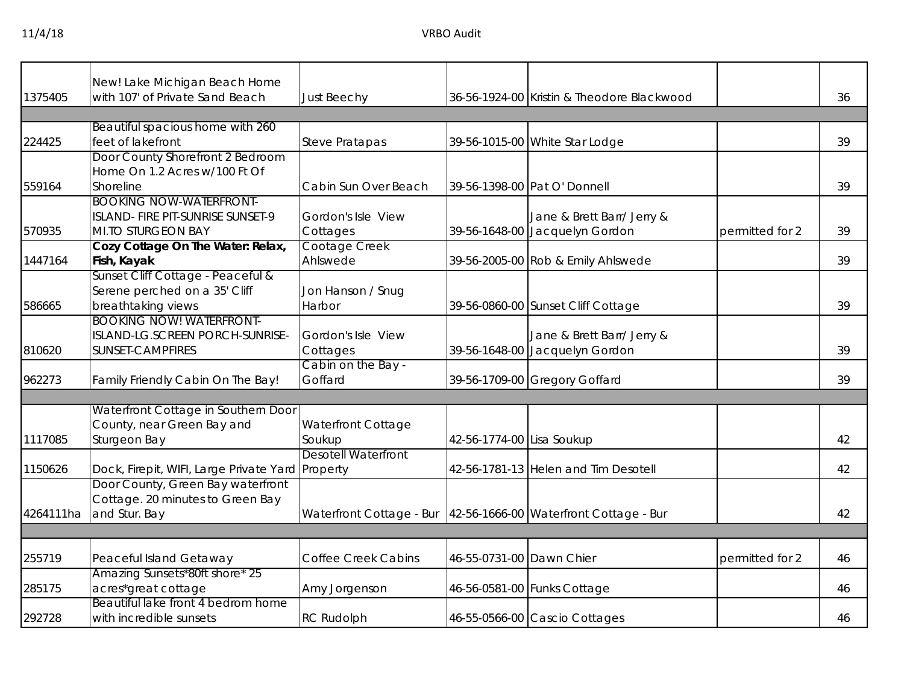11/4/18 VRBO Audit

|           | New! Lake Michigan Beach Home                                                                    |                                                                 |                           |                                                              |                 |    |
|-----------|--------------------------------------------------------------------------------------------------|-----------------------------------------------------------------|---------------------------|--------------------------------------------------------------|-----------------|----|
| 1375405   | with 107' of Private Sand Beach                                                                  | Just Beechy                                                     |                           | 36-56-1924-00 Kristin & Theodore Blackwood                   |                 | 36 |
|           |                                                                                                  |                                                                 |                           |                                                              |                 |    |
| 224425    | Beautiful spacious home with 260<br>feet of lakefront                                            | <b>Steve Pratapas</b>                                           |                           | 39-56-1015-00 White Star Lodge                               |                 | 39 |
|           | Door County Shorefront 2 Bedroom<br>Home On 1.2 Acres w/100 Ft Of                                |                                                                 |                           |                                                              |                 |    |
| 559164    | Shoreline                                                                                        | Cabin Sun Over Beach                                            |                           | 39-56-1398-00 Pat O' Donnell                                 |                 | 39 |
| 570935    | <b>BOOKING NOW-WATERFRONT-</b><br>ISLAND- FIRE PIT-SUNRISE SUNSET-9<br><b>MI.TO STURGEON BAY</b> | Gordon's Isle View<br>Cottages                                  |                           | Jane & Brett Barr/ Jerry &<br>39-56-1648-00 Jacquelyn Gordon | permitted for 2 | 39 |
| 1447164   | Cozy Cottage On The Water: Relax,<br>Fish, Kayak                                                 | Cootage Creek<br>Ahlswede                                       |                           | 39-56-2005-00 Rob & Emily Ahlswede                           |                 | 39 |
| 586665    | Sunset Cliff Cottage - Peaceful &<br>Serene perched on a 35' Cliff<br>breathtaking views         | Jon Hanson / Snug<br>Harbor                                     |                           | 39-56-0860-00 Sunset Cliff Cottage                           |                 | 39 |
| 810620    | <b>BOOKING NOW! WATERFRONT-</b><br>ISLAND-LG.SCREEN PORCH-SUNRISE-<br>SUNSET-CAMPFIRES           | Gordon's Isle View<br>Cottages                                  |                           | Jane & Brett Barr/ Jerry &<br>39-56-1648-00 Jacquelyn Gordon |                 | 39 |
| 962273    | Family Friendly Cabin On The Bay!                                                                | Cabin on the Bay -<br>Goffard                                   |                           | 39-56-1709-00 Gregory Goffard                                |                 | 39 |
|           |                                                                                                  |                                                                 |                           |                                                              |                 |    |
| 1117085   | Waterfront Cottage in Southern Door<br>County, near Green Bay and<br>Sturgeon Bay                | <b>Waterfront Cottage</b><br>Soukup                             | 42-56-1774-00 Lisa Soukup |                                                              |                 | 42 |
| 1150626   | Dock, Firepit, WIFI, Large Private Yard Property                                                 | <b>Desotell Waterfront</b>                                      |                           | 42-56-1781-13 Helen and Tim Desotell                         |                 | 42 |
| 4264111ha | Door County, Green Bay waterfront<br>Cottage. 20 minutes to Green Bay<br>and Stur. Bay           | Waterfront Cottage - Bur 42-56-1666-00 Waterfront Cottage - Bur |                           |                                                              |                 | 42 |
|           |                                                                                                  |                                                                 |                           |                                                              |                 |    |
| 255719    | Peaceful Island Getaway                                                                          | <b>Coffee Creek Cabins</b>                                      | 46-55-0731-00 Dawn Chier  |                                                              | permitted for 2 | 46 |
| 285175    | Amazing Sunsets*80ft shore* 25<br>acres*great cottage                                            | Amy Jorgenson                                                   |                           | 46-56-0581-00 Funks Cottage                                  |                 | 46 |
| 292728    | Beautiful lake front 4 bedrom home<br>with incredible sunsets                                    | <b>RC Rudolph</b>                                               |                           | 46-55-0566-00 Cascio Cottages                                |                 | 46 |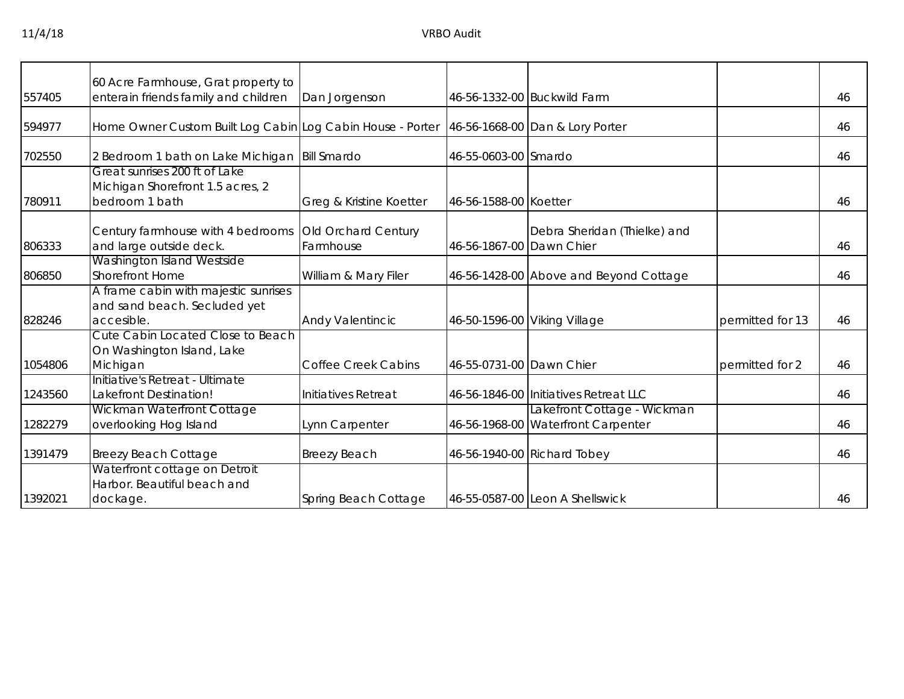|         | 60 Acre Farmhouse, Grat property to                               |                            |                          |                                        |                  |    |
|---------|-------------------------------------------------------------------|----------------------------|--------------------------|----------------------------------------|------------------|----|
| 557405  | enterain friends family and children                              | Dan Jorgenson              |                          | 46-56-1332-00 Buckwild Farm            |                  | 46 |
| 594977  | Home Owner Custom Built Log Cabin Log Cabin House - Porter        |                            |                          | 46-56-1668-00 Dan & Lory Porter        |                  | 46 |
| 702550  | 2 Bedroom 1 bath on Lake Michigan                                 | <b>Bill Smardo</b>         | 46-55-0603-00 Smardo     |                                        |                  | 46 |
|         | Great sunrises 200 ft of Lake<br>Michigan Shorefront 1.5 acres, 2 |                            |                          |                                        |                  |    |
| 780911  | bedroom 1 bath                                                    | Greg & Kristine Koetter    | 46-56-1588-00 Koetter    |                                        |                  | 46 |
|         | Century farmhouse with 4 bedrooms                                 | Old Orchard Century        |                          | Debra Sheridan (Thielke) and           |                  |    |
| 806333  | and large outside deck.                                           | Farmhouse                  | 46-56-1867-00 Dawn Chier |                                        |                  | 46 |
|         | Washington Island Westside                                        |                            |                          |                                        |                  |    |
| 806850  | <b>Shorefront Home</b>                                            | William & Mary Filer       |                          | 46-56-1428-00 Above and Beyond Cottage |                  | 46 |
|         | A frame cabin with majestic sunrises                              |                            |                          |                                        |                  |    |
|         | and sand beach. Secluded yet                                      |                            |                          |                                        |                  |    |
| 828246  | accesible.                                                        | <b>Andy Valentincic</b>    |                          | 46-50-1596-00 Viking Village           | permitted for 13 | 46 |
|         | Cute Cabin Located Close to Beach                                 |                            |                          |                                        |                  |    |
|         | On Washington Island, Lake                                        |                            |                          |                                        |                  |    |
| 1054806 | Michigan                                                          | <b>Coffee Creek Cabins</b> | 46-55-0731-00 Dawn Chier |                                        | permitted for 2  | 46 |
|         | Initiative's Retreat - Ultimate                                   |                            |                          |                                        |                  |    |
| 1243560 | Lakefront Destination!                                            | Initiatives Retreat        |                          | 46-56-1846-00 Initiatives Retreat LLC  |                  | 46 |
|         | Wickman Waterfront Cottage                                        |                            |                          | Lakefront Cottage - Wickman            |                  |    |
| 1282279 | overlooking Hog Island                                            | Lynn Carpenter             |                          | 46-56-1968-00 Waterfront Carpenter     |                  | 46 |
|         |                                                                   |                            |                          |                                        |                  |    |
| 1391479 | <b>Breezy Beach Cottage</b>                                       | <b>Breezy Beach</b>        |                          | 46-56-1940-00 Richard Tobey            |                  | 46 |
|         | Waterfront cottage on Detroit                                     |                            |                          |                                        |                  |    |
|         | Harbor. Beautiful beach and                                       |                            |                          |                                        |                  |    |
| 1392021 | dockage.                                                          | Spring Beach Cottage       |                          | 46-55-0587-00 Leon A Shellswick        |                  | 46 |